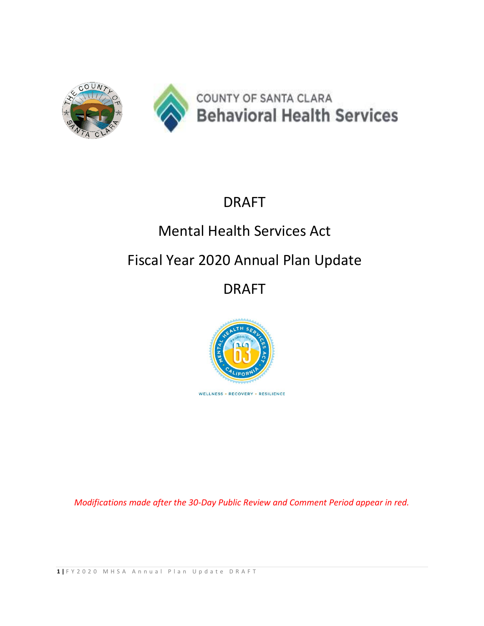

# DRAFT

# Mental Health Services Act

# Fiscal Year 2020 Annual Plan Update

# DRAFT



*Modifications made after the 30-Day Public Review and Comment Period appear in red.*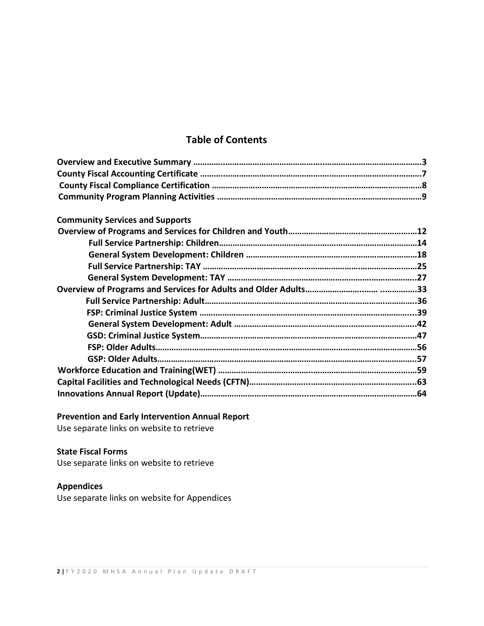## **Table of Contents**

| <b>Community Services and Supports</b> |  |
|----------------------------------------|--|
|                                        |  |
|                                        |  |
|                                        |  |
|                                        |  |
|                                        |  |
|                                        |  |
|                                        |  |
|                                        |  |
|                                        |  |
|                                        |  |
|                                        |  |
|                                        |  |
|                                        |  |
|                                        |  |
|                                        |  |

## **Prevention and Early Intervention Annual Report**

Use separate links on website to retrieve

## **State Fiscal Forms**

Use separate links on website to retrieve

## **Appendices**

Use separate links on website for Appendices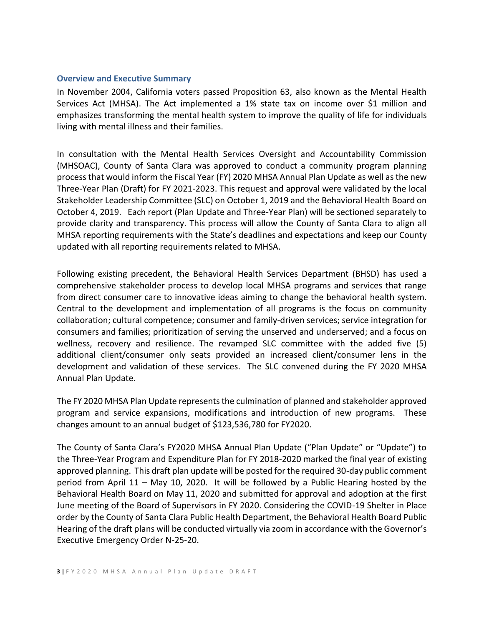#### **Overview and Executive Summary**

In November 2004, California voters passed Proposition 63, also known as the Mental Health Services Act (MHSA). The Act implemented a 1% state tax on income over \$1 million and emphasizes transforming the mental health system to improve the quality of life for individuals living with mental illness and their families.

In consultation with the Mental Health Services Oversight and Accountability Commission (MHSOAC), County of Santa Clara was approved to conduct a community program planning process that would inform the Fiscal Year (FY) 2020 MHSA Annual Plan Update as well as the new Three-Year Plan (Draft) for FY 2021-2023. This request and approval were validated by the local Stakeholder Leadership Committee (SLC) on October 1, 2019 and the Behavioral Health Board on October 4, 2019. Each report (Plan Update and Three-Year Plan) will be sectioned separately to provide clarity and transparency. This process will allow the County of Santa Clara to align all MHSA reporting requirements with the State's deadlines and expectations and keep our County updated with all reporting requirements related to MHSA.

Following existing precedent, the Behavioral Health Services Department (BHSD) has used a comprehensive stakeholder process to develop local MHSA programs and services that range from direct consumer care to innovative ideas aiming to change the behavioral health system. Central to the development and implementation of all programs is the focus on community collaboration; cultural competence; consumer and family-driven services; service integration for consumers and families; prioritization of serving the unserved and underserved; and a focus on wellness, recovery and resilience. The revamped SLC committee with the added five (5) additional client/consumer only seats provided an increased client/consumer lens in the development and validation of these services. The SLC convened during the FY 2020 MHSA Annual Plan Update.

The FY 2020 MHSA Plan Update represents the culmination of planned and stakeholder approved program and service expansions, modifications and introduction of new programs. These changes amount to an annual budget of \$123,536,780 for FY2020.

The County of Santa Clara's FY2020 MHSA Annual Plan Update ("Plan Update" or "Update") to the Three-Year Program and Expenditure Plan for FY 2018-2020 marked the final year of existing approved planning. This draft plan update will be posted for the required 30-day public comment period from April 11 – May 10, 2020. It will be followed by a Public Hearing hosted by the Behavioral Health Board on May 11, 2020 and submitted for approval and adoption at the first June meeting of the Board of Supervisors in FY 2020. Considering the COVID-19 Shelter in Place order by the County of Santa Clara Public Health Department, the Behavioral Health Board Public Hearing of the draft plans will be conducted virtually via zoom in accordance with the Governor's Executive Emergency Order N-25-20.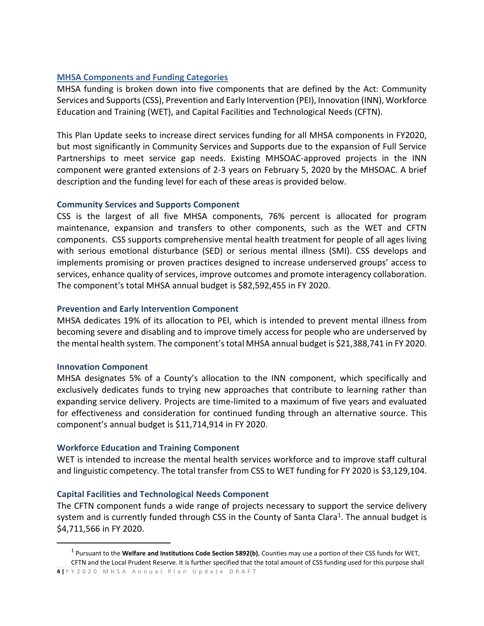### **MHSA Components and Funding Categories**

MHSA funding is broken down into five components that are defined by the Act: Community Services and Supports (CSS), Prevention and Early Intervention (PEI), Innovation (INN), Workforce Education and Training (WET), and Capital Facilities and Technological Needs (CFTN).

This Plan Update seeks to increase direct services funding for all MHSA components in FY2020, but most significantly in Community Services and Supports due to the expansion of Full Service Partnerships to meet service gap needs. Existing MHSOAC-approved projects in the INN component were granted extensions of 2-3 years on February 5, 2020 by the MHSOAC. A brief description and the funding level for each of these areas is provided below.

#### **Community Services and Supports Component**

CSS is the largest of all five MHSA components, 76% percent is allocated for program maintenance, expansion and transfers to other components, such as the WET and CFTN components. CSS supports comprehensive mental health treatment for people of all ages living with serious emotional disturbance (SED) or serious mental illness (SMI). CSS develops and implements promising or proven practices designed to increase underserved groups' access to services, enhance quality of services, improve outcomes and promote interagency collaboration. The component's total MHSA annual budget is \$82,592,455 in FY 2020.

#### **Prevention and Early Intervention Component**

MHSA dedicates 19% of its allocation to PEI, which is intended to prevent mental illness from becoming severe and disabling and to improve timely access for people who are underserved by the mental health system. The component's total MHSA annual budget is \$21,388,741 in FY 2020.

#### **Innovation Component**

MHSA designates 5% of a County's allocation to the INN component, which specifically and exclusively dedicates funds to trying new approaches that contribute to learning rather than expanding service delivery. Projects are time-limited to a maximum of five years and evaluated for effectiveness and consideration for continued funding through an alternative source. This component's annual budget is \$11,714,914 in FY 2020.

#### **Workforce Education and Training Component**

WET is intended to increase the mental health services workforce and to improve staff cultural and linguistic competency. The total transfer from CSS to WET funding for FY 2020 is \$3,129,104.

#### **Capital Facilities and Technological Needs Component**

The CFTN component funds a wide range of projects necessary to support the service delivery system and is currently funded through CSS in the County of Santa Clara<sup>1</sup>. The annual budget is \$4,711,566 in FY 2020.

**4 |** F Y 2 0 2 0 M H S A A n n u a l P l a n U p d a t e D R A F T

<sup>1</sup> Pursuant to the **Welfare and Institutions Code Section 5892(b)**, Counties may use a portion of their CSS funds for WET, CFTN and the Local Prudent Reserve. It is further specified that the total amount of CSS funding used for this purpose shall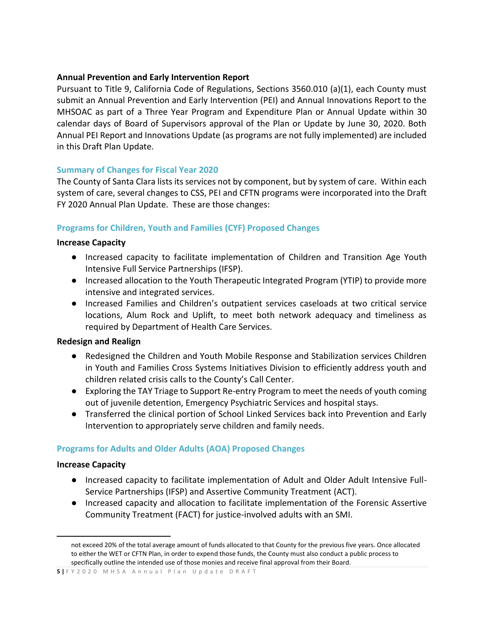## **Annual Prevention and Early Intervention Report**

Pursuant to Title 9, California Code of Regulations, Sections 3560.010 (a)(1), each County must submit an Annual Prevention and Early Intervention (PEI) and Annual Innovations Report to the MHSOAC as part of a Three Year Program and Expenditure Plan or Annual Update within 30 calendar days of Board of Supervisors approval of the Plan or Update by June 30, 2020. Both Annual PEI Report and Innovations Update (as programs are not fully implemented) are included in this Draft Plan Update.

## **Summary of Changes for Fiscal Year 2020**

The County of Santa Clara lists its services not by component, but by system of care. Within each system of care, several changes to CSS, PEI and CFTN programs were incorporated into the Draft FY 2020 Annual Plan Update. These are those changes:

## **Programs for Children, Youth and Families (CYF) Proposed Changes**

#### **Increase Capacity**

- Increased capacity to facilitate implementation of Children and Transition Age Youth Intensive Full Service Partnerships (IFSP).
- Increased allocation to the Youth Therapeutic Integrated Program (YTIP) to provide more intensive and integrated services.
- Increased Families and Children's outpatient services caseloads at two critical service locations, Alum Rock and Uplift, to meet both network adequacy and timeliness as required by Department of Health Care Services.

#### **Redesign and Realign**

- Redesigned the Children and Youth Mobile Response and Stabilization services Children in Youth and Families Cross Systems Initiatives Division to efficiently address youth and children related crisis calls to the County's Call Center.
- Exploring the TAY Triage to Support Re-entry Program to meet the needs of youth coming out of juvenile detention, Emergency Psychiatric Services and hospital stays.
- Transferred the clinical portion of School Linked Services back into Prevention and Early Intervention to appropriately serve children and family needs.

## **Programs for Adults and Older Adults (AOA) Proposed Changes**

#### **Increase Capacity**

- Increased capacity to facilitate implementation of Adult and Older Adult Intensive Full-Service Partnerships (IFSP) and Assertive Community Treatment (ACT).
- Increased capacity and allocation to facilitate implementation of the Forensic Assertive Community Treatment (FACT) for justice-involved adults with an SMI.

not exceed 20% of the total average amount of funds allocated to that County for the previous five years. Once allocated to either the WET or CFTN Plan, in order to expend those funds, the County must also conduct a public process to specifically outline the intended use of those monies and receive final approval from their Board.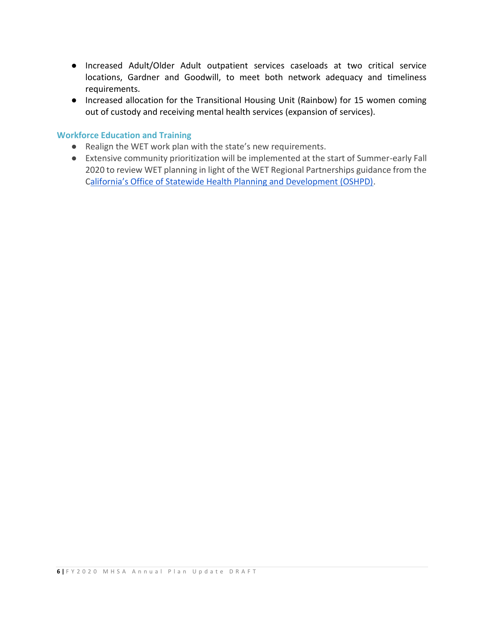- Increased Adult/Older Adult outpatient services caseloads at two critical service locations, Gardner and Goodwill, to meet both network adequacy and timeliness requirements.
- Increased allocation for the Transitional Housing Unit (Rainbow) for 15 women coming out of custody and receiving mental health services (expansion of services).

#### **Workforce Education and Training**

- Realign the WET work plan with the state's new requirements.
- Extensive community prioritization will be implemented at the start of Summer-early Fall 2020 to review WET planning in light of the WET Regional Partnerships guidance from the C[alifornia's Office of Statewide Health Planning and Development \(OSHPD\)](https://oshpd.ca.gov/loans-scholarships-grants/grants/wet/).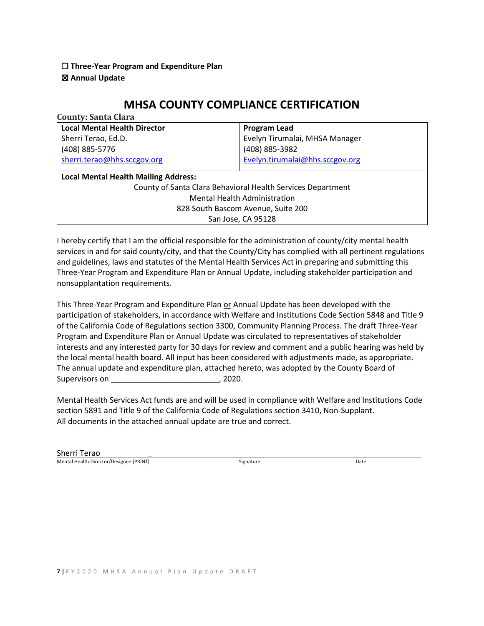#### ☐ **Three-Year Program and Expenditure Plan**  ☒ **Annual Update**

## **MHSA COUNTY COMPLIANCE CERTIFICATION**

| <b>County: Santa Clara</b>                                  |                                             |  |  |  |  |
|-------------------------------------------------------------|---------------------------------------------|--|--|--|--|
| <b>Local Mental Health Director</b>                         | <b>Program Lead</b>                         |  |  |  |  |
| Sherri Terao, Ed.D.                                         | Evelyn Tirumalai, MHSA Manager              |  |  |  |  |
| (408) 885-5776                                              | (408) 885-3982                              |  |  |  |  |
| sherri.terao@hhs.sccgov.org                                 | Evelyn.tirumalai@hhs.sccgov.org             |  |  |  |  |
|                                                             |                                             |  |  |  |  |
|                                                             | <b>Local Mental Health Mailing Address:</b> |  |  |  |  |
| County of Santa Clara Behavioral Health Services Department |                                             |  |  |  |  |
| <b>Mental Health Administration</b>                         |                                             |  |  |  |  |
| 828 South Bascom Avenue, Suite 200                          |                                             |  |  |  |  |
| San Jose, CA 95128                                          |                                             |  |  |  |  |

I hereby certify that I am the official responsible for the administration of county/city mental health services in and for said county/city, and that the County/City has complied with all pertinent regulations and guidelines, laws and statutes of the Mental Health Services Act in preparing and submitting this Three-Year Program and Expenditure Plan or Annual Update, including stakeholder participation and nonsupplantation requirements.

This Three-Year Program and Expenditure Plan or Annual Update has been developed with the participation of stakeholders, in accordance with Welfare and Institutions Code Section 5848 and Title 9 of the California Code of Regulations section 3300, Community Planning Process. The draft Three-Year Program and Expenditure Plan or Annual Update was circulated to representatives of stakeholder interests and any interested party for 30 days for review and comment and a public hearing was held by the local mental health board. All input has been considered with adjustments made, as appropriate. The annual update and expenditure plan, attached hereto, was adopted by the County Board of Supervisors on  $\sim$  , 2020.

Mental Health Services Act funds are and will be used in compliance with Welfare and Institutions Code section 5891 and Title 9 of the California Code of Regulations section 3410, Non-Supplant. All documents in the attached annual update are true and correct.

Sherri Terao \_ Mental Health Director/Designee (PRINT) and the Signature Signature Signature Date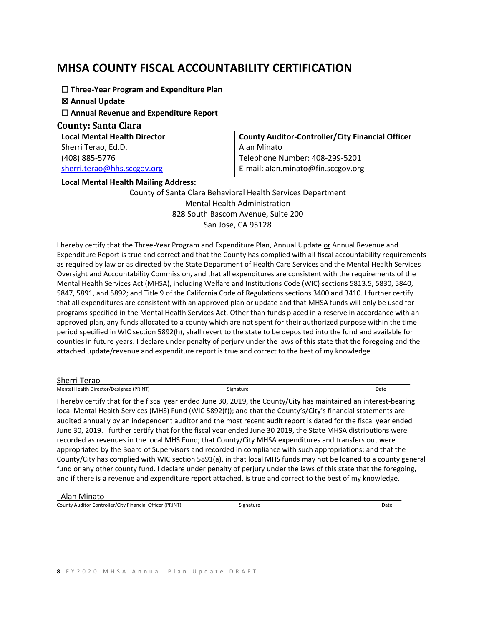## **MHSA COUNTY FISCAL ACCOUNTABILITY CERTIFICATION**

☐ **Three-Year Program and Expenditure Plan** 

☒ **Annual Update**

☐ **Annual Revenue and Expenditure Report** 

**County: Santa Clara** 

| <b>Local Mental Health Director</b>                         | <b>County Auditor-Controller/City Financial Officer</b> |  |  |
|-------------------------------------------------------------|---------------------------------------------------------|--|--|
| Sherri Terao, Ed.D.                                         | Alan Minato                                             |  |  |
| (408) 885-5776                                              | Telephone Number: 408-299-5201                          |  |  |
| sherri.terao@hhs.sccgov.org                                 | E-mail: alan.minato@fin.sccgov.org                      |  |  |
| <b>Local Mental Health Mailing Address:</b>                 |                                                         |  |  |
| County of Santa Clara Behavioral Health Services Department |                                                         |  |  |
| <b>Mental Health Administration</b>                         |                                                         |  |  |
| 828 South Bascom Avenue, Suite 200                          |                                                         |  |  |
| San Jose, CA 95128                                          |                                                         |  |  |

I hereby certify that the Three-Year Program and Expenditure Plan, Annual Update or Annual Revenue and Expenditure Report is true and correct and that the County has complied with all fiscal accountability requirements as required by law or as directed by the State Department of Health Care Services and the Mental Health Services Oversight and Accountability Commission, and that all expenditures are consistent with the requirements of the Mental Health Services Act (MHSA), including Welfare and Institutions Code (WIC) sections 5813.5, 5830, 5840, 5847, 5891, and 5892; and Title 9 of the California Code of Regulations sections 3400 and 3410. I further certify that all expenditures are consistent with an approved plan or update and that MHSA funds will only be used for programs specified in the Mental Health Services Act. Other than funds placed in a reserve in accordance with an approved plan, any funds allocated to a county which are not spent for their authorized purpose within the time period specified in WIC section 5892(h), shall revert to the state to be deposited into the fund and available for counties in future years. I declare under penalty of perjury under the laws of this state that the foregoing and the attached update/revenue and expenditure report is true and correct to the best of my knowledge.

Sherri Terao \_\_\_\_\_\_\_\_ Mental Health Director/Designee (PRINT) Signature Signature Signature Signature Date

I hereby certify that for the fiscal year ended June 30, 2019, the County/City has maintained an interest-bearing local Mental Health Services (MHS) Fund (WIC 5892(f)); and that the County's/City's financial statements are audited annually by an independent auditor and the most recent audit report is dated for the fiscal year ended June 30, 2019. I further certify that for the fiscal year ended June 30 2019, the State MHSA distributions were recorded as revenues in the local MHS Fund; that County/City MHSA expenditures and transfers out were appropriated by the Board of Supervisors and recorded in compliance with such appropriations; and that the County/City has complied with WIC section 5891(a), in that local MHS funds may not be loaned to a county general fund or any other county fund. I declare under penalty of perjury under the laws of this state that the foregoing, and if there is a revenue and expenditure report attached, is true and correct to the best of my knowledge.

Alan Minato\_\_\_\_\_\_\_\_\_\_ \_\_\_\_\_\_

County Auditor Controller/City Financial Officer (PRINT) Signature Signature Controller Controller City Financial Officer (PRINT) Signature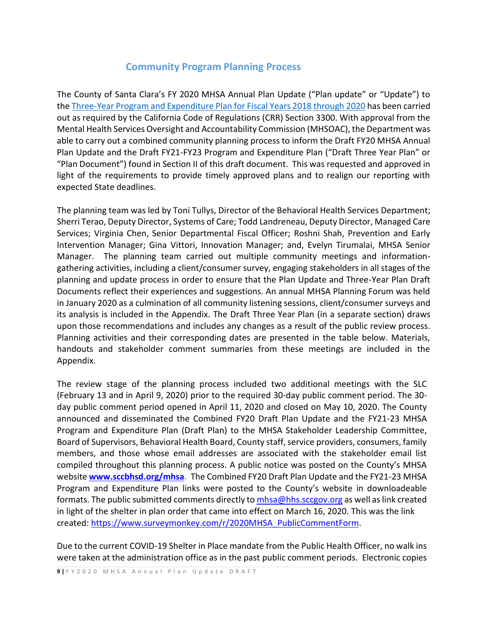## **Community Program Planning Process**

The County of Santa Clara's FY 2020 MHSA Annual Plan Update ("Plan update" or "Update") to th[e Three-Year Program and Expenditure Plan for Fiscal Years 2018](https://www.sccgov.org/sites/bhd/AboutUs/MHSA/Documents/2018/mhsa-bos-approved-fy18-fy20-plan.pdf) [through 2020](https://www.sccgov.org/sites/bhd/AboutUs/MHSA/Documents/2018/mhsa-bos-approved-fy18-fy20-plan.pdf) has been carried out as required by the California Code of Regulations (CRR) Section 3300. With approval from the Mental Health Services Oversight and Accountability Commission (MHSOAC), the Department was able to carry out a combined community planning process to inform the Draft FY20 MHSA Annual Plan Update and the Draft FY21-FY23 Program and Expenditure Plan ("Draft Three Year Plan" or "Plan Document") found in Section II of this draft document. This was requested and approved in light of the requirements to provide timely approved plans and to realign our reporting with expected State deadlines.

The planning team was led by Toni Tullys, Director of the Behavioral Health Services Department; Sherri Terao, Deputy Director, Systems of Care; Todd Landreneau, Deputy Director, Managed Care Services; Virginia Chen, Senior Departmental Fiscal Officer; Roshni Shah, Prevention and Early Intervention Manager; Gina Vittori, Innovation Manager; and, Evelyn Tirumalai, MHSA Senior Manager. The planning team carried out multiple community meetings and informationgathering activities, including a client/consumer survey, engaging stakeholders in all stages of the planning and update process in order to ensure that the Plan Update and Three-Year Plan Draft Documents reflect their experiences and suggestions. An annual MHSA Planning Forum was held in January 2020 as a culmination of all community listening sessions, client/consumer surveys and its analysis is included in the Appendix. The Draft Three Year Plan (in a separate section) draws upon those recommendations and includes any changes as a result of the public review process. Planning activities and their corresponding dates are presented in the table below. Materials, handouts and stakeholder comment summaries from these meetings are included in the Appendix.

The review stage of the planning process included two additional meetings with the SLC (February 13 and in April 9, 2020) prior to the required 30-day public comment period. The 30 day public comment period opened in April 11, 2020 and closed on May 10, 2020. The County announced and disseminated the Combined FY20 Draft Plan Update and the FY21-23 MHSA Program and Expenditure Plan (Draft Plan) to the MHSA Stakeholder Leadership Committee, Board of Supervisors, Behavioral Health Board, County staff, service providers, consumers, family members, and those whose email addresses are associated with the stakeholder email list compiled throughout this [planning process. A public notice was](http://www.sccbhsd.org/mhsa) posted on the County's MHSA [website](http://www.sccbhsd.org/mhsa) **[www.sccbhsd.org/mhsa.](http://www.sccbhsd.org/mhsa)** [The Combined FY20 Draft Plan Update and the FY21-23 MHSA](http://www.sccbhsd.org/mhsa)  [Program and Expenditure Plan links were](http://www.sccbhsd.org/mhsa) posted to the County's website in downloadeable [formats. T](http://www.sccbhsd.org/mhsa)he public submitted comments directly t[o mhsa@hhs.sccgov.org](mailto:mhsa@hhs.sccgov.org) as well as link created in light of the shelter in plan order that came into effect on March 16, 2020. This was the link created: [https://www.surveymonkey.com/r/2020MHSA\\_PublicCommentForm.](https://www.surveymonkey.com/r/2020MHSA_PublicCommentForm)

Due to the current COVID-19 Shelter in Place mandate from the Public Health Officer, no walk ins were taken at the administration office as in the past public comment periods. Electronic copies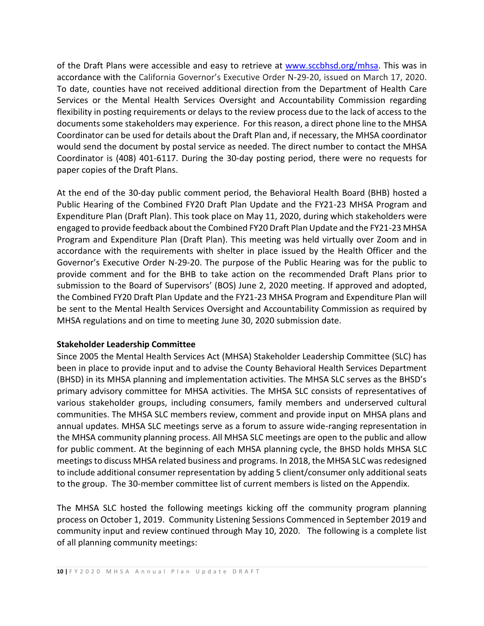of the Draft Plans were accessible and easy to retrieve at [www.sccbhsd.org/mhsa.](http://www.sccbhsd.org/mhsa) This was in accordance with the California Governor's Executive Order N-29-20, issued on March 17, 2020. To date, counties have not received additional direction from the Department of Health Care Services or the Mental Health Services Oversight and Accountability Commission regarding flexibility in posting requirements or delays to the review process due to the lack of access to the documents some stakeholders may experience. For this reason, a direct phone line to the MHSA Coordinator can be used for details about the Draft Plan and, if necessary, the MHSA coordinator would send the document by postal service as needed. The direct number to contact the MHSA Coordinator is (408) 401-6117. During the 30-day posting period, there were no requests for paper copies of the Draft Plans.

At the end of the 30-day public comment period, the Behavioral Health Board (BHB) hosted a Public Hearing of the Combined FY20 Draft Plan Update and the FY21-23 MHSA Program and Expenditure Plan (Draft Plan). This took place on May 11, 2020, during which stakeholders were engaged to provide feedback about the Combined FY20 Draft Plan Update and the FY21-23 MHSA Program and Expenditure Plan (Draft Plan). This meeting was held virtually over Zoom and in accordance with the requirements with shelter in place issued by the Health Officer and the Governor's Executive Order N-29-20. The purpose of the Public Hearing was for the public to provide comment and for the BHB to take action on the recommended Draft Plans prior to submission to the Board of Supervisors' (BOS) June 2, 2020 meeting. If approved and adopted, the Combined FY20 Draft Plan Update and the FY21-23 MHSA Program and Expenditure Plan will be sent to the Mental Health Services Oversight and Accountability Commission as required by MHSA regulations and on time to meeting June 30, 2020 submission date.

#### **Stakeholder Leadership Committee**

Since 2005 the Mental Health Services Act (MHSA) Stakeholder Leadership Committee (SLC) has been in place to provide input and to advise the County Behavioral Health Services Department (BHSD) in its MHSA planning and implementation activities. The MHSA SLC serves as the BHSD's primary advisory committee for MHSA activities. The MHSA SLC consists of representatives of various stakeholder groups, including consumers, family members and underserved cultural communities. The MHSA SLC members review, comment and provide input on MHSA plans and annual updates. MHSA SLC meetings serve as a forum to assure wide-ranging representation in the MHSA community planning process. All MHSA SLC meetings are open to the public and allow for public comment. At the beginning of each MHSA planning cycle, the BHSD holds MHSA SLC meetings to discuss MHSA related business and programs. In 2018, the MHSA SLC was redesigned to include additional consumer representation by adding 5 client/consumer only additional seats to the group. The 30-member committee list of current members is listed on the Appendix.

The MHSA SLC hosted the following meetings kicking off the community program planning process on October 1, 2019. Community Listening Sessions Commenced in September 2019 and community input and review continued through May 10, 2020. The following is a complete list of all planning community meetings: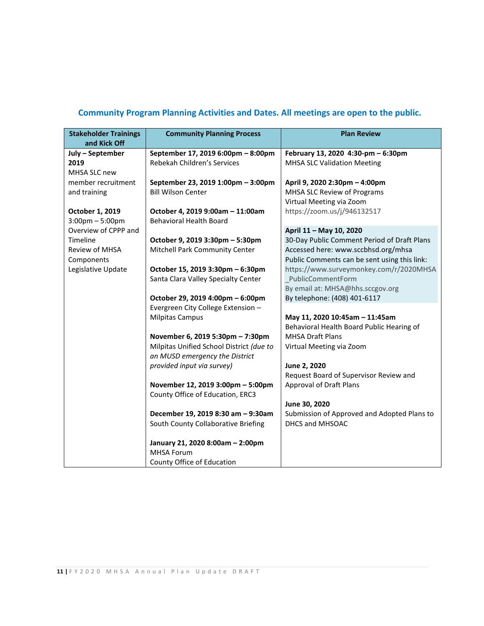## **Community Program Planning Activities and Dates. All meetings are open to the public.**

| <b>Stakeholder Trainings</b><br>and Kick Off | <b>Community Planning Process</b>        | <b>Plan Review</b>                           |
|----------------------------------------------|------------------------------------------|----------------------------------------------|
| July - September                             | September 17, 2019 6:00pm - 8:00pm       | February 13, 2020 4:30-pm - 6:30pm           |
| 2019                                         | Rebekah Children's Services              | <b>MHSA SLC Validation Meeting</b>           |
| MHSA SLC new                                 |                                          |                                              |
| member recruitment                           | September 23, 2019 1:00pm - 3:00pm       | April 9, 2020 2:30pm - 4:00pm                |
| and training                                 | <b>Bill Wilson Center</b>                | MHSA SLC Review of Programs                  |
|                                              |                                          | Virtual Meeting via Zoom                     |
| October 1, 2019                              | October 4, 2019 9:00am - 11:00am         | https://zoom.us/j/946132517                  |
| $3:00$ pm $-5:00$ pm                         | <b>Behavioral Health Board</b>           |                                              |
| Overview of CPPP and                         |                                          | April 11 - May 10, 2020                      |
| Timeline                                     | October 9, 2019 3:30pm - 5:30pm          | 30-Day Public Comment Period of Draft Plans  |
| <b>Review of MHSA</b>                        | Mitchell Park Community Center           | Accessed here: www.sccbhsd.org/mhsa          |
| Components                                   |                                          | Public Comments can be sent using this link: |
| Legislative Update                           | October 15, 2019 3:30pm - 6:30pm         | https://www.surveymonkey.com/r/2020MHSA      |
|                                              | Santa Clara Valley Specialty Center      | PublicCommentForm                            |
|                                              |                                          | By email at: MHSA@hhs.sccgov.org             |
|                                              | October 29, 2019 4:00pm - 6:00pm         | By telephone: (408) 401-6117                 |
|                                              | Evergreen City College Extension -       |                                              |
|                                              | <b>Milpitas Campus</b>                   | May 11, 2020 10:45am - 11:45am               |
|                                              |                                          | Behavioral Health Board Public Hearing of    |
|                                              | November 6, 2019 5:30pm - 7:30pm         | <b>MHSA Draft Plans</b>                      |
|                                              | Milpitas Unified School District (due to | Virtual Meeting via Zoom                     |
|                                              | an MUSD emergency the District           |                                              |
|                                              | provided input via survey)               | June 2, 2020                                 |
|                                              |                                          | Request Board of Supervisor Review and       |
|                                              | November 12, 2019 3:00pm - 5:00pm        | <b>Approval of Draft Plans</b>               |
|                                              | County Office of Education, ERC3         |                                              |
|                                              |                                          | June 30, 2020                                |
|                                              | December 19, 2019 8:30 am - 9:30am       | Submission of Approved and Adopted Plans to  |
|                                              | South County Collaborative Briefing      | DHCS and MHSOAC                              |
|                                              | January 21, 2020 8:00am - 2:00pm         |                                              |
|                                              | <b>MHSA Forum</b>                        |                                              |
|                                              | County Office of Education               |                                              |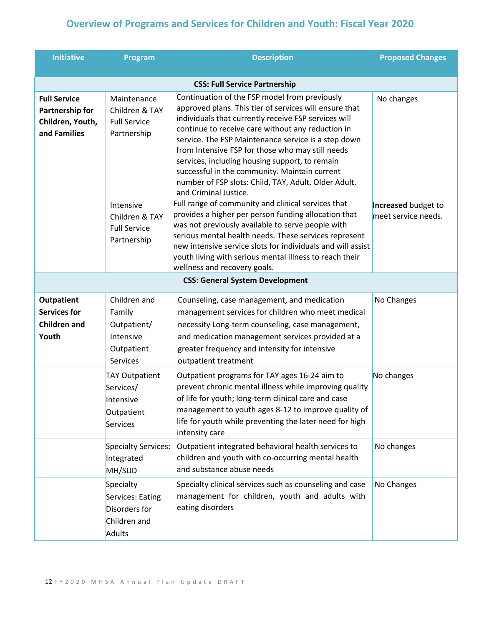## **Overview of Programs and Services for Children and Youth: Fiscal Year 2020**

| <b>Initiative</b>                                                          | Program                                                                             | <b>Description</b>                                                                                                                                                                                                                                                                                                                                                                                                                                                                                                  | <b>Proposed Changes</b>                    |
|----------------------------------------------------------------------------|-------------------------------------------------------------------------------------|---------------------------------------------------------------------------------------------------------------------------------------------------------------------------------------------------------------------------------------------------------------------------------------------------------------------------------------------------------------------------------------------------------------------------------------------------------------------------------------------------------------------|--------------------------------------------|
|                                                                            |                                                                                     | <b>CSS: Full Service Partnership</b>                                                                                                                                                                                                                                                                                                                                                                                                                                                                                |                                            |
| <b>Full Service</b><br>Partnership for<br>Children, Youth,<br>and Families | Maintenance<br>Children & TAY<br><b>Full Service</b><br>Partnership                 | Continuation of the FSP model from previously<br>approved plans. This tier of services will ensure that<br>individuals that currently receive FSP services will<br>continue to receive care without any reduction in<br>service. The FSP Maintenance service is a step down<br>from Intensive FSP for those who may still needs<br>services, including housing support, to remain<br>successful in the community. Maintain current<br>number of FSP slots: Child, TAY, Adult, Older Adult,<br>and Criminal Justice. | No changes                                 |
|                                                                            | Intensive<br>Children & TAY<br><b>Full Service</b><br>Partnership                   | Full range of community and clinical services that<br>provides a higher per person funding allocation that<br>was not previously available to serve people with<br>serious mental health needs. These services represent<br>new intensive service slots for individuals and will assist<br>youth living with serious mental illness to reach their<br>wellness and recovery goals.                                                                                                                                  | Increased budget to<br>meet service needs. |
|                                                                            |                                                                                     | <b>CSS: General System Development</b>                                                                                                                                                                                                                                                                                                                                                                                                                                                                              |                                            |
| <b>Outpatient</b><br><b>Services for</b><br><b>Children and</b><br>Youth   | Children and<br>Family<br>Outpatient/<br>Intensive<br>Outpatient<br><b>Services</b> | Counseling, case management, and medication<br>management services for children who meet medical<br>necessity Long-term counseling, case management,<br>and medication management services provided at a<br>greater frequency and intensity for intensive<br>outpatient treatment                                                                                                                                                                                                                                   | No Changes                                 |
|                                                                            | <b>TAY Outpatient</b><br>Services/<br>Intensive<br>Outpatient<br>Services           | Outpatient programs for TAY ages 16-24 aim to<br>prevent chronic mental illness while improving quality<br>of life for youth; long-term clinical care and case<br>management to youth ages 8-12 to improve quality of<br>life for youth while preventing the later need for high<br>intensity care                                                                                                                                                                                                                  | No changes                                 |
|                                                                            | Specialty Services:<br>Integrated<br>MH/SUD                                         | Outpatient integrated behavioral health services to<br>children and youth with co-occurring mental health<br>and substance abuse needs                                                                                                                                                                                                                                                                                                                                                                              | No changes                                 |
|                                                                            | Specialty<br>Services: Eating<br>Disorders for<br>Children and<br>Adults            | Specialty clinical services such as counseling and case<br>management for children, youth and adults with<br>eating disorders                                                                                                                                                                                                                                                                                                                                                                                       | No Changes                                 |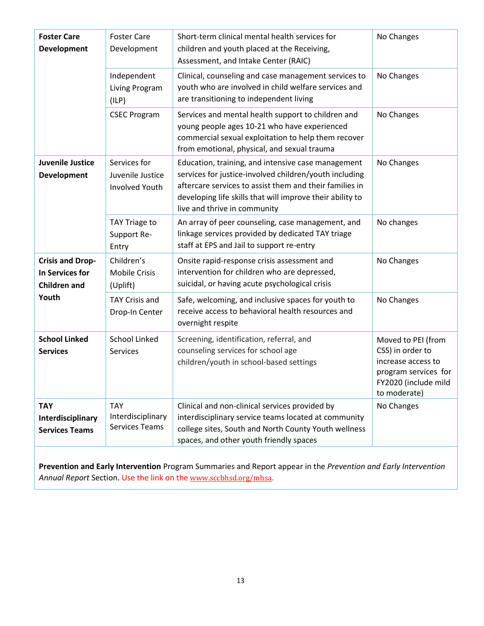| <b>Foster Care</b><br><b>Development</b>                                                                            | <b>Foster Care</b><br>Development                         | Short-term clinical mental health services for<br>children and youth placed at the Receiving,<br>Assessment, and Intake Center (RAIC)                                                                                                                                | No Changes                                                                                                                   |
|---------------------------------------------------------------------------------------------------------------------|-----------------------------------------------------------|----------------------------------------------------------------------------------------------------------------------------------------------------------------------------------------------------------------------------------------------------------------------|------------------------------------------------------------------------------------------------------------------------------|
|                                                                                                                     | Independent<br>Living Program<br>(ILP)                    | Clinical, counseling and case management services to<br>youth who are involved in child welfare services and<br>are transitioning to independent living                                                                                                              | No Changes                                                                                                                   |
|                                                                                                                     | <b>CSEC Program</b>                                       | Services and mental health support to children and<br>young people ages 10-21 who have experienced<br>commercial sexual exploitation to help them recover<br>from emotional, physical, and sexual trauma                                                             | No Changes                                                                                                                   |
| <b>Juvenile Justice</b><br>Development                                                                              | Services for<br>Juvenile Justice<br><b>Involved Youth</b> | Education, training, and intensive case management<br>services for justice-involved children/youth including<br>aftercare services to assist them and their families in<br>developing life skills that will improve their ability to<br>live and thrive in community | No Changes                                                                                                                   |
|                                                                                                                     | TAY Triage to<br>Support Re-<br>Entry                     | An array of peer counseling, case management, and<br>linkage services provided by dedicated TAY triage<br>staff at EPS and Jail to support re-entry                                                                                                                  | No changes                                                                                                                   |
| Children's<br><b>Crisis and Drop-</b><br>In Services for<br><b>Mobile Crisis</b><br><b>Children and</b><br>(Uplift) |                                                           | Onsite rapid-response crisis assessment and<br>intervention for children who are depressed,<br>suicidal, or having acute psychological crisis                                                                                                                        | No Changes                                                                                                                   |
| Youth                                                                                                               | <b>TAY Crisis and</b><br>Drop-In Center                   | Safe, welcoming, and inclusive spaces for youth to<br>receive access to behavioral health resources and<br>overnight respite                                                                                                                                         | No Changes                                                                                                                   |
| <b>School Linked</b><br><b>Services</b>                                                                             | <b>School Linked</b><br>Services                          | Screening, identification, referral, and<br>counseling services for school age<br>children/youth in school-based settings                                                                                                                                            | Moved to PEI (from<br>CSS) in order to<br>increase access to<br>program services for<br>FY2020 (include mild<br>to moderate) |
| <b>TAY</b><br>Interdisciplinary<br><b>Services Teams</b>                                                            | <b>TAY</b><br>Interdisciplinary<br><b>Services Teams</b>  | Clinical and non-clinical services provided by<br>interdisciplinary service teams located at community<br>college sites, South and North County Youth wellness<br>spaces, and other youth friendly spaces                                                            | No Changes                                                                                                                   |

**Prevention and Early Intervention** Program Summaries and Report appear in the *Prevention and Early Intervention Annual Report* Section. Use the link on the [www.sccbhsd.org/mhsa](http://www.sccbhsd.org/mhsa).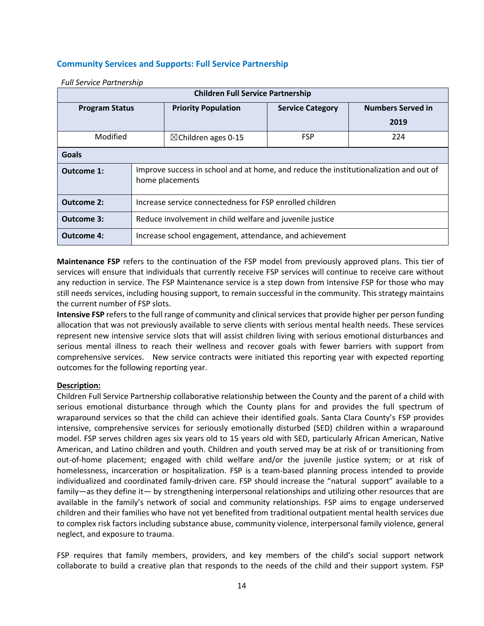#### **Community Services and Supports: Full Service Partnership**

| <b>Children Full Service Partnership</b> |                                                                                                          |                            |                         |                          |
|------------------------------------------|----------------------------------------------------------------------------------------------------------|----------------------------|-------------------------|--------------------------|
| <b>Program Status</b>                    |                                                                                                          | <b>Priority Population</b> | <b>Service Category</b> | <b>Numbers Served in</b> |
|                                          |                                                                                                          |                            |                         | 2019                     |
| Modified                                 | <b>FSP</b><br>$\boxtimes$ Children ages 0-15                                                             |                            | 224                     |                          |
| <b>Goals</b>                             |                                                                                                          |                            |                         |                          |
| Outcome 1:                               | Improve success in school and at home, and reduce the institutionalization and out of<br>home placements |                            |                         |                          |
| Outcome 2:                               | Increase service connectedness for FSP enrolled children                                                 |                            |                         |                          |
| <b>Outcome 3:</b>                        | Reduce involvement in child welfare and juvenile justice                                                 |                            |                         |                          |
| <b>Outcome 4:</b>                        | Increase school engagement, attendance, and achievement                                                  |                            |                         |                          |

#### *Full Service Partnership*

**Maintenance FSP** refers to the continuation of the FSP model from previously approved plans. This tier of services will ensure that individuals that currently receive FSP services will continue to receive care without any reduction in service. The FSP Maintenance service is a step down from Intensive FSP for those who may still needs services, including housing support, to remain successful in the community. This strategy maintains the current number of FSP slots.

**Intensive FSP** refers to the full range of community and clinical services that provide higher per person funding allocation that was not previously available to serve clients with serious mental health needs. These services represent new intensive service slots that will assist children living with serious emotional disturbances and serious mental illness to reach their wellness and recover goals with fewer barriers with support from comprehensive services. New service contracts were initiated this reporting year with expected reporting outcomes for the following reporting year.

#### **Description:**

Children Full Service Partnership collaborative relationship between the County and the parent of a child with serious emotional disturbance through which the County plans for and provides the full spectrum of wraparound services so that the child can achieve their identified goals. Santa Clara County's FSP provides intensive, comprehensive services for seriously emotionally disturbed (SED) children within a wraparound model. FSP serves children ages six years old to 15 years old with SED, particularly African American, Native American, and Latino children and youth. Children and youth served may be at risk of or transitioning from out-of-home placement; engaged with child welfare and/or the juvenile justice system; or at risk of homelessness, incarceration or hospitalization. FSP is a team-based planning process intended to provide individualized and coordinated family-driven care. FSP should increase the "natural support" available to a family—as they define it— by strengthening interpersonal relationships and utilizing other resources that are available in the family's network of social and community relationships. FSP aims to engage underserved children and their families who have not yet benefited from traditional outpatient mental health services due to complex risk factors including substance abuse, community violence, interpersonal family violence, general neglect, and exposure to trauma.

FSP requires that family members, providers, and key members of the child's social support network collaborate to build a creative plan that responds to the needs of the child and their support system. FSP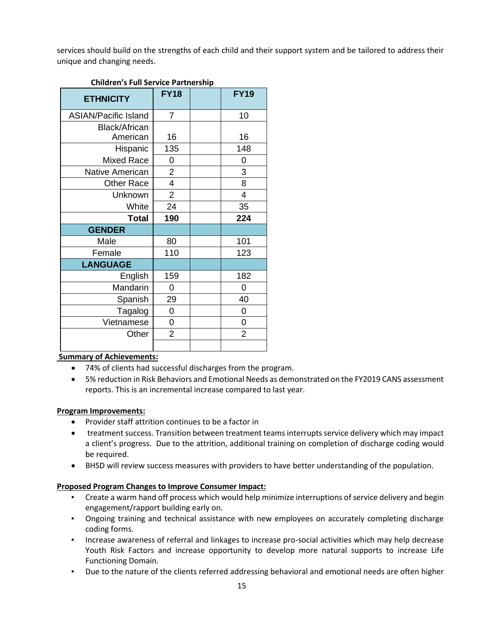services should build on the strengths of each child and their support system and be tailored to address their unique and changing needs.

| <b>ETHNICITY</b>            | <b>FY18</b>    | <b>FY19</b>    |
|-----------------------------|----------------|----------------|
| <b>ASIAN/Pacific Island</b> | 7              | 10             |
| Black/African               |                |                |
| American                    | 16             | 16             |
| Hispanic                    | 135            | 148            |
| Mixed Race                  | 0              | 0              |
| Native American             | $\overline{2}$ | 3              |
| <b>Other Race</b>           | 4              | 8              |
| Unknown                     | $\overline{2}$ | 4              |
| White                       | 24             | 35             |
| <b>Total</b>                | 190            | 224            |
| <b>GENDER</b>               |                |                |
| Male                        | 80             | 101            |
| Female                      | 110            | 123            |
| <b>LANGUAGE</b>             |                |                |
| English                     | 159            | 182            |
| Mandarin                    | 0              | 0              |
| Spanish                     | 29             | 40             |
| Tagalog                     | 0              | 0              |
| Vietnamese                  | 0              | 0              |
| Other                       | $\overline{2}$ | $\overline{2}$ |
|                             |                |                |

## **Children's Full Service Partnership**

#### **Summary of Achievements:**

- 74% of clients had successful discharges from the program.
- 5% reduction in Risk Behaviors and Emotional Needs as demonstrated on the FY2019 CANS assessment reports. This is an incremental increase compared to last year.

#### **Program Improvements:**

- Provider staff attrition continues to be a factor in
- treatment success. Transition between treatment teams interrupts service delivery which may impact a client's progress. Due to the attrition, additional training on completion of discharge coding would be required.
- BHSD will review success measures with providers to have better understanding of the population.

#### **Proposed Program Changes to Improve Consumer Impact:**

- Create a warm hand off process which would help minimize interruptions of service delivery and begin engagement/rapport building early on.
- Ongoing training and technical assistance with new employees on accurately completing discharge coding forms.
- Increase awareness of referral and linkages to increase pro-social activities which may help decrease Youth Risk Factors and increase opportunity to develop more natural supports to increase Life Functioning Domain.
- Due to the nature of the clients referred addressing behavioral and emotional needs are often higher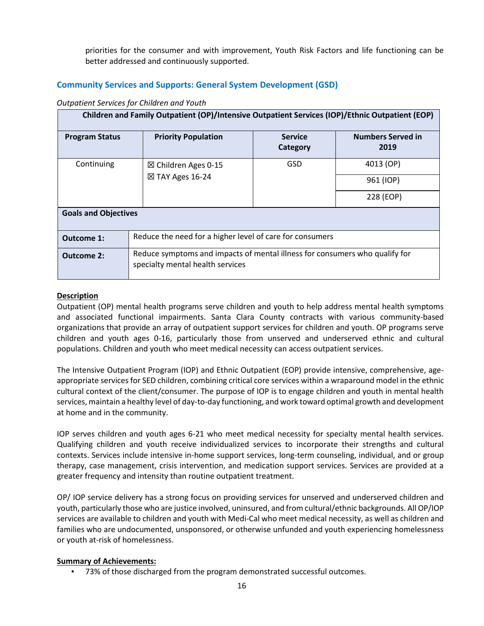priorities for the consumer and with improvement, Youth Risk Factors and life functioning can be better addressed and continuously supported.

## **Community Services and Supports: General System Development (GSD)**

#### *Outpatient Services for Children and Youth*

| Children and Family Outpatient (OP)/Intensive Outpatient Services (IOP)/Ethnic Outpatient (EOP) |                                                                                                                 |                            |                                  |  |
|-------------------------------------------------------------------------------------------------|-----------------------------------------------------------------------------------------------------------------|----------------------------|----------------------------------|--|
| <b>Program Status</b>                                                                           | <b>Priority Population</b>                                                                                      | <b>Service</b><br>Category | <b>Numbers Served in</b><br>2019 |  |
| Continuing                                                                                      | $\boxtimes$ Children Ages 0-15                                                                                  | <b>GSD</b>                 | 4013 (OP)                        |  |
|                                                                                                 | $\boxtimes$ TAY Ages 16-24                                                                                      |                            | 961 (IOP)                        |  |
|                                                                                                 |                                                                                                                 |                            | 228 (EOP)                        |  |
| <b>Goals and Objectives</b>                                                                     |                                                                                                                 |                            |                                  |  |
| Outcome 1:                                                                                      | Reduce the need for a higher level of care for consumers                                                        |                            |                                  |  |
| <b>Outcome 2:</b>                                                                               | Reduce symptoms and impacts of mental illness for consumers who qualify for<br>specialty mental health services |                            |                                  |  |

#### **Description**

Outpatient (OP) mental health programs serve children and youth to help address mental health symptoms and associated functional impairments. Santa Clara County contracts with various community-based organizations that provide an array of outpatient support services for children and youth. OP programs serve children and youth ages 0-16, particularly those from unserved and underserved ethnic and cultural populations. Children and youth who meet medical necessity can access outpatient services.

The Intensive Outpatient Program (IOP) and Ethnic Outpatient (EOP) provide intensive, comprehensive, ageappropriate services for SED children, combining critical core services within a wraparound model in the ethnic cultural context of the client/consumer. The purpose of IOP is to engage children and youth in mental health services, maintain a healthy level of day-to-day functioning, and work toward optimal growth and development at home and in the community.

IOP serves children and youth ages 6-21 who meet medical necessity for specialty mental health services. Qualifying children and youth receive individualized services to incorporate their strengths and cultural contexts. Services include intensive in-home support services, long-term counseling, individual, and or group therapy, case management, crisis intervention, and medication support services. Services are provided at a greater frequency and intensity than routine outpatient treatment.

OP/ IOP service delivery has a strong focus on providing services for unserved and underserved children and youth, particularly those who are justice involved, uninsured, and from cultural/ethnic backgrounds. All OP/IOP services are available to children and youth with Medi-Cal who meet medical necessity, as well as children and families who are undocumented, unsponsored, or otherwise unfunded and youth experiencing homelessness or youth at-risk of homelessness.

#### **Summary of Achievements:**

▪ 73% of those discharged from the program demonstrated successful outcomes.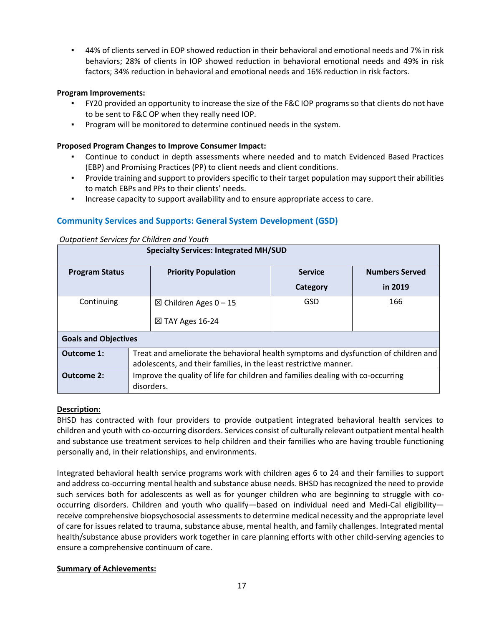▪ 44% of clients served in EOP showed reduction in their behavioral and emotional needs and 7% in risk behaviors; 28% of clients in IOP showed reduction in behavioral emotional needs and 49% in risk factors; 34% reduction in behavioral and emotional needs and 16% reduction in risk factors.

#### **Program Improvements:**

- FY20 provided an opportunity to increase the size of the F&C IOP programs so that clients do not have to be sent to F&C OP when they really need IOP.
- Program will be monitored to determine continued needs in the system.

#### **Proposed Program Changes to Improve Consumer Impact:**

- Continue to conduct in depth assessments where needed and to match Evidenced Based Practices (EBP) and Promising Practices (PP) to client needs and client conditions.
- Provide training and support to providers specific to their target population may support their abilities to match EBPs and PPs to their clients' needs.
- Increase capacity to support availability and to ensure appropriate access to care.

#### **Community Services and Supports: General System Development (GSD)**

#### *Outpatient Services for Children and Youth*

| Specialty Services: Integrated MH/SUD |                                                                                     |                |                       |  |
|---------------------------------------|-------------------------------------------------------------------------------------|----------------|-----------------------|--|
| <b>Program Status</b>                 | <b>Priority Population</b>                                                          | <b>Service</b> | <b>Numbers Served</b> |  |
|                                       |                                                                                     | Category       | in 2019               |  |
| Continuing                            | $\boxtimes$ Children Ages 0 − 15                                                    | GSD            | 166                   |  |
|                                       | $\boxtimes$ TAY Ages 16-24                                                          |                |                       |  |
| <b>Goals and Objectives</b>           |                                                                                     |                |                       |  |
| Outcome 1:                            | Treat and ameliorate the behavioral health symptoms and dysfunction of children and |                |                       |  |
|                                       | adolescents, and their families, in the least restrictive manner.                   |                |                       |  |
| <b>Outcome 2:</b>                     | Improve the quality of life for children and families dealing with co-occurring     |                |                       |  |
|                                       | disorders.                                                                          |                |                       |  |

**Specialty Services: Integrated MH/SUD**

#### **Description:**

BHSD has contracted with four providers to provide outpatient integrated behavioral health services to children and youth with co-occurring disorders. Services consist of culturally relevant outpatient mental health and substance use treatment services to help children and their families who are having trouble functioning personally and, in their relationships, and environments.

Integrated behavioral health service programs work with children ages 6 to 24 and their families to support and address co-occurring mental health and substance abuse needs. BHSD has recognized the need to provide such services both for adolescents as well as for younger children who are beginning to struggle with cooccurring disorders. Children and youth who qualify—based on individual need and Medi-Cal eligibility receive comprehensive biopsychosocial assessments to determine medical necessity and the appropriate level of care for issues related to trauma, substance abuse, mental health, and family challenges. Integrated mental health/substance abuse providers work together in care planning efforts with other child-serving agencies to ensure a comprehensive continuum of care.

#### **Summary of Achievements:**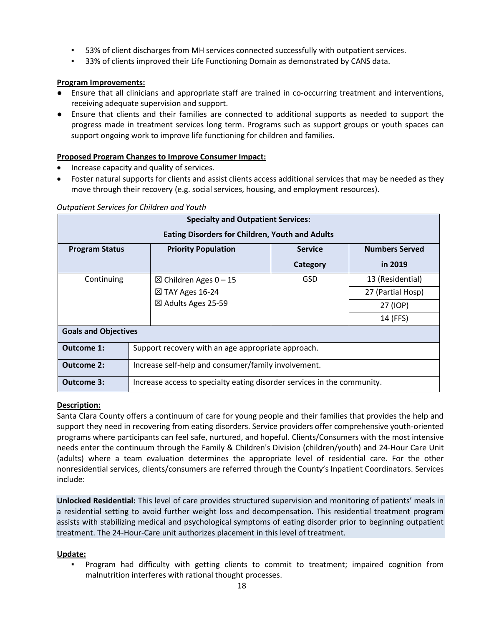- 53% of client discharges from MH services connected successfully with outpatient services.
- 33% of clients improved their Life Functioning Domain as demonstrated by CANS data.

#### **Program Improvements:**

- Ensure that all clinicians and appropriate staff are trained in co-occurring treatment and interventions, receiving adequate supervision and support.
- Ensure that clients and their families are connected to additional supports as needed to support the progress made in treatment services long term. Programs such as support groups or youth spaces can support ongoing work to improve life functioning for children and families.

#### **Proposed Program Changes to Improve Consumer Impact:**

- Increase capacity and quality of services.
- Foster natural supports for clients and assist clients access additional services that may be needed as they move through their recovery (e.g. social services, housing, and employment resources).

| <b>Specialty and Outpatient Services:</b> |                                                     |                                                                         |                |                       |
|-------------------------------------------|-----------------------------------------------------|-------------------------------------------------------------------------|----------------|-----------------------|
|                                           |                                                     | <b>Eating Disorders for Children, Youth and Adults</b>                  |                |                       |
| <b>Program Status</b>                     |                                                     | <b>Priority Population</b>                                              | <b>Service</b> | <b>Numbers Served</b> |
|                                           |                                                     |                                                                         | Category       | in 2019               |
| Continuing                                |                                                     | $⊠$ Children Ages 0 - 15                                                | <b>GSD</b>     | 13 (Residential)      |
|                                           |                                                     | $\boxtimes$ TAY Ages 16-24                                              |                | 27 (Partial Hosp)     |
|                                           |                                                     | ⊠ Adults Ages 25-59                                                     |                | 27 (IOP)              |
|                                           |                                                     |                                                                         |                | 14 (FFS)              |
| <b>Goals and Objectives</b>               |                                                     |                                                                         |                |                       |
| Outcome 1:                                |                                                     | Support recovery with an age appropriate approach.                      |                |                       |
| <b>Outcome 2:</b>                         | Increase self-help and consumer/family involvement. |                                                                         |                |                       |
| <b>Outcome 3:</b>                         |                                                     | Increase access to specialty eating disorder services in the community. |                |                       |

#### *Outpatient Services for Children and Youth*

#### **Description:**

Santa Clara County offers a continuum of care for young people and their families that provides the help and support they need in recovering from eating disorders. Service providers offer comprehensive youth-oriented programs where participants can feel safe, nurtured, and hopeful. Clients/Consumers with the most intensive needs enter the continuum through the Family & Children's Division (children/youth) and 24-Hour Care Unit (adults) where a team evaluation determines the appropriate level of residential care. For the other nonresidential services, clients/consumers are referred through the County's Inpatient Coordinators. Services include:

**Unlocked Residential:** This level of care provides structured supervision and monitoring of patients' meals in a residential setting to avoid further weight loss and decompensation. This residential treatment program assists with stabilizing medical and psychological symptoms of eating disorder prior to beginning outpatient treatment. The 24-Hour-Care unit authorizes placement in this level of treatment.

#### **Update:**

▪ Program had difficulty with getting clients to commit to treatment; impaired cognition from malnutrition interferes with rational thought processes.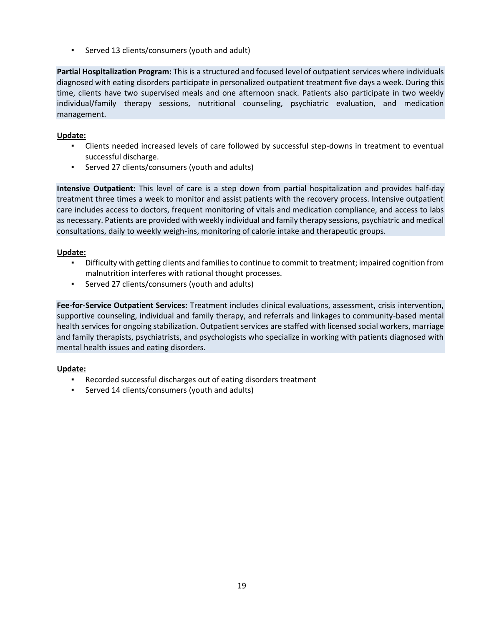▪ Served 13 clients/consumers (youth and adult)

**Partial Hospitalization Program:** This is a structured and focused level of outpatient services where individuals diagnosed with eating disorders participate in personalized outpatient treatment five days a week. During this time, clients have two supervised meals and one afternoon snack. Patients also participate in two weekly individual/family therapy sessions, nutritional counseling, psychiatric evaluation, and medication management.

#### **Update:**

- Clients needed increased levels of care followed by successful step-downs in treatment to eventual successful discharge.
- Served 27 clients/consumers (youth and adults)

**Intensive Outpatient:** This level of care is a step down from partial hospitalization and provides half-day treatment three times a week to monitor and assist patients with the recovery process. Intensive outpatient care includes access to doctors, frequent monitoring of vitals and medication compliance, and access to labs as necessary. Patients are provided with weekly individual and family therapy sessions, psychiatric and medical consultations, daily to weekly weigh-ins, monitoring of calorie intake and therapeutic groups.

#### **Update:**

- Difficulty with getting clients and families to continue to commit to treatment; impaired cognition from malnutrition interferes with rational thought processes.
- Served 27 clients/consumers (youth and adults)

**Fee-for-Service Outpatient Services:** Treatment includes clinical evaluations, assessment, crisis intervention, supportive counseling, individual and family therapy, and referrals and linkages to community-based mental health services for ongoing stabilization. Outpatient services are staffed with licensed social workers, marriage and family therapists, psychiatrists, and psychologists who specialize in working with patients diagnosed with mental health issues and eating disorders.

#### **Update:**

- Recorded successful discharges out of eating disorders treatment
- Served 14 clients/consumers (youth and adults)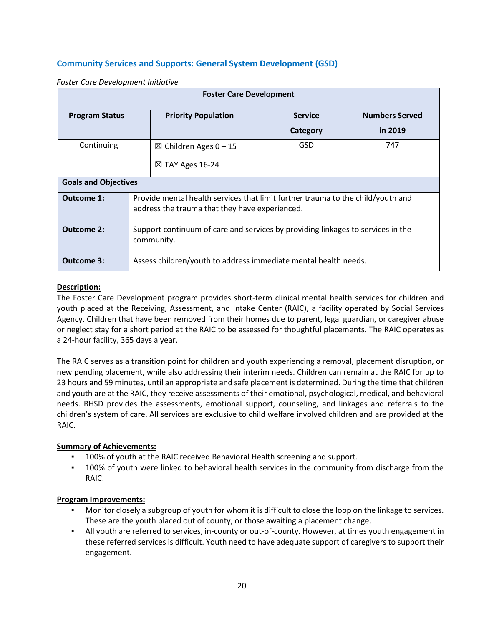## **Community Services and Supports: General System Development (GSD)**

| <b>Foster Care Development</b> |                                                                                                                                   |                                  |                |                       |
|--------------------------------|-----------------------------------------------------------------------------------------------------------------------------------|----------------------------------|----------------|-----------------------|
| <b>Program Status</b>          |                                                                                                                                   | <b>Priority Population</b>       | <b>Service</b> | <b>Numbers Served</b> |
|                                |                                                                                                                                   |                                  | Category       | in 2019               |
| Continuing                     |                                                                                                                                   | $\boxtimes$ Children Ages 0 − 15 | <b>GSD</b>     | 747                   |
|                                |                                                                                                                                   | $\boxtimes$ TAY Ages 16-24       |                |                       |
| <b>Goals and Objectives</b>    |                                                                                                                                   |                                  |                |                       |
| Outcome 1:                     | Provide mental health services that limit further trauma to the child/youth and<br>address the trauma that they have experienced. |                                  |                |                       |
| <b>Outcome 2:</b>              | Support continuum of care and services by providing linkages to services in the<br>community.                                     |                                  |                |                       |
| Outcome 3:                     | Assess children/youth to address immediate mental health needs.                                                                   |                                  |                |                       |

*Foster Care Development Initiative*

#### **Description:**

The Foster Care Development program provides short-term clinical mental health services for children and youth placed at the Receiving, Assessment, and Intake Center (RAIC), a facility operated by Social Services Agency. Children that have been removed from their homes due to parent, legal guardian, or caregiver abuse or neglect stay for a short period at the RAIC to be assessed for thoughtful placements. The RAIC operates as a 24-hour facility, 365 days a year.

The RAIC serves as a transition point for children and youth experiencing a removal, placement disruption, or new pending placement, while also addressing their interim needs. Children can remain at the RAIC for up to 23 hours and 59 minutes, until an appropriate and safe placement is determined. During the time that children and youth are at the RAIC, they receive assessments of their emotional, psychological, medical, and behavioral needs. BHSD provides the assessments, emotional support, counseling, and linkages and referrals to the children's system of care. All services are exclusive to child welfare involved children and are provided at the RAIC.

#### **Summary of Achievements:**

- 100% of youth at the RAIC received Behavioral Health screening and support.
- 100% of youth were linked to behavioral health services in the community from discharge from the RAIC.

- Monitor closely a subgroup of youth for whom it is difficult to close the loop on the linkage to services. These are the youth placed out of county, or those awaiting a placement change.
- All youth are referred to services, in-county or out-of-county. However, at times youth engagement in these referred services is difficult. Youth need to have adequate support of caregivers to support their engagement.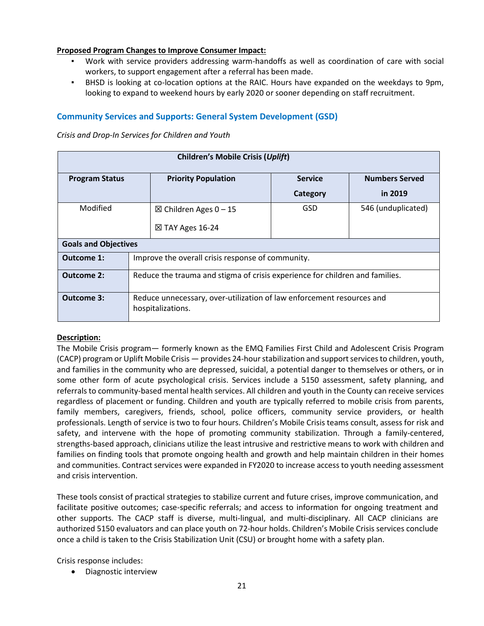#### **Proposed Program Changes to Improve Consumer Impact:**

- Work with service providers addressing warm-handoffs as well as coordination of care with social workers, to support engagement after a referral has been made.
- BHSD is looking at co-location options at the RAIC. Hours have expanded on the weekdays to 9pm, looking to expand to weekend hours by early 2020 or sooner depending on staff recruitment.

### **Community Services and Supports: General System Development (GSD)**

*Crisis and Drop-In Services for Children and Youth*

| <b>Children's Mobile Crisis (Uplift)</b> |                                                                                            |                                  |                |                       |  |
|------------------------------------------|--------------------------------------------------------------------------------------------|----------------------------------|----------------|-----------------------|--|
| <b>Program Status</b>                    |                                                                                            | <b>Priority Population</b>       | <b>Service</b> | <b>Numbers Served</b> |  |
|                                          |                                                                                            |                                  | Category       | in 2019               |  |
| Modified                                 |                                                                                            | $\boxtimes$ Children Ages 0 − 15 | GSD            | 546 (unduplicated)    |  |
|                                          |                                                                                            | $\boxtimes$ TAY Ages 16-24       |                |                       |  |
| <b>Goals and Objectives</b>              |                                                                                            |                                  |                |                       |  |
| Outcome 1:                               | Improve the overall crisis response of community.                                          |                                  |                |                       |  |
| <b>Outcome 2:</b>                        | Reduce the trauma and stigma of crisis experience for children and families.               |                                  |                |                       |  |
| <b>Outcome 3:</b>                        | Reduce unnecessary, over-utilization of law enforcement resources and<br>hospitalizations. |                                  |                |                       |  |

#### **Description:**

The Mobile Crisis program— formerly known as the EMQ Families First Child and Adolescent Crisis Program (CACP) program or Uplift Mobile Crisis — provides 24-hour stabilization and support services to children, youth, and families in the community who are depressed, suicidal, a potential danger to themselves or others, or in some other form of acute psychological crisis. Services include a 5150 assessment, safety planning, and referrals to community-based mental health services. All children and youth in the County can receive services regardless of placement or funding. Children and youth are typically referred to mobile crisis from parents, family members, caregivers, friends, school, police officers, community service providers, or health professionals. Length of service is two to four hours. Children's Mobile Crisis teams consult, assess for risk and safety, and intervene with the hope of promoting community stabilization. Through a family-centered, strengths-based approach, clinicians utilize the least intrusive and restrictive means to work with children and families on finding tools that promote ongoing health and growth and help maintain children in their homes and communities. Contract services were expanded in FY2020 to increase access to youth needing assessment and crisis intervention.

These tools consist of practical strategies to stabilize current and future crises, improve communication, and facilitate positive outcomes; case-specific referrals; and access to information for ongoing treatment and other supports. The CACP staff is diverse, multi-lingual, and multi-disciplinary. All CACP clinicians are authorized 5150 evaluators and can place youth on 72-hour holds. Children's Mobile Crisis services conclude once a child is taken to the Crisis Stabilization Unit (CSU) or brought home with a safety plan.

Crisis response includes:

• Diagnostic interview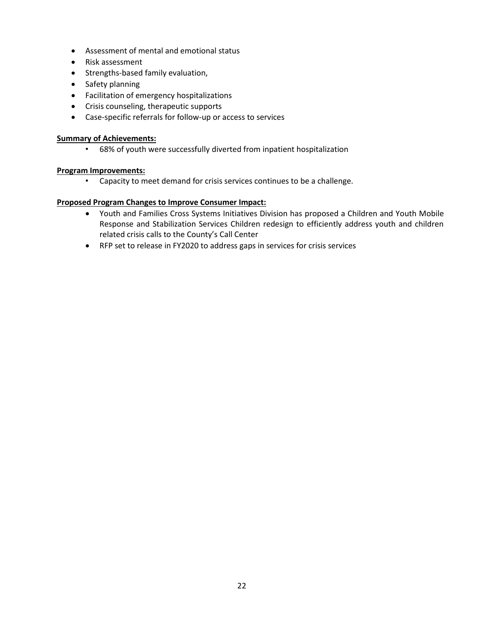- Assessment of mental and emotional status
- Risk assessment
- Strengths-based family evaluation,
- Safety planning
- Facilitation of emergency hospitalizations
- Crisis counseling, therapeutic supports
- Case-specific referrals for follow-up or access to services

#### **Summary of Achievements:**

• 68% of youth were successfully diverted from inpatient hospitalization

#### **Program Improvements:**

• Capacity to meet demand for crisis services continues to be a challenge.

#### **Proposed Program Changes to Improve Consumer Impact:**

- Youth and Families Cross Systems Initiatives Division has proposed a Children and Youth Mobile Response and Stabilization Services Children redesign to efficiently address youth and children related crisis calls to the County's Call Center
- RFP set to release in FY2020 to address gaps in services for crisis services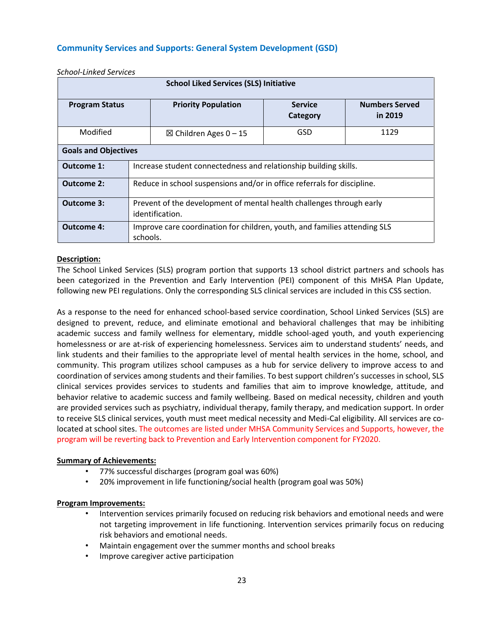## **Community Services and Supports: General System Development (GSD)**

| <b>School Liked Services (SLS) Initiative</b>                                                         |                                                                         |                                                                           |                            |                                  |  |
|-------------------------------------------------------------------------------------------------------|-------------------------------------------------------------------------|---------------------------------------------------------------------------|----------------------------|----------------------------------|--|
| <b>Program Status</b>                                                                                 |                                                                         | <b>Priority Population</b>                                                | <b>Service</b><br>Category | <b>Numbers Served</b><br>in 2019 |  |
| Modified<br>$\boxtimes$ Children Ages 0 − 15                                                          |                                                                         |                                                                           | GSD                        | 1129                             |  |
| <b>Goals and Objectives</b>                                                                           |                                                                         |                                                                           |                            |                                  |  |
| Outcome 1:                                                                                            | Increase student connectedness and relationship building skills.        |                                                                           |                            |                                  |  |
| Outcome 2:                                                                                            | Reduce in school suspensions and/or in office referrals for discipline. |                                                                           |                            |                                  |  |
| Outcome 3:<br>Prevent of the development of mental health challenges through early<br>identification. |                                                                         |                                                                           |                            |                                  |  |
| <b>Outcome 4:</b>                                                                                     | schools.                                                                | Improve care coordination for children, youth, and families attending SLS |                            |                                  |  |

*School-Linked Services*

#### **Description:**

The School Linked Services (SLS) program portion that supports 13 school district partners and schools has been categorized in the Prevention and Early Intervention (PEI) component of this MHSA Plan Update, following new PEI regulations. Only the corresponding SLS clinical services are included in this CSS section.

As a response to the need for enhanced school-based service coordination, School Linked Services (SLS) are designed to prevent, reduce, and eliminate emotional and behavioral challenges that may be inhibiting academic success and family wellness for elementary, middle school-aged youth, and youth experiencing homelessness or are at-risk of experiencing homelessness. Services aim to understand students' needs, and link students and their families to the appropriate level of mental health services in the home, school, and community. This program utilizes school campuses as a hub for service delivery to improve access to and coordination of services among students and their families. To best support children's successes in school, SLS clinical services provides services to students and families that aim to improve knowledge, attitude, and behavior relative to academic success and family wellbeing. Based on medical necessity, children and youth are provided services such as psychiatry, individual therapy, family therapy, and medication support. In order to receive SLS clinical services, youth must meet medical necessity and Medi-Cal eligibility. All services are colocated at school sites. The outcomes are listed under MHSA Community Services and Supports, however, the program will be reverting back to Prevention and Early Intervention component for FY2020.

#### **Summary of Achievements:**

- 77% successful discharges (program goal was 60%)
- 20% improvement in life functioning/social health (program goal was 50%)

- Intervention services primarily focused on reducing risk behaviors and emotional needs and were not targeting improvement in life functioning. Intervention services primarily focus on reducing risk behaviors and emotional needs.
- Maintain engagement over the summer months and school breaks
- Improve caregiver active participation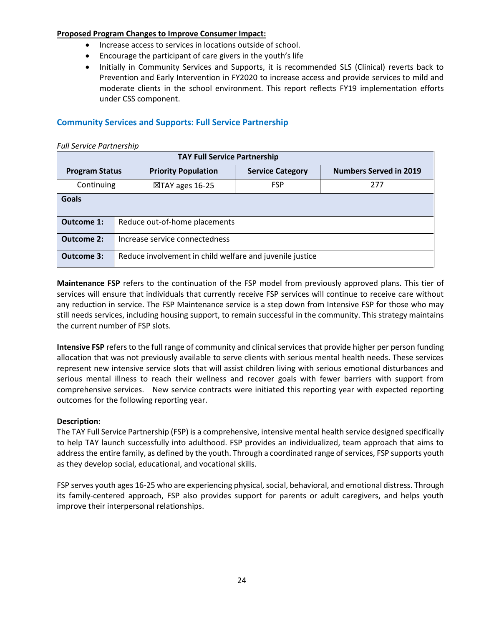#### **Proposed Program Changes to Improve Consumer Impact:**

- Increase access to services in locations outside of school.
- Encourage the participant of care givers in the youth's life
- Initially in Community Services and Supports, it is recommended SLS (Clinical) reverts back to Prevention and Early Intervention in FY2020 to increase access and provide services to mild and moderate clients in the school environment. This report reflects FY19 implementation efforts under CSS component.

## **Community Services and Supports: Full Service Partnership**

| <b>Full Service Partnership</b>     |                                                                                                                 |  |  |  |  |  |  |
|-------------------------------------|-----------------------------------------------------------------------------------------------------------------|--|--|--|--|--|--|
| <b>TAY Full Service Partnership</b> |                                                                                                                 |  |  |  |  |  |  |
|                                     | <b>Numbers Served in 2019</b><br><b>Priority Population</b><br><b>Service Category</b><br><b>Program Status</b> |  |  |  |  |  |  |
| Continuing                          | <b>FSP</b><br>277<br>$\boxtimes$ TAY ages 16-25                                                                 |  |  |  |  |  |  |
| <b>Goals</b>                        |                                                                                                                 |  |  |  |  |  |  |
| <b>Outcome 1:</b>                   | Reduce out-of-home placements                                                                                   |  |  |  |  |  |  |
| <b>Outcome 2:</b>                   | Increase service connectedness                                                                                  |  |  |  |  |  |  |
| <b>Outcome 3:</b>                   | Reduce involvement in child welfare and juvenile justice                                                        |  |  |  |  |  |  |

**Maintenance FSP** refers to the continuation of the FSP model from previously approved plans. This tier of services will ensure that individuals that currently receive FSP services will continue to receive care without any reduction in service. The FSP Maintenance service is a step down from Intensive FSP for those who may still needs services, including housing support, to remain successful in the community. This strategy maintains the current number of FSP slots.

**Intensive FSP** refers to the full range of community and clinical services that provide higher per person funding allocation that was not previously available to serve clients with serious mental health needs. These services represent new intensive service slots that will assist children living with serious emotional disturbances and serious mental illness to reach their wellness and recover goals with fewer barriers with support from comprehensive services. New service contracts were initiated this reporting year with expected reporting outcomes for the following reporting year.

#### **Description:**

The TAY Full Service Partnership (FSP) is a comprehensive, intensive mental health service designed specifically to help TAY launch successfully into adulthood. FSP provides an individualized, team approach that aims to address the entire family, as defined by the youth. Through a coordinated range of services, FSP supports youth as they develop social, educational, and vocational skills.

FSP serves youth ages 16-25 who are experiencing physical, social, behavioral, and emotional distress. Through its family-centered approach, FSP also provides support for parents or adult caregivers, and helps youth improve their interpersonal relationships.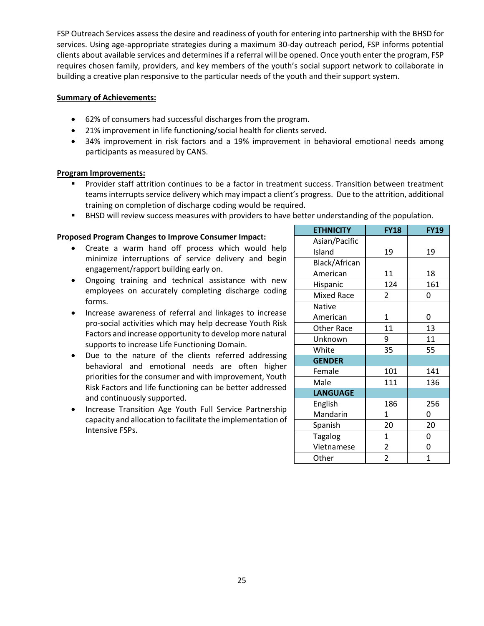FSP Outreach Services assess the desire and readiness of youth for entering into partnership with the BHSD for services. Using age-appropriate strategies during a maximum 30-day outreach period, FSP informs potential clients about available services and determines if a referral will be opened. Once youth enter the program, FSP requires chosen family, providers, and key members of the youth's social support network to collaborate in building a creative plan responsive to the particular needs of the youth and their support system.

#### **Summary of Achievements:**

- 62% of consumers had successful discharges from the program.
- 21% improvement in life functioning/social health for clients served.
- 34% improvement in risk factors and a 19% improvement in behavioral emotional needs among participants as measured by CANS.

#### **Program Improvements:**

- Provider staff attrition continues to be a factor in treatment success. Transition between treatment teams interrupts service delivery which may impact a client's progress. Due to the attrition, additional training on completion of discharge coding would be required.
- **EXECT MET SHAND WE ATTE SHAND WE SHAND FOR SHAND FOR SHAND** FOR SHAND IN POPULATION.

#### **Proposed Program Changes to Improve Consumer Impact:**

- Create a warm hand off process which would help minimize interruptions of service delivery and begin engagement/rapport building early on.
- Ongoing training and technical assistance with new employees on accurately completing discharge coding forms.
- Increase awareness of referral and linkages to increase pro-social activities which may help decrease Youth Risk Factors and increase opportunity to develop more natural supports to increase Life Functioning Domain.
- Due to the nature of the clients referred addressing behavioral and emotional needs are often higher priorities for the consumer and with improvement, Youth Risk Factors and life functioning can be better addressed and continuously supported.
- Increase Transition Age Youth Full Service Partnership capacity and allocation to facilitate the implementation of Intensive FSPs.

| <b>ETHNICITY</b>  | <b>FY18</b>    | <b>FY19</b> |
|-------------------|----------------|-------------|
| Asian/Pacific     |                |             |
| Island            | 19             | 19          |
| Black/African     |                |             |
| American          | 11             | 18          |
| Hispanic          | 124            | 161         |
| <b>Mixed Race</b> | 2              | 0           |
| <b>Native</b>     |                |             |
| American          | 1              | 0           |
| <b>Other Race</b> | 11             | 13          |
| Unknown           | 9              | 11          |
| White             | 35             | 55          |
| <b>GENDER</b>     |                |             |
| Female            | 101            | 141         |
| Male              | 111            | 136         |
| <b>LANGUAGE</b>   |                |             |
| English           | 186            | 256         |
| Mandarin          | 1              | 0           |
| Spanish           | 20             | 20          |
| <b>Tagalog</b>    | $\mathbf{1}$   | 0           |
| Vietnamese        | 2              | 0           |
| Other             | $\overline{2}$ | 1           |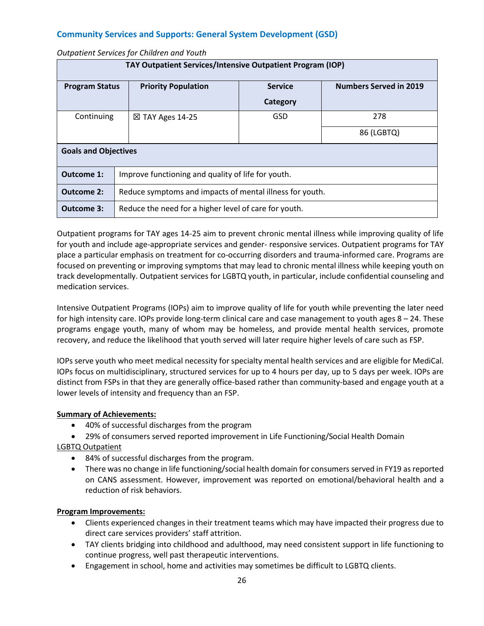## **Community Services and Supports: General System Development (GSD)**

*Outpatient Services for Children and Youth*

| TAY Outpatient Services/Intensive Outpatient Program (IOP) |                                                          |                |                               |  |  |
|------------------------------------------------------------|----------------------------------------------------------|----------------|-------------------------------|--|--|
| <b>Program Status</b>                                      | <b>Priority Population</b>                               | <b>Service</b> | <b>Numbers Served in 2019</b> |  |  |
|                                                            |                                                          | Category       |                               |  |  |
| Continuing                                                 | $\boxtimes$ TAY Ages 14-25                               | GSD            | 278                           |  |  |
|                                                            |                                                          |                | 86 (LGBTQ)                    |  |  |
| <b>Goals and Objectives</b>                                |                                                          |                |                               |  |  |
| Outcome 1:                                                 | Improve functioning and quality of life for youth.       |                |                               |  |  |
| <b>Outcome 2:</b>                                          | Reduce symptoms and impacts of mental illness for youth. |                |                               |  |  |
| Outcome 3:                                                 | Reduce the need for a higher level of care for youth.    |                |                               |  |  |

Outpatient programs for TAY ages 14-25 aim to prevent chronic mental illness while improving quality of life for youth and include age-appropriate services and gender- responsive services. Outpatient programs for TAY place a particular emphasis on treatment for co-occurring disorders and trauma-informed care. Programs are focused on preventing or improving symptoms that may lead to chronic mental illness while keeping youth on track developmentally. Outpatient services for LGBTQ youth, in particular, include confidential counseling and medication services.

Intensive Outpatient Programs (IOPs) aim to improve quality of life for youth while preventing the later need for high intensity care. IOPs provide long-term clinical care and case management to youth ages 8 – 24. These programs engage youth, many of whom may be homeless, and provide mental health services, promote recovery, and reduce the likelihood that youth served will later require higher levels of care such as FSP.

IOPs serve youth who meet medical necessity for specialty mental health services and are eligible for MediCal. IOPs focus on multidisciplinary, structured services for up to 4 hours per day, up to 5 days per week. IOPs are distinct from FSPs in that they are generally office-based rather than community-based and engage youth at a lower levels of intensity and frequency than an FSP.

#### **Summary of Achievements:**

- 40% of successful discharges from the program
- 29% of consumers served reported improvement in Life Functioning/Social Health Domain

LGBTQ Outpatient

- 84% of successful discharges from the program.
- There was no change in life functioning/social health domain for consumers served in FY19 as reported on CANS assessment. However, improvement was reported on emotional/behavioral health and a reduction of risk behaviors.

- Clients experienced changes in their treatment teams which may have impacted their progress due to direct care services providers' staff attrition.
- TAY clients bridging into childhood and adulthood, may need consistent support in life functioning to continue progress, well past therapeutic interventions.
- Engagement in school, home and activities may sometimes be difficult to LGBTQ clients.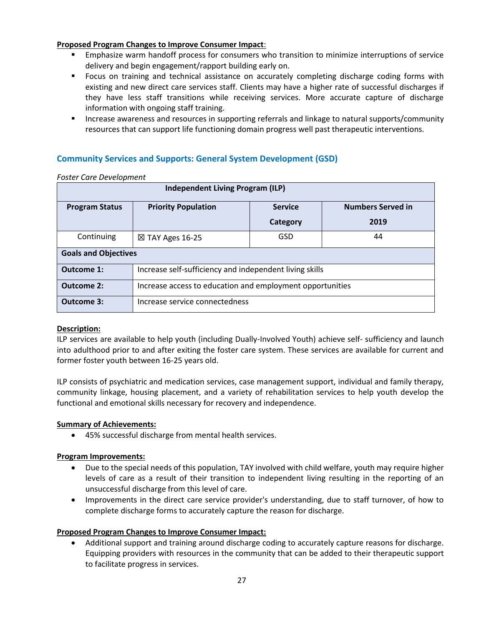#### **Proposed Program Changes to Improve Consumer Impact**:

- Emphasize warm handoff process for consumers who transition to minimize interruptions of service delivery and begin engagement/rapport building early on.
- **•** Focus on training and technical assistance on accurately completing discharge coding forms with existing and new direct care services staff. Clients may have a higher rate of successful discharges if they have less staff transitions while receiving services. More accurate capture of discharge information with ongoing staff training.
- Increase awareness and resources in supporting referrals and linkage to natural supports/community resources that can support life functioning domain progress well past therapeutic interventions.

## **Community Services and Supports: General System Development (GSD)**

| <b>Independent Living Program (ILP)</b> |                                                                          |            |      |  |  |  |
|-----------------------------------------|--------------------------------------------------------------------------|------------|------|--|--|--|
| <b>Program Status</b>                   | <b>Priority Population</b><br><b>Numbers Served in</b><br><b>Service</b> |            |      |  |  |  |
|                                         |                                                                          | Category   | 2019 |  |  |  |
| Continuing                              | $\boxtimes$ TAY Ages 16-25                                               | <b>GSD</b> | 44   |  |  |  |
| <b>Goals and Objectives</b>             |                                                                          |            |      |  |  |  |
| <b>Outcome 1:</b>                       | Increase self-sufficiency and independent living skills                  |            |      |  |  |  |
| <b>Outcome 2:</b>                       | Increase access to education and employment opportunities                |            |      |  |  |  |
| Outcome 3:                              | Increase service connectedness                                           |            |      |  |  |  |

#### *Foster Care Development*

#### **Description:**

ILP services are available to help youth (including Dually-Involved Youth) achieve self- sufficiency and launch into adulthood prior to and after exiting the foster care system. These services are available for current and former foster youth between 16-25 years old.

ILP consists of psychiatric and medication services, case management support, individual and family therapy, community linkage, housing placement, and a variety of rehabilitation services to help youth develop the functional and emotional skills necessary for recovery and independence.

#### **Summary of Achievements:**

• 45% successful discharge from mental health services.

#### **Program Improvements:**

- Due to the special needs of this population, TAY involved with child welfare, youth may require higher levels of care as a result of their transition to independent living resulting in the reporting of an unsuccessful discharge from this level of care.
- Improvements in the direct care service provider's understanding, due to staff turnover, of how to complete discharge forms to accurately capture the reason for discharge.

#### **Proposed Program Changes to Improve Consumer Impact:**

• Additional support and training around discharge coding to accurately capture reasons for discharge. Equipping providers with resources in the community that can be added to their therapeutic support to facilitate progress in services.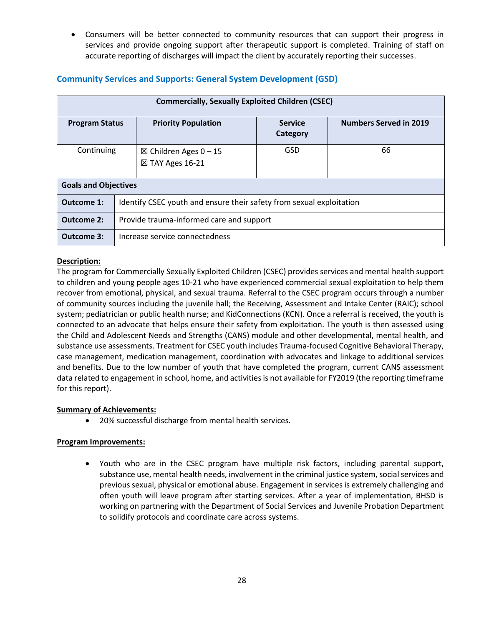• Consumers will be better connected to community resources that can support their progress in services and provide ongoing support after therapeutic support is completed. Training of staff on accurate reporting of discharges will impact the client by accurately reporting their successes.

| <b>Commercially, Sexually Exploited Children (CSEC)</b> |  |                                                                      |                            |                               |  |  |
|---------------------------------------------------------|--|----------------------------------------------------------------------|----------------------------|-------------------------------|--|--|
| <b>Program Status</b>                                   |  | <b>Priority Population</b>                                           | <b>Service</b><br>Category | <b>Numbers Served in 2019</b> |  |  |
| Continuing                                              |  | $\boxtimes$ Children Ages 0 − 15<br>$\boxtimes$ TAY Ages 16-21       | GSD                        | 66                            |  |  |
| <b>Goals and Objectives</b>                             |  |                                                                      |                            |                               |  |  |
| Outcome 1:                                              |  | Identify CSEC youth and ensure their safety from sexual exploitation |                            |                               |  |  |
| <b>Outcome 2:</b>                                       |  | Provide trauma-informed care and support                             |                            |                               |  |  |
| Outcome 3:                                              |  | Increase service connectedness                                       |                            |                               |  |  |

#### **Community Services and Supports: General System Development (GSD)**

#### **Description:**

The program for Commercially Sexually Exploited Children (CSEC) provides services and mental health support to children and young people ages 10-21 who have experienced commercial sexual exploitation to help them recover from emotional, physical, and sexual trauma. Referral to the CSEC program occurs through a number of community sources including the juvenile hall; the Receiving, Assessment and Intake Center (RAIC); school system; pediatrician or public health nurse; and KidConnections (KCN). Once a referral is received, the youth is connected to an advocate that helps ensure their safety from exploitation. The youth is then assessed using the Child and Adolescent Needs and Strengths (CANS) module and other developmental, mental health, and substance use assessments. Treatment for CSEC youth includes Trauma-focused Cognitive Behavioral Therapy, case management, medication management, coordination with advocates and linkage to additional services and benefits. Due to the low number of youth that have completed the program, current CANS assessment data related to engagement in school, home, and activities is not available for FY2019 (the reporting timeframe for this report).

#### **Summary of Achievements:**

• 20% successful discharge from mental health services.

#### **Program Improvements:**

• Youth who are in the CSEC program have multiple risk factors, including parental support, substance use, mental health needs, involvement in the criminal justice system, social services and previous sexual, physical or emotional abuse. Engagement in services is extremely challenging and often youth will leave program after starting services. After a year of implementation, BHSD is working on partnering with the Department of Social Services and Juvenile Probation Department to solidify protocols and coordinate care across systems.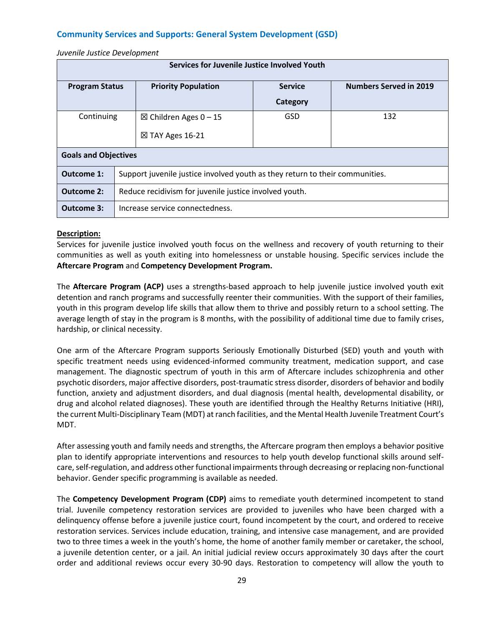## **Community Services and Supports: General System Development (GSD)**

#### *Juvenile Justice Development*

| Services for Juvenile Justice Involved Youth |  |                                                                              |                |                               |  |  |
|----------------------------------------------|--|------------------------------------------------------------------------------|----------------|-------------------------------|--|--|
| <b>Program Status</b>                        |  | <b>Priority Population</b>                                                   | <b>Service</b> | <b>Numbers Served in 2019</b> |  |  |
|                                              |  |                                                                              | Category       |                               |  |  |
| Continuing                                   |  | $\boxtimes$ Children Ages 0 − 15                                             | GSD            | 132                           |  |  |
|                                              |  | $\boxtimes$ TAY Ages 16-21                                                   |                |                               |  |  |
| <b>Goals and Objectives</b>                  |  |                                                                              |                |                               |  |  |
| Outcome 1:                                   |  | Support juvenile justice involved youth as they return to their communities. |                |                               |  |  |
| <b>Outcome 2:</b>                            |  | Reduce recidivism for juvenile justice involved youth.                       |                |                               |  |  |
| Outcome 3:                                   |  | Increase service connectedness.                                              |                |                               |  |  |

#### **Description:**

Services for juvenile justice involved youth focus on the wellness and recovery of youth returning to their communities as well as youth exiting into homelessness or unstable housing. Specific services include the **Aftercare Program** and **Competency Development Program.**

The **Aftercare Program (ACP)** uses a strengths-based approach to help juvenile justice involved youth exit detention and ranch programs and successfully reenter their communities. With the support of their families, youth in this program develop life skills that allow them to thrive and possibly return to a school setting. The average length of stay in the program is 8 months, with the possibility of additional time due to family crises, hardship, or clinical necessity.

One arm of the Aftercare Program supports Seriously Emotionally Disturbed (SED) youth and youth with specific treatment needs using evidenced-informed community treatment, medication support, and case management. The diagnostic spectrum of youth in this arm of Aftercare includes schizophrenia and other psychotic disorders, major affective disorders, post-traumatic stress disorder, disorders of behavior and bodily function, anxiety and adjustment disorders, and dual diagnosis (mental health, developmental disability, or drug and alcohol related diagnoses). These youth are identified through the Healthy Returns Initiative (HRI), the current Multi-Disciplinary Team (MDT) at ranch facilities, and the Mental Health Juvenile Treatment Court's MDT.

After assessing youth and family needs and strengths, the Aftercare program then employs a behavior positive plan to identify appropriate interventions and resources to help youth develop functional skills around selfcare, self-regulation, and address other functional impairments through decreasing or replacing non-functional behavior. Gender specific programming is available as needed.

The **Competency Development Program (CDP)** aims to remediate youth determined incompetent to stand trial. Juvenile competency restoration services are provided to juveniles who have been charged with a delinquency offense before a juvenile justice court, found incompetent by the court, and ordered to receive restoration services. Services include education, training, and intensive case management, and are provided two to three times a week in the youth's home, the home of another family member or caretaker, the school, a juvenile detention center, or a jail. An initial judicial review occurs approximately 30 days after the court order and additional reviews occur every 30-90 days. Restoration to competency will allow the youth to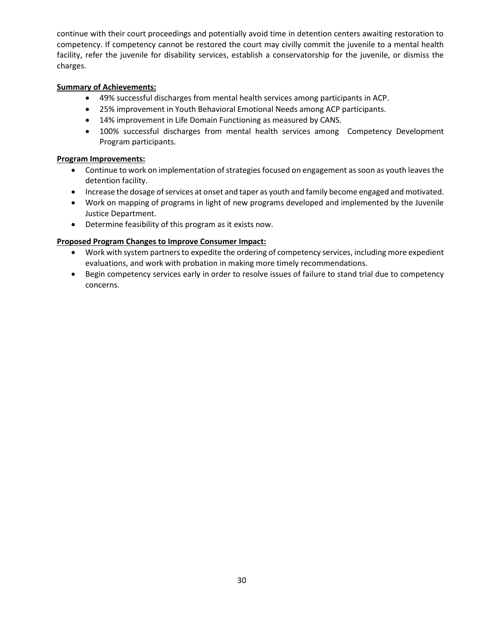continue with their court proceedings and potentially avoid time in detention centers awaiting restoration to competency. If competency cannot be restored the court may civilly commit the juvenile to a mental health facility, refer the juvenile for disability services, establish a conservatorship for the juvenile, or dismiss the charges.

#### **Summary of Achievements:**

- 49% successful discharges from mental health services among participants in ACP.
- 25% improvement in Youth Behavioral Emotional Needs among ACP participants.
- 14% improvement in Life Domain Functioning as measured by CANS.
- 100% successful discharges from mental health services among Competency Development Program participants.

#### **Program Improvements:**

- Continue to work on implementation of strategies focused on engagement as soon as youth leaves the detention facility.
- Increase the dosage of services at onset and taper as youth and family become engaged and motivated.
- Work on mapping of programs in light of new programs developed and implemented by the Juvenile Justice Department.
- Determine feasibility of this program as it exists now.

#### **Proposed Program Changes to Improve Consumer Impact:**

- Work with system partners to expedite the ordering of competency services, including more expedient evaluations, and work with probation in making more timely recommendations.
- Begin competency services early in order to resolve issues of failure to stand trial due to competency concerns.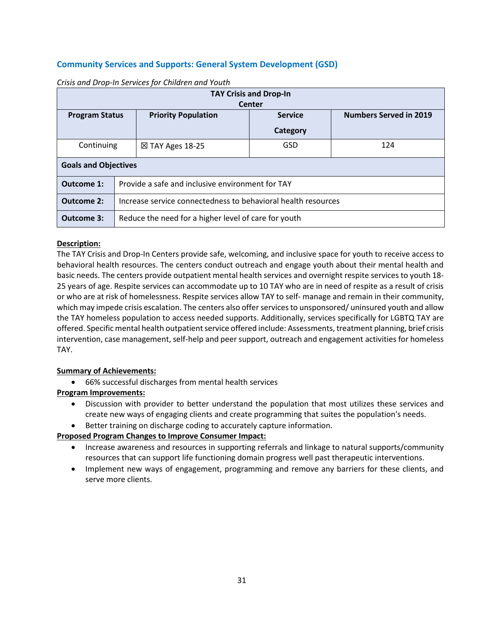## **Community Services and Supports: General System Development (GSD)**

| <b>TAY Crisis and Drop-In</b>                                                                                           |                                                  |                                                               |          |  |  |
|-------------------------------------------------------------------------------------------------------------------------|--------------------------------------------------|---------------------------------------------------------------|----------|--|--|
| <b>Center</b><br><b>Numbers Served in 2019</b><br><b>Priority Population</b><br><b>Service</b><br><b>Program Status</b> |                                                  |                                                               |          |  |  |
|                                                                                                                         |                                                  |                                                               | Category |  |  |
| Continuing                                                                                                              | GSD<br>124<br>$\boxtimes$ TAY Ages 18-25         |                                                               |          |  |  |
| <b>Goals and Objectives</b>                                                                                             |                                                  |                                                               |          |  |  |
| Outcome 1:                                                                                                              | Provide a safe and inclusive environment for TAY |                                                               |          |  |  |
| <b>Outcome 2:</b>                                                                                                       |                                                  | Increase service connectedness to behavioral health resources |          |  |  |
| Outcome 3:                                                                                                              |                                                  | Reduce the need for a higher level of care for youth          |          |  |  |

*Crisis and Drop-In Services for Children and Youth*

#### **Description:**

The TAY Crisis and Drop-In Centers provide safe, welcoming, and inclusive space for youth to receive access to behavioral health resources. The centers conduct outreach and engage youth about their mental health and basic needs. The centers provide outpatient mental health services and overnight respite services to youth 18- 25 years of age. Respite services can accommodate up to 10 TAY who are in need of respite as a result of crisis or who are at risk of homelessness. Respite services allow TAY to self- manage and remain in their community, which may impede crisis escalation. The centers also offer services to unsponsored/ uninsured youth and allow the TAY homeless population to access needed supports. Additionally, services specifically for LGBTQ TAY are offered. Specific mental health outpatient service offered include: Assessments, treatment planning, brief crisis intervention, case management, self-help and peer support, outreach and engagement activities for homeless TAY.

#### **Summary of Achievements:**

• 66% successful discharges from mental health services

#### **Program Improvements:**

- Discussion with provider to better understand the population that most utilizes these services and create new ways of engaging clients and create programming that suites the population's needs.
- Better training on discharge coding to accurately capture information.

#### **Proposed Program Changes to Improve Consumer Impact:**

- Increase awareness and resources in supporting referrals and linkage to natural supports/community resources that can support life functioning domain progress well past therapeutic interventions.
- Implement new ways of engagement, programming and remove any barriers for these clients, and serve more clients.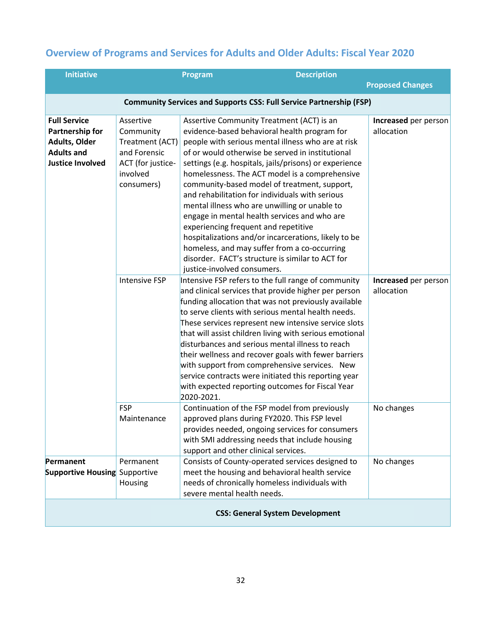## **Overview of Programs and Services for Adults and Older Adults: Fiscal Year 2020**

| <b>Initiative</b>                                                                                       |                                                                                                          | Program                                   | <b>Description</b>                                                                                                                                                                                                                                                                                                                                                                                                                                                                                                                                                                                                                                                              |                                    |
|---------------------------------------------------------------------------------------------------------|----------------------------------------------------------------------------------------------------------|-------------------------------------------|---------------------------------------------------------------------------------------------------------------------------------------------------------------------------------------------------------------------------------------------------------------------------------------------------------------------------------------------------------------------------------------------------------------------------------------------------------------------------------------------------------------------------------------------------------------------------------------------------------------------------------------------------------------------------------|------------------------------------|
|                                                                                                         |                                                                                                          |                                           |                                                                                                                                                                                                                                                                                                                                                                                                                                                                                                                                                                                                                                                                                 | <b>Proposed Changes</b>            |
|                                                                                                         |                                                                                                          |                                           | <b>Community Services and Supports CSS: Full Service Partnership (FSP)</b>                                                                                                                                                                                                                                                                                                                                                                                                                                                                                                                                                                                                      |                                    |
| <b>Full Service</b><br>Partnership for<br>Adults, Older<br><b>Adults and</b><br><b>Justice Involved</b> | Assertive<br>Community<br>Treatment (ACT)<br>and Forensic<br>ACT (for justice-<br>involved<br>consumers) | experiencing frequent and repetitive      | Assertive Community Treatment (ACT) is an<br>evidence-based behavioral health program for<br>people with serious mental illness who are at risk<br>of or would otherwise be served in institutional<br>settings (e.g. hospitals, jails/prisons) or experience<br>homelessness. The ACT model is a comprehensive<br>community-based model of treatment, support,<br>and rehabilitation for individuals with serious<br>mental illness who are unwilling or unable to<br>engage in mental health services and who are<br>hospitalizations and/or incarcerations, likely to be<br>homeless, and may suffer from a co-occurring<br>disorder. FACT's structure is similar to ACT for | Increased per person<br>allocation |
|                                                                                                         | <b>Intensive FSP</b>                                                                                     | justice-involved consumers.<br>2020-2021. | Intensive FSP refers to the full range of community<br>and clinical services that provide higher per person<br>funding allocation that was not previously available<br>to serve clients with serious mental health needs.<br>These services represent new intensive service slots<br>that will assist children living with serious emotional<br>disturbances and serious mental illness to reach<br>their wellness and recover goals with fewer barriers<br>with support from comprehensive services. New<br>service contracts were initiated this reporting year<br>with expected reporting outcomes for Fiscal Year                                                           | Increased per person<br>allocation |
|                                                                                                         | <b>FSP</b><br>Maintenance                                                                                | support and other clinical services.      | Continuation of the FSP model from previously<br>approved plans during FY2020. This FSP level<br>provides needed, ongoing services for consumers<br>with SMI addressing needs that include housing                                                                                                                                                                                                                                                                                                                                                                                                                                                                              | No changes                         |
| Permanent<br><b>Supportive Housing Supportive</b>                                                       | Permanent<br>Housing                                                                                     | severe mental health needs.               | Consists of County-operated services designed to<br>meet the housing and behavioral health service<br>needs of chronically homeless individuals with                                                                                                                                                                                                                                                                                                                                                                                                                                                                                                                            | No changes                         |
| <b>CSS: General System Development</b>                                                                  |                                                                                                          |                                           |                                                                                                                                                                                                                                                                                                                                                                                                                                                                                                                                                                                                                                                                                 |                                    |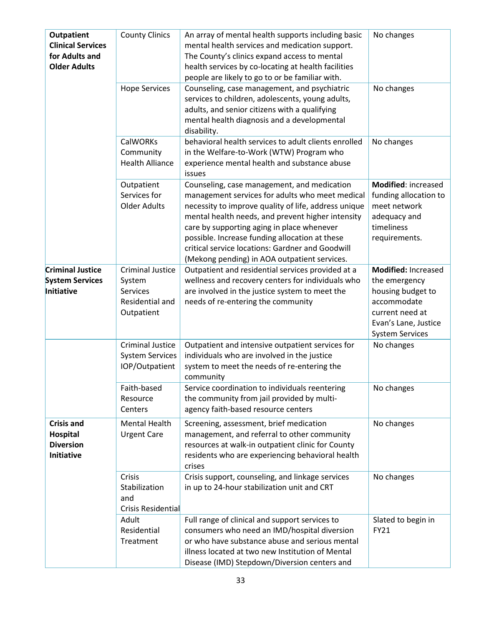| <b>Outpatient</b><br><b>Clinical Services</b><br>for Adults and<br><b>Older Adults</b> | <b>County Clinics</b><br><b>Hope Services</b><br><b>CalWORKs</b><br>Community  | An array of mental health supports including basic<br>mental health services and medication support.<br>The County's clinics expand access to mental<br>health services by co-locating at health facilities<br>people are likely to go to or be familiar with.<br>Counseling, case management, and psychiatric<br>services to children, adolescents, young adults,<br>adults, and senior citizens with a qualifying<br>mental health diagnosis and a developmental<br>disability.<br>behavioral health services to adult clients enrolled<br>in the Welfare-to-Work (WTW) Program who | No changes<br>No changes<br>No changes                                                                                                        |
|----------------------------------------------------------------------------------------|--------------------------------------------------------------------------------|---------------------------------------------------------------------------------------------------------------------------------------------------------------------------------------------------------------------------------------------------------------------------------------------------------------------------------------------------------------------------------------------------------------------------------------------------------------------------------------------------------------------------------------------------------------------------------------|-----------------------------------------------------------------------------------------------------------------------------------------------|
|                                                                                        | <b>Health Alliance</b>                                                         | experience mental health and substance abuse<br>issues                                                                                                                                                                                                                                                                                                                                                                                                                                                                                                                                |                                                                                                                                               |
|                                                                                        | Outpatient<br>Services for<br><b>Older Adults</b>                              | Counseling, case management, and medication<br>management services for adults who meet medical<br>necessity to improve quality of life, address unique<br>mental health needs, and prevent higher intensity<br>care by supporting aging in place whenever<br>possible. Increase funding allocation at these<br>critical service locations: Gardner and Goodwill<br>(Mekong pending) in AOA outpatient services.                                                                                                                                                                       | Modified: increased<br>funding allocation to<br>meet network<br>adequacy and<br>timeliness<br>requirements.                                   |
| <b>Criminal Justice</b><br><b>System Services</b><br>Initiative                        | <b>Criminal Justice</b><br>System<br>Services<br>Residential and<br>Outpatient | Outpatient and residential services provided at a<br>wellness and recovery centers for individuals who<br>are involved in the justice system to meet the<br>needs of re-entering the community                                                                                                                                                                                                                                                                                                                                                                                        | Modified: Increased<br>the emergency<br>housing budget to<br>accommodate<br>current need at<br>Evan's Lane, Justice<br><b>System Services</b> |
|                                                                                        | Criminal Justice<br><b>System Services</b><br>IOP/Outpatient                   | Outpatient and intensive outpatient services for<br>individuals who are involved in the justice<br>system to meet the needs of re-entering the<br>community                                                                                                                                                                                                                                                                                                                                                                                                                           | No changes                                                                                                                                    |
|                                                                                        | Faith-based<br>Resource<br>Centers                                             | Service coordination to individuals reentering<br>the community from jail provided by multi-<br>agency faith-based resource centers                                                                                                                                                                                                                                                                                                                                                                                                                                                   | No changes                                                                                                                                    |
| <b>Crisis and</b><br>Hospital<br><b>Diversion</b><br><b>Initiative</b>                 | <b>Mental Health</b><br><b>Urgent Care</b>                                     | Screening, assessment, brief medication<br>management, and referral to other community<br>resources at walk-in outpatient clinic for County<br>residents who are experiencing behavioral health<br>crises                                                                                                                                                                                                                                                                                                                                                                             | No changes                                                                                                                                    |
|                                                                                        | Crisis<br>Stabilization<br>and<br>Crisis Residential                           | Crisis support, counseling, and linkage services<br>in up to 24-hour stabilization unit and CRT                                                                                                                                                                                                                                                                                                                                                                                                                                                                                       | No changes                                                                                                                                    |
|                                                                                        | Adult<br>Residential<br>Treatment                                              | Full range of clinical and support services to<br>consumers who need an IMD/hospital diversion<br>or who have substance abuse and serious mental<br>illness located at two new Institution of Mental<br>Disease (IMD) Stepdown/Diversion centers and                                                                                                                                                                                                                                                                                                                                  | Slated to begin in<br><b>FY21</b>                                                                                                             |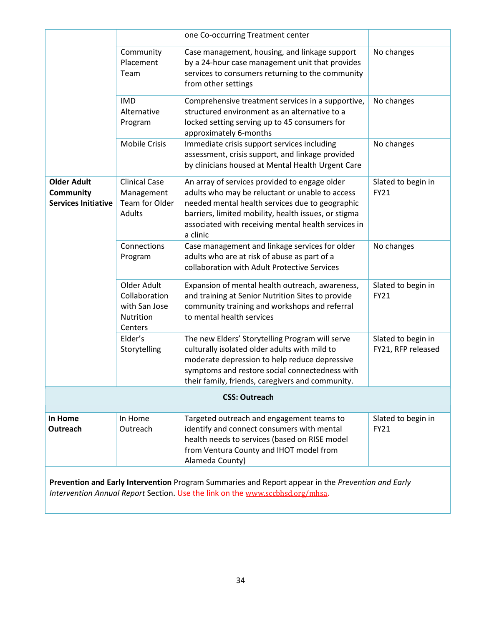|                                                                      |                                                                                                                                                                                    | one Co-occurring Treatment center                                                                                                                                                                                                                                              |                                          |  |  |
|----------------------------------------------------------------------|------------------------------------------------------------------------------------------------------------------------------------------------------------------------------------|--------------------------------------------------------------------------------------------------------------------------------------------------------------------------------------------------------------------------------------------------------------------------------|------------------------------------------|--|--|
|                                                                      | Community<br>Placement<br>Team                                                                                                                                                     | Case management, housing, and linkage support<br>by a 24-hour case management unit that provides<br>services to consumers returning to the community<br>from other settings                                                                                                    | No changes                               |  |  |
|                                                                      | <b>IMD</b><br>Alternative<br>Program                                                                                                                                               | Comprehensive treatment services in a supportive,<br>structured environment as an alternative to a<br>locked setting serving up to 45 consumers for<br>approximately 6-months                                                                                                  | No changes                               |  |  |
|                                                                      | <b>Mobile Crisis</b>                                                                                                                                                               | Immediate crisis support services including<br>assessment, crisis support, and linkage provided<br>by clinicians housed at Mental Health Urgent Care                                                                                                                           | No changes                               |  |  |
| <b>Older Adult</b><br><b>Community</b><br><b>Services Initiative</b> | <b>Clinical Case</b><br>Management<br>Team for Older<br>Adults                                                                                                                     | An array of services provided to engage older<br>adults who may be reluctant or unable to access<br>needed mental health services due to geographic<br>barriers, limited mobility, health issues, or stigma<br>associated with receiving mental health services in<br>a clinic | Slated to begin in<br>FY21               |  |  |
|                                                                      | Connections<br>Program                                                                                                                                                             | Case management and linkage services for older<br>adults who are at risk of abuse as part of a<br>collaboration with Adult Protective Services                                                                                                                                 | No changes                               |  |  |
|                                                                      | Older Adult<br>Collaboration<br>with San Jose<br>Nutrition<br>Centers                                                                                                              | Expansion of mental health outreach, awareness,<br>and training at Senior Nutrition Sites to provide<br>community training and workshops and referral<br>to mental health services                                                                                             | Slated to begin in<br><b>FY21</b>        |  |  |
|                                                                      | Elder's<br>Storytelling                                                                                                                                                            | The new Elders' Storytelling Program will serve<br>culturally isolated older adults with mild to<br>moderate depression to help reduce depressive<br>symptoms and restore social connectedness with<br>their family, friends, caregivers and community.                        | Slated to begin in<br>FY21, RFP released |  |  |
|                                                                      |                                                                                                                                                                                    | <b>CSS: Outreach</b>                                                                                                                                                                                                                                                           |                                          |  |  |
| In Home<br>Outreach                                                  | In Home<br>Outreach                                                                                                                                                                | Targeted outreach and engagement teams to<br>identify and connect consumers with mental<br>health needs to services (based on RISE model<br>from Ventura County and IHOT model from<br>Alameda County)                                                                         | Slated to begin in<br>FY21               |  |  |
|                                                                      | Prevention and Early Intervention Program Summaries and Report appear in the Prevention and Early<br>Intervention Annual Report Section. Use the link on the www.sccbhsd.org/mhsa. |                                                                                                                                                                                                                                                                                |                                          |  |  |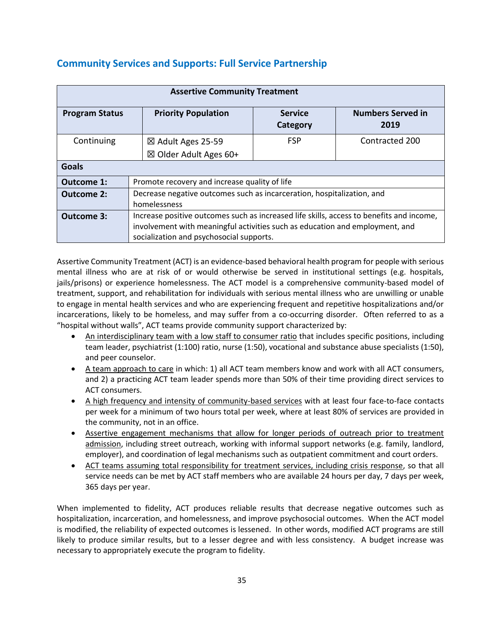| <b>Assertive Community Treatment</b> |                                                                                          |                            |                                  |
|--------------------------------------|------------------------------------------------------------------------------------------|----------------------------|----------------------------------|
| <b>Program Status</b>                | <b>Priority Population</b>                                                               | <b>Service</b><br>Category | <b>Numbers Served in</b><br>2019 |
| Continuing                           | $\boxtimes$ Adult Ages 25-59                                                             | <b>FSP</b>                 | Contracted 200                   |
|                                      | $\boxtimes$ Older Adult Ages 60+                                                         |                            |                                  |
| <b>Goals</b>                         |                                                                                          |                            |                                  |
| <b>Outcome 1:</b>                    | Promote recovery and increase quality of life                                            |                            |                                  |
| <b>Outcome 2:</b>                    | Decrease negative outcomes such as incarceration, hospitalization, and                   |                            |                                  |
|                                      | homelessness                                                                             |                            |                                  |
| <b>Outcome 3:</b>                    | Increase positive outcomes such as increased life skills, access to benefits and income, |                            |                                  |
|                                      | involvement with meaningful activities such as education and employment, and             |                            |                                  |
|                                      | socialization and psychosocial supports.                                                 |                            |                                  |

Assertive Community Treatment (ACT) is an evidence-based behavioral health program for people with serious mental illness who are at risk of or would otherwise be served in institutional settings (e.g. hospitals, jails/prisons) or experience homelessness. The ACT model is a comprehensive community-based model of treatment, support, and rehabilitation for individuals with serious mental illness who are unwilling or unable to engage in mental health services and who are experiencing frequent and repetitive hospitalizations and/or incarcerations, likely to be homeless, and may suffer from a co-occurring disorder. Often referred to as a "hospital without walls", ACT teams provide community support characterized by:

- An interdisciplinary team with a low staff to consumer ratio that includes specific positions, including team leader, psychiatrist (1:100) ratio, nurse (1:50), vocational and substance abuse specialists (1:50), and peer counselor.
- A team approach to care in which: 1) all ACT team members know and work with all ACT consumers, and 2) a practicing ACT team leader spends more than 50% of their time providing direct services to ACT consumers.
- A high frequency and intensity of community-based services with at least four face-to-face contacts per week for a minimum of two hours total per week, where at least 80% of services are provided in the community, not in an office.
- Assertive engagement mechanisms that allow for longer periods of outreach prior to treatment admission, including street outreach, working with informal support networks (e.g. family, landlord, employer), and coordination of legal mechanisms such as outpatient commitment and court orders.
- ACT teams assuming total responsibility for treatment services, including crisis response, so that all service needs can be met by ACT staff members who are available 24 hours per day, 7 days per week, 365 days per year.

When implemented to fidelity, ACT produces reliable results that decrease negative outcomes such as hospitalization, incarceration, and homelessness, and improve psychosocial outcomes. When the ACT model is modified, the reliability of expected outcomes is lessened. In other words, modified ACT programs are still likely to produce similar results, but to a lesser degree and with less consistency. A budget increase was necessary to appropriately execute the program to fidelity.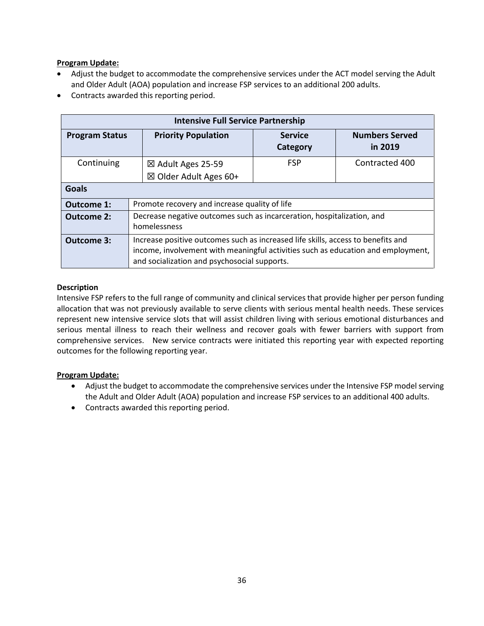#### **Program Update:**

- Adjust the budget to accommodate the comprehensive services under the ACT model serving the Adult and Older Adult (AOA) population and increase FSP services to an additional 200 adults.
- Contracts awarded this reporting period.

|                       | <b>Intensive Full Service Partnership</b>                                                                                                                                                                            |                                  |                            |                                  |
|-----------------------|----------------------------------------------------------------------------------------------------------------------------------------------------------------------------------------------------------------------|----------------------------------|----------------------------|----------------------------------|
| <b>Program Status</b> |                                                                                                                                                                                                                      | <b>Priority Population</b>       | <b>Service</b><br>Category | <b>Numbers Served</b><br>in 2019 |
| Continuing            |                                                                                                                                                                                                                      | $\boxtimes$ Adult Ages 25-59     | <b>FSP</b>                 | Contracted 400                   |
|                       |                                                                                                                                                                                                                      | $\boxtimes$ Older Adult Ages 60+ |                            |                                  |
| Goals                 |                                                                                                                                                                                                                      |                                  |                            |                                  |
| <b>Outcome 1:</b>     | Promote recovery and increase quality of life                                                                                                                                                                        |                                  |                            |                                  |
| <b>Outcome 2:</b>     | Decrease negative outcomes such as incarceration, hospitalization, and<br>homelessness                                                                                                                               |                                  |                            |                                  |
| <b>Outcome 3:</b>     | Increase positive outcomes such as increased life skills, access to benefits and<br>income, involvement with meaningful activities such as education and employment,<br>and socialization and psychosocial supports. |                                  |                            |                                  |

#### **Description**

Intensive FSP refers to the full range of community and clinical services that provide higher per person funding allocation that was not previously available to serve clients with serious mental health needs. These services represent new intensive service slots that will assist children living with serious emotional disturbances and serious mental illness to reach their wellness and recover goals with fewer barriers with support from comprehensive services. New service contracts were initiated this reporting year with expected reporting outcomes for the following reporting year.

#### **Program Update:**

- Adjust the budget to accommodate the comprehensive services under the Intensive FSP model serving the Adult and Older Adult (AOA) population and increase FSP services to an additional 400 adults.
- Contracts awarded this reporting period.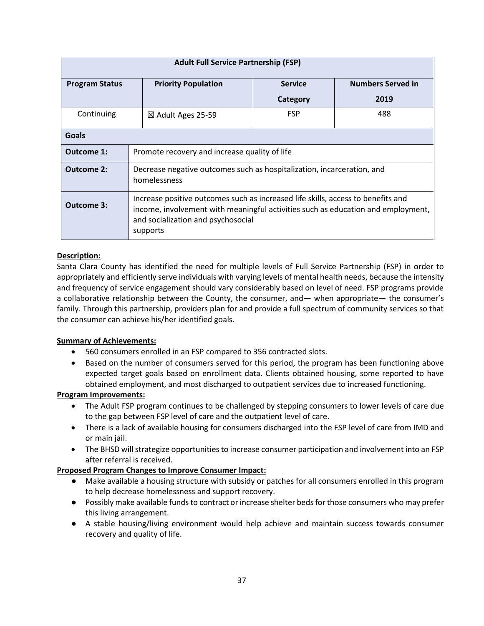| <b>Adult Full Service Partnership (FSP)</b> |                                                                                                                                                                                                                        |                |                          |
|---------------------------------------------|------------------------------------------------------------------------------------------------------------------------------------------------------------------------------------------------------------------------|----------------|--------------------------|
| <b>Program Status</b>                       | <b>Priority Population</b>                                                                                                                                                                                             | <b>Service</b> | <b>Numbers Served in</b> |
|                                             |                                                                                                                                                                                                                        | Category       | 2019                     |
| Continuing                                  | <b>FSP</b><br>488<br>⊠ Adult Ages 25-59                                                                                                                                                                                |                |                          |
| Goals                                       |                                                                                                                                                                                                                        |                |                          |
| Outcome 1:                                  | Promote recovery and increase quality of life                                                                                                                                                                          |                |                          |
| Outcome 2:                                  | Decrease negative outcomes such as hospitalization, incarceration, and<br>homelessness                                                                                                                                 |                |                          |
| <b>Outcome 3:</b>                           | Increase positive outcomes such as increased life skills, access to benefits and<br>income, involvement with meaningful activities such as education and employment,<br>and socialization and psychosocial<br>supports |                |                          |

#### **Description:**

Santa Clara County has identified the need for multiple levels of Full Service Partnership (FSP) in order to appropriately and efficiently serve individuals with varying levels of mental health needs, because the intensity and frequency of service engagement should vary considerably based on level of need. FSP programs provide a collaborative relationship between the County, the consumer, and— when appropriate— the consumer's family. Through this partnership, providers plan for and provide a full spectrum of community services so that the consumer can achieve his/her identified goals.

#### **Summary of Achievements:**

- 560 consumers enrolled in an FSP compared to 356 contracted slots.
- Based on the number of consumers served for this period, the program has been functioning above expected target goals based on enrollment data. Clients obtained housing, some reported to have obtained employment, and most discharged to outpatient services due to increased functioning.

#### **Program Improvements:**

- The Adult FSP program continues to be challenged by stepping consumers to lower levels of care due to the gap between FSP level of care and the outpatient level of care.
- There is a lack of available housing for consumers discharged into the FSP level of care from IMD and or main jail.
- The BHSD will strategize opportunities to increase consumer participation and involvement into an FSP after referral is received.

#### **Proposed Program Changes to Improve Consumer Impact:**

- Make available a housing structure with subsidy or patches for all consumers enrolled in this program to help decrease homelessness and support recovery.
- Possibly make available funds to contract or increase shelter beds for those consumers who may prefer this living arrangement.
- A stable housing/living environment would help achieve and maintain success towards consumer recovery and quality of life.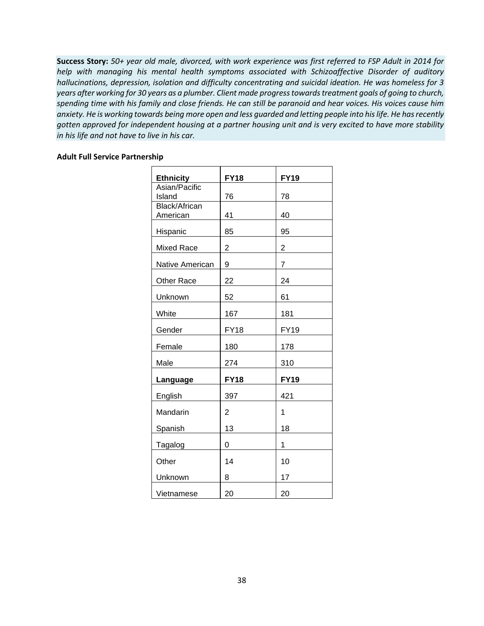**Success Story:** *50+ year old male, divorced, with work experience was first referred to FSP Adult in 2014 for help with managing his mental health symptoms associated with Schizoaffective Disorder of auditory hallucinations, depression, isolation and difficulty concentrating and suicidal ideation. He was homeless for 3 years after working for 30 years as a plumber. Client made progress towards treatment goals of going to church, spending time with his family and close friends. He can still be paranoid and hear voices. His voices cause him anxiety. He is working towards being more open and less guarded and letting people into his life. He has recently gotten approved for independent housing at a partner housing unit and is very excited to have more stability in his life and not have to live in his car.*

#### **Adult Full Service Partnership**

| <b>Ethnicity</b>          | <b>FY18</b>    | <b>FY19</b>    |
|---------------------------|----------------|----------------|
| Asian/Pacific<br>Island   | 76             | 78             |
| Black/African<br>American | 41             | 40             |
| Hispanic                  | 85             | 95             |
| Mixed Race                | $\overline{2}$ | $\overline{2}$ |
| Native American           | 9              | 7              |
| Other Race                | 22             | 24             |
| Unknown                   | 52             | 61             |
| White                     | 167            | 181            |
| Gender                    | <b>FY18</b>    | <b>FY19</b>    |
| Female                    | 180            | 178            |
| Male                      | 274            | 310            |
| Language                  | <b>FY18</b>    | <b>FY19</b>    |
| English                   | 397            | 421            |
| Mandarin                  | $\overline{2}$ | 1              |
| <b>Spanish</b>            | 13             | 18             |
| Tagalog                   | 0              | 1              |
| Other                     | 14             | 10             |
| Unknown                   | 8              | 17             |
| Vietnamese                | 20             | 20             |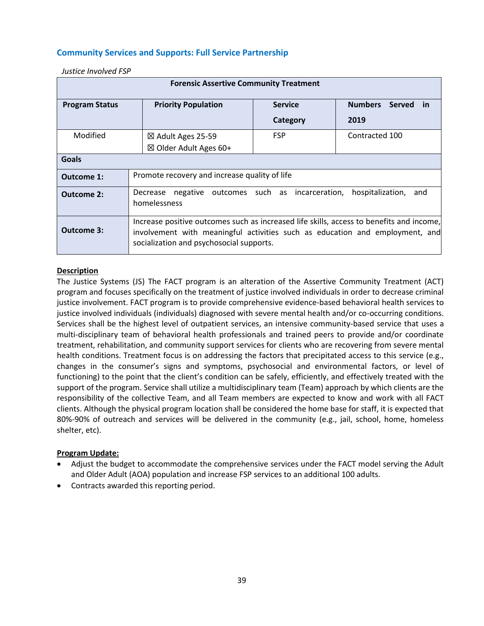#### **Community Services and Supports: Full Service Partnership**

| <b>Forensic Assertive Community Treatment</b> |                                                                                                                                                                                                                      |                |                                              |  |
|-----------------------------------------------|----------------------------------------------------------------------------------------------------------------------------------------------------------------------------------------------------------------------|----------------|----------------------------------------------|--|
| <b>Program Status</b>                         | <b>Priority Population</b>                                                                                                                                                                                           | <b>Service</b> | <b>Numbers</b><br><b>Served</b><br><u>in</u> |  |
|                                               |                                                                                                                                                                                                                      | Category       | 2019                                         |  |
| Modified                                      | ⊠ Adult Ages 25-59                                                                                                                                                                                                   | <b>FSP</b>     | Contracted 100                               |  |
|                                               | ⊠ Older Adult Ages 60+                                                                                                                                                                                               |                |                                              |  |
| <b>Goals</b>                                  |                                                                                                                                                                                                                      |                |                                              |  |
| Outcome 1:                                    | Promote recovery and increase quality of life                                                                                                                                                                        |                |                                              |  |
| <b>Outcome 2:</b>                             | negative outcomes such as incarceration,<br>hospitalization,<br>and<br>Decrease<br>homelessness                                                                                                                      |                |                                              |  |
| Outcome 3:                                    | Increase positive outcomes such as increased life skills, access to benefits and income,<br>involvement with meaningful activities such as education and employment, and<br>socialization and psychosocial supports. |                |                                              |  |

*Justice Involved FSP*

#### **Description**

The Justice Systems (JS) The FACT program is an alteration of the Assertive Community Treatment (ACT) program and focuses specifically on the treatment of justice involved individuals in order to decrease criminal justice involvement. FACT program is to provide comprehensive evidence-based behavioral health services to justice involved individuals (individuals) diagnosed with severe mental health and/or co-occurring conditions. Services shall be the highest level of outpatient services, an intensive community-based service that uses a multi-disciplinary team of behavioral health professionals and trained peers to provide and/or coordinate treatment, rehabilitation, and community support services for clients who are recovering from severe mental health conditions. Treatment focus is on addressing the factors that precipitated access to this service (e.g., changes in the consumer's signs and symptoms, psychosocial and environmental factors, or level of functioning) to the point that the client's condition can be safely, efficiently, and effectively treated with the support of the program. Service shall utilize a multidisciplinary team (Team) approach by which clients are the responsibility of the collective Team, and all Team members are expected to know and work with all FACT clients. Although the physical program location shall be considered the home base for staff, it is expected that 80%-90% of outreach and services will be delivered in the community (e.g., jail, school, home, homeless shelter, etc).

#### **Program Update:**

- Adjust the budget to accommodate the comprehensive services under the FACT model serving the Adult and Older Adult (AOA) population and increase FSP services to an additional 100 adults.
- Contracts awarded this reporting period.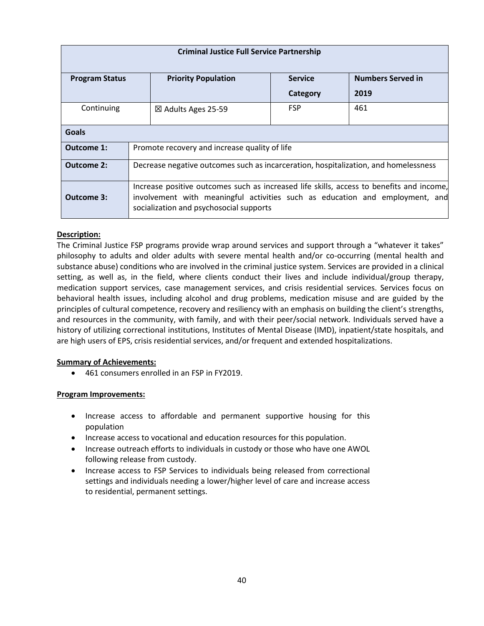| <b>Criminal Justice Full Service Partnership</b> |                                                                                                                                                                                                                     |                                               |                |                          |
|--------------------------------------------------|---------------------------------------------------------------------------------------------------------------------------------------------------------------------------------------------------------------------|-----------------------------------------------|----------------|--------------------------|
| <b>Program Status</b>                            |                                                                                                                                                                                                                     | <b>Priority Population</b>                    | <b>Service</b> | <b>Numbers Served in</b> |
|                                                  |                                                                                                                                                                                                                     |                                               | Category       | 2019                     |
| Continuing                                       |                                                                                                                                                                                                                     | $\boxtimes$ Adults Ages 25-59                 | <b>FSP</b>     | 461                      |
| <b>Goals</b>                                     |                                                                                                                                                                                                                     |                                               |                |                          |
| Outcome 1:                                       |                                                                                                                                                                                                                     | Promote recovery and increase quality of life |                |                          |
| Outcome 2:                                       | Decrease negative outcomes such as incarceration, hospitalization, and homelessness                                                                                                                                 |                                               |                |                          |
| Outcome 3:                                       | Increase positive outcomes such as increased life skills, access to benefits and income,<br>involvement with meaningful activities such as education and employment, and<br>socialization and psychosocial supports |                                               |                |                          |

#### **Description:**

The Criminal Justice FSP programs provide wrap around services and support through a "whatever it takes" philosophy to adults and older adults with severe mental health and/or co-occurring (mental health and substance abuse) conditions who are involved in the criminal justice system. Services are provided in a clinical setting, as well as, in the field, where clients conduct their lives and include individual/group therapy, medication support services, case management services, and crisis residential services. Services focus on behavioral health issues, including alcohol and drug problems, medication misuse and are guided by the principles of cultural competence, recovery and resiliency with an emphasis on building the client's strengths, and resources in the community, with family, and with their peer/social network. Individuals served have a history of utilizing correctional institutions, Institutes of Mental Disease (IMD), inpatient/state hospitals, and are high users of EPS, crisis residential services, and/or frequent and extended hospitalizations.

#### **Summary of Achievements:**

• 461 consumers enrolled in an FSP in FY2019.

- Increase access to affordable and permanent supportive housing for this population
- Increase access to vocational and education resources for this population.
- Increase outreach efforts to individuals in custody or those who have one AWOL following release from custody.
- Increase access to FSP Services to individuals being released from correctional settings and individuals needing a lower/higher level of care and increase access to residential, permanent settings.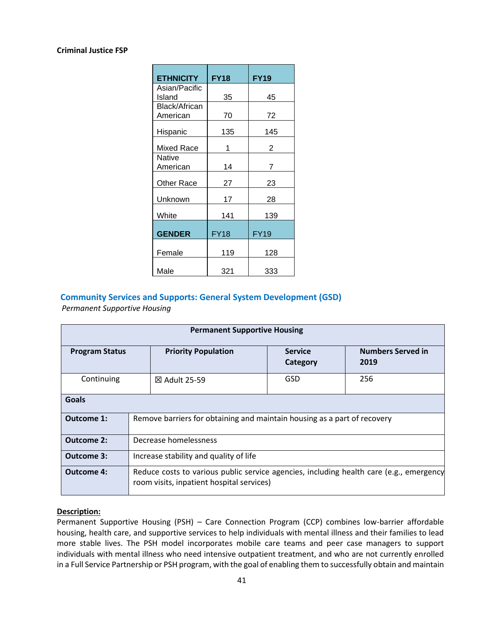#### **Criminal Justice FSP**

| <b>ETHNICITY</b>     | <b>FY18</b> | <b>FY19</b> |
|----------------------|-------------|-------------|
| Asian/Pacific        |             |             |
| Island               | 35          | 45          |
| <b>Black/African</b> |             |             |
| American             | 70          | 72          |
| Hispanic             | 135         | 145         |
| Mixed Race           | 1           | 2           |
| Native               |             |             |
| American             | 14          | 7           |
|                      |             |             |
| <b>Other Race</b>    | 27          | 23          |
| Unknown              | 17          | 28          |
| White                | 141         | 139         |
| <b>GENDER</b>        | <b>FY18</b> | <b>FY19</b> |
| Female               | 119         | 128         |
| Male                 | 321         | 333         |

## **Community Services and Supports: General System Development (GSD)**

*Permanent Supportive Housing*

| <b>Permanent Supportive Housing</b> |                                                                                                                                      |                            |                                  |
|-------------------------------------|--------------------------------------------------------------------------------------------------------------------------------------|----------------------------|----------------------------------|
| <b>Program Status</b>               | <b>Priority Population</b>                                                                                                           | <b>Service</b><br>Category | <b>Numbers Served in</b><br>2019 |
| Continuing                          | 256<br>GSD<br>⊠ Adult 25-59                                                                                                          |                            |                                  |
| Goals                               |                                                                                                                                      |                            |                                  |
| Outcome 1:                          | Remove barriers for obtaining and maintain housing as a part of recovery                                                             |                            |                                  |
| <b>Outcome 2:</b>                   | Decrease homelessness                                                                                                                |                            |                                  |
| <b>Outcome 3:</b>                   | Increase stability and quality of life                                                                                               |                            |                                  |
| <b>Outcome 4:</b>                   | Reduce costs to various public service agencies, including health care (e.g., emergency<br>room visits, inpatient hospital services) |                            |                                  |

#### **Description:**

Permanent Supportive Housing (PSH) – Care Connection Program (CCP) combines low-barrier affordable housing, health care, and supportive services to help individuals with mental illness and their families to lead more stable lives. The PSH model incorporates mobile care teams and peer case managers to support individuals with mental illness who need intensive outpatient treatment, and who are not currently enrolled in a Full Service Partnership or PSH program, with the goal of enabling them to successfully obtain and maintain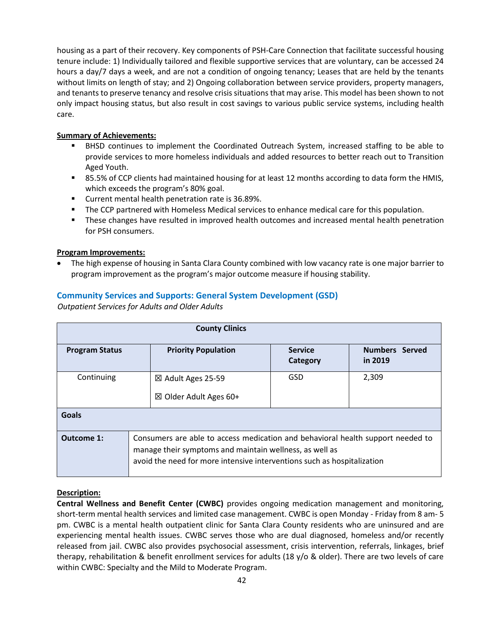housing as a part of their recovery. Key components of PSH-Care Connection that facilitate successful housing tenure include: 1) Individually tailored and flexible supportive services that are voluntary, can be accessed 24 hours a day/7 days a week, and are not a condition of ongoing tenancy; Leases that are held by the tenants without limits on length of stay; and 2) Ongoing collaboration between service providers, property managers, and tenants to preserve tenancy and resolve crisis situations that may arise. This model has been shown to not only impact housing status, but also result in cost savings to various public service systems, including health care.

#### **Summary of Achievements:**

- BHSD continues to implement the Coordinated Outreach System, increased staffing to be able to provide services to more homeless individuals and added resources to better reach out to Transition Aged Youth.
- 85.5% of CCP clients had maintained housing for at least 12 months according to data form the HMIS, which exceeds the program's 80% goal.
- Current mental health penetration rate is 36.89%.
- The CCP partnered with Homeless Medical services to enhance medical care for this population.
- These changes have resulted in improved health outcomes and increased mental health penetration for PSH consumers.

#### **Program Improvements:**

• The high expense of housing in Santa Clara County combined with low vacancy rate is one major barrier to program improvement as the program's major outcome measure if housing stability.

#### **Community Services and Supports: General System Development (GSD)**

 *Outpatient Services for Adults and Older Adults*

|                       | <b>County Clinics</b>                                                                                                                                                                                                 |                                   |                                  |  |  |
|-----------------------|-----------------------------------------------------------------------------------------------------------------------------------------------------------------------------------------------------------------------|-----------------------------------|----------------------------------|--|--|
| <b>Program Status</b> | <b>Priority Population</b>                                                                                                                                                                                            | <b>Service</b><br><b>Category</b> | <b>Numbers</b> Served<br>in 2019 |  |  |
| Continuing            | ⊠ Adult Ages 25-59<br>$\boxtimes$ Older Adult Ages 60+                                                                                                                                                                | GSD                               | 2,309                            |  |  |
| <b>Goals</b>          |                                                                                                                                                                                                                       |                                   |                                  |  |  |
| Outcome 1:            | Consumers are able to access medication and behavioral health support needed to<br>manage their symptoms and maintain wellness, as well as<br>avoid the need for more intensive interventions such as hospitalization |                                   |                                  |  |  |

#### **Description:**

**Central Wellness and Benefit Center (CWBC)** provides ongoing medication management and monitoring, short-term mental health services and limited case management. CWBC is open Monday - Friday from 8 am- 5 pm. CWBC is a mental health outpatient clinic for Santa Clara County residents who are uninsured and are experiencing mental health issues. CWBC serves those who are dual diagnosed, homeless and/or recently released from jail. CWBC also provides psychosocial assessment, crisis intervention, referrals, linkages, brief therapy, rehabilitation & benefit enrollment services for adults (18 y/o & older). There are two levels of care within CWBC: Specialty and the Mild to Moderate Program.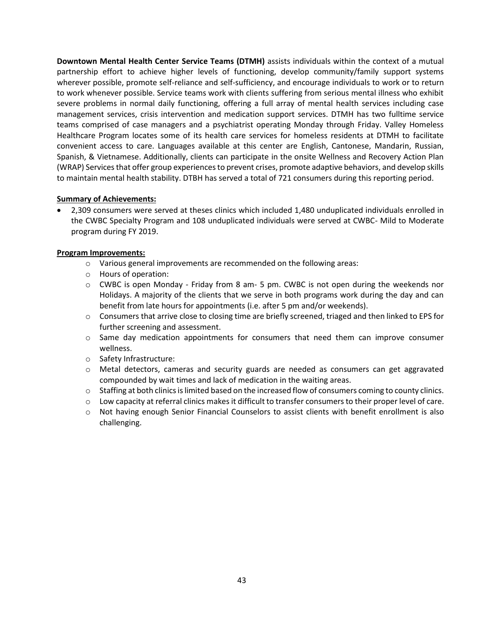**Downtown Mental Health Center Service Teams (DTMH)** assists individuals within the context of a mutual partnership effort to achieve higher levels of functioning, develop community/family support systems wherever possible, promote self-reliance and self-sufficiency, and encourage individuals to work or to return to work whenever possible. Service teams work with clients suffering from serious mental illness who exhibit severe problems in normal daily functioning, offering a full array of mental health services including case management services, crisis intervention and medication support services. DTMH has two fulltime service teams comprised of case managers and a psychiatrist operating Monday through Friday. Valley Homeless Healthcare Program locates some of its health care services for homeless residents at DTMH to facilitate convenient access to care. Languages available at this center are English, Cantonese, Mandarin, Russian, Spanish, & Vietnamese. Additionally, clients can participate in the onsite Wellness and Recovery Action Plan (WRAP) Services that offer group experiences to prevent crises, promote adaptive behaviors, and develop skills to maintain mental health stability. DTBH has served a total of 721 consumers during this reporting period.

#### **Summary of Achievements:**

• 2,309 consumers were served at theses clinics which included 1,480 unduplicated individuals enrolled in the CWBC Specialty Program and 108 unduplicated individuals were served at CWBC- Mild to Moderate program during FY 2019.

- o Various general improvements are recommended on the following areas:
- o Hours of operation:
- $\circ$  CWBC is open Monday Friday from 8 am- 5 pm. CWBC is not open during the weekends nor Holidays. A majority of the clients that we serve in both programs work during the day and can benefit from late hours for appointments (i.e. after 5 pm and/or weekends).
- $\circ$  Consumers that arrive close to closing time are briefly screened, triaged and then linked to EPS for further screening and assessment.
- $\circ$  Same day medication appointments for consumers that need them can improve consumer wellness.
- o Safety Infrastructure:
- o Metal detectors, cameras and security guards are needed as consumers can get aggravated compounded by wait times and lack of medication in the waiting areas.
- $\circ$  Staffing at both clinics is limited based on the increased flow of consumers coming to county clinics.
- $\circ$  Low capacity at referral clinics makes it difficult to transfer consumers to their proper level of care.
- o Not having enough Senior Financial Counselors to assist clients with benefit enrollment is also challenging.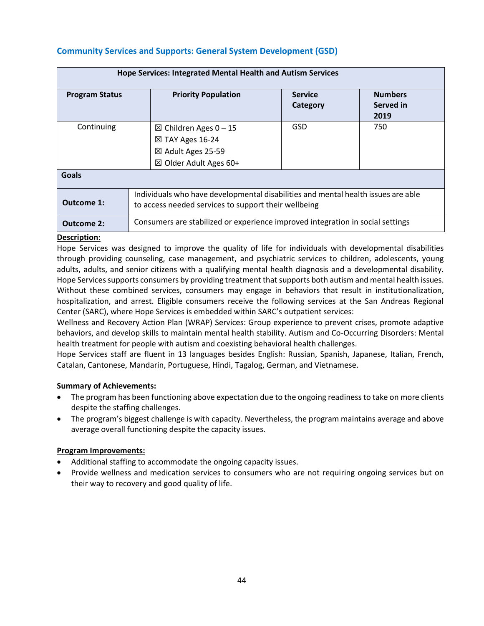## **Community Services and Supports: General System Development (GSD)**

| Hope Services: Integrated Mental Health and Autism Services |                                                                                                                                           |                            |                                     |  |
|-------------------------------------------------------------|-------------------------------------------------------------------------------------------------------------------------------------------|----------------------------|-------------------------------------|--|
| <b>Program Status</b>                                       | <b>Priority Population</b>                                                                                                                | <b>Service</b><br>Category | <b>Numbers</b><br>Served in<br>2019 |  |
| Continuing                                                  | $\boxtimes$ Children Ages 0 − 15<br>⊠ TAY Ages 16-24<br>⊠ Adult Ages 25-59<br>$\boxtimes$ Older Adult Ages 60+                            | GSD                        | 750                                 |  |
| Goals                                                       |                                                                                                                                           |                            |                                     |  |
| Outcome 1:                                                  | Individuals who have developmental disabilities and mental health issues are able<br>to access needed services to support their wellbeing |                            |                                     |  |
| <b>Outcome 2:</b>                                           | Consumers are stabilized or experience improved integration in social settings                                                            |                            |                                     |  |

#### **Description:**

Hope Services was designed to improve the quality of life for individuals with developmental disabilities through providing counseling, case management, and psychiatric services to children, adolescents, young adults, adults, and senior citizens with a qualifying mental health diagnosis and a developmental disability. Hope Services supports consumers by providing treatment that supports both autism and mental health issues. Without these combined services, consumers may engage in behaviors that result in institutionalization, hospitalization, and arrest. Eligible consumers receive the following services at the San Andreas Regional Center (SARC), where Hope Services is embedded within SARC's outpatient services:

Wellness and Recovery Action Plan (WRAP) Services: Group experience to prevent crises, promote adaptive behaviors, and develop skills to maintain mental health stability. Autism and Co-Occurring Disorders: Mental health treatment for people with autism and coexisting behavioral health challenges.

Hope Services staff are fluent in 13 languages besides English: Russian, Spanish, Japanese, Italian, French, Catalan, Cantonese, Mandarin, Portuguese, Hindi, Tagalog, German, and Vietnamese.

#### **Summary of Achievements:**

- The program has been functioning above expectation due to the ongoing readiness to take on more clients despite the staffing challenges.
- The program's biggest challenge is with capacity. Nevertheless, the program maintains average and above average overall functioning despite the capacity issues.

- Additional staffing to accommodate the ongoing capacity issues.
- Provide wellness and medication services to consumers who are not requiring ongoing services but on their way to recovery and good quality of life.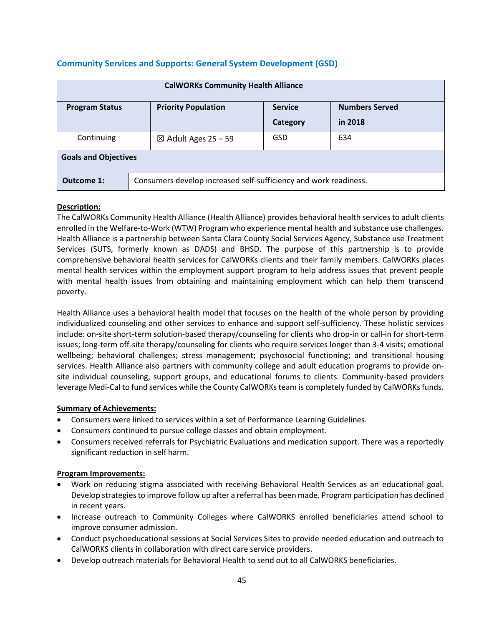|  | <b>Community Services and Supports: General System Development (GSD)</b> |  |
|--|--------------------------------------------------------------------------|--|
|  |                                                                          |  |

| <b>CalWORKs Community Health Alliance</b>                                                      |                                                                  |                 |         |  |  |
|------------------------------------------------------------------------------------------------|------------------------------------------------------------------|-----------------|---------|--|--|
| <b>Priority Population</b><br><b>Numbers Served</b><br><b>Service</b><br><b>Program Status</b> |                                                                  |                 |         |  |  |
|                                                                                                |                                                                  | <b>Category</b> | in 2018 |  |  |
| Continuing                                                                                     | $\boxtimes$ Adult Ages 25 – 59                                   | GSD             | 634     |  |  |
| <b>Goals and Objectives</b>                                                                    |                                                                  |                 |         |  |  |
| Outcome 1:                                                                                     | Consumers develop increased self-sufficiency and work readiness. |                 |         |  |  |

#### **Description:**

The CalWORKs Community Health Alliance (Health Alliance) provides behavioral health services to adult clients enrolled in the Welfare-to-Work (WTW) Program who experience mental health and substance use challenges. Health Alliance is a partnership between Santa Clara County Social Services Agency, Substance use Treatment Services (SUTS, formerly known as DADS) and BHSD. The purpose of this partnership is to provide comprehensive behavioral health services for CalWORKs clients and their family members. CalWORKs places mental health services within the employment support program to help address issues that prevent people with mental health issues from obtaining and maintaining employment which can help them transcend poverty.

Health Alliance uses a behavioral health model that focuses on the health of the whole person by providing individualized counseling and other services to enhance and support self-sufficiency. These holistic services include: on-site short-term solution-based therapy/counseling for clients who drop-in or call-in for short-term issues; long-term off-site therapy/counseling for clients who require services longer than 3-4 visits; emotional wellbeing; behavioral challenges; stress management; psychosocial functioning; and transitional housing services. Health Alliance also partners with community college and adult education programs to provide onsite individual counseling, support groups, and educational forums to clients. Community-based providers leverage Medi-Cal to fund services while the County CalWORKs team is completely funded by CalWORKs funds.

#### **Summary of Achievements:**

- Consumers were linked to services within a set of Performance Learning Guidelines.
- Consumers continued to pursue college classes and obtain employment.
- Consumers received referrals for Psychiatric Evaluations and medication support. There was a reportedly significant reduction in self harm.

- Work on reducing stigma associated with receiving Behavioral Health Services as an educational goal. Develop strategies to improve follow up after a referral has been made. Program participation has declined in recent years.
- Increase outreach to Community Colleges where CalWORKS enrolled beneficiaries attend school to improve consumer admission.
- Conduct psychoeducational sessions at Social Services Sites to provide needed education and outreach to CalWORKS clients in collaboration with direct care service providers.
- Develop outreach materials for Behavioral Health to send out to all CalWORKS beneficiaries.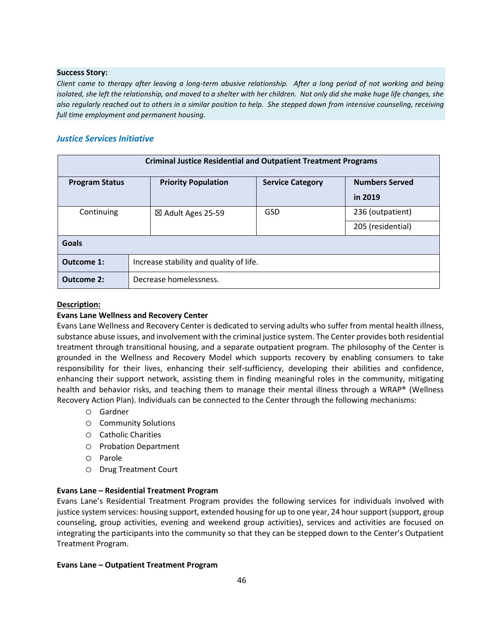#### **Success Story:**

*Client came to therapy after leaving a long-term abusive relationship. After a long period of not working and being isolated, she left the relationship, and moved to a shelter with her children. Not only did she make huge life changes, she also regularly reached out to others in a similar position to help. She stepped down from intensive counseling, receiving full time employment and permanent housing.* 

#### *Justice Services Initiative*

| <b>Criminal Justice Residential and Outpatient Treatment Programs</b> |                                         |                            |                         |                       |  |
|-----------------------------------------------------------------------|-----------------------------------------|----------------------------|-------------------------|-----------------------|--|
| <b>Program Status</b>                                                 |                                         | <b>Priority Population</b> | <b>Service Category</b> | <b>Numbers Served</b> |  |
|                                                                       |                                         |                            |                         | in 2019               |  |
| Continuing                                                            |                                         | ⊠ Adult Ages 25-59         | GSD                     | 236 (outpatient)      |  |
|                                                                       |                                         |                            |                         | 205 (residential)     |  |
| Goals                                                                 |                                         |                            |                         |                       |  |
| Outcome 1:                                                            | Increase stability and quality of life. |                            |                         |                       |  |
| Outcome 2:                                                            | Decrease homelessness.                  |                            |                         |                       |  |

#### **Description:**

#### **Evans Lane Wellness and Recovery Center**

Evans Lane Wellness and Recovery Center is dedicated to serving adults who suffer from mental health illness, substance abuse issues, and involvement with the criminal justice system. The Center provides both residential treatment through transitional housing, and a separate outpatient program. The philosophy of the Center is grounded in the Wellness and Recovery Model which supports recovery by enabling consumers to take responsibility for their lives, enhancing their self-sufficiency, developing their abilities and confidence, enhancing their support network, assisting them in finding meaningful roles in the community, mitigating health and behavior risks, and teaching them to manage their mental illness through a WRAP® (Wellness Recovery Action Plan). Individuals can be connected to the Center through the following mechanisms:

- o Gardner
- o Community Solutions
- o Catholic Charities
- o Probation Department
- o Parole
- o Drug Treatment Court

#### **Evans Lane – Residential Treatment Program**

Evans Lane's Residential Treatment Program provides the following services for individuals involved with justice system services: housing support, extended housing for up to one year, 24 hour support (support, group counseling, group activities, evening and weekend group activities), services and activities are focused on integrating the participants into the community so that they can be stepped down to the Center's Outpatient Treatment Program.

#### **Evans Lane – Outpatient Treatment Program**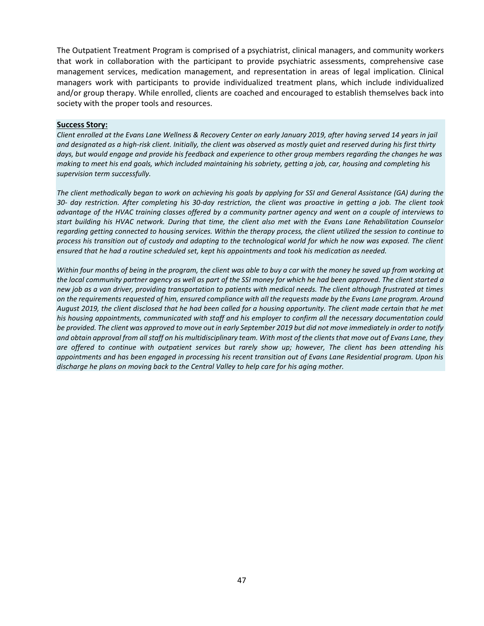The Outpatient Treatment Program is comprised of a psychiatrist, clinical managers, and community workers that work in collaboration with the participant to provide psychiatric assessments, comprehensive case management services, medication management, and representation in areas of legal implication. Clinical managers work with participants to provide individualized treatment plans, which include individualized and/or group therapy. While enrolled, clients are coached and encouraged to establish themselves back into society with the proper tools and resources.

#### **Success Story:**

*Client enrolled at the Evans Lane Wellness & Recovery Center on early January 2019, after having served 14 years in jail and designated as a high-risk client. Initially, the client was observed as mostly quiet and reserved during his first thirty days, but would engage and provide his feedback and experience to other group members regarding the changes he was making to meet his end goals, which included maintaining his sobriety, getting a job, car, housing and completing his supervision term successfully.*

*The client methodically began to work on achieving his goals by applying for SSI and General Assistance (GA) during the 30- day restriction. After completing his 30-day restriction, the client was proactive in getting a job. The client took advantage of the HVAC training classes offered by a community partner agency and went on a couple of interviews to start building his HVAC network. During that time, the client also met with the Evans Lane Rehabilitation Counselor regarding getting connected to housing services. Within the therapy process, the client utilized the session to continue to process his transition out of custody and adapting to the technological world for which he now was exposed. The client ensured that he had a routine scheduled set, kept his appointments and took his medication as needed.* 

*Within four months of being in the program, the client was able to buy a car with the money he saved up from working at the local community partner agency as well as part of the SSI money for which he had been approved. The client started a new job as a van driver, providing transportation to patients with medical needs. The client although frustrated at times on the requirements requested of him, ensured compliance with all the requests made by the Evans Lane program. Around August 2019, the client disclosed that he had been called for a housing opportunity. The client made certain that he met his housing appointments, communicated with staff and his employer to confirm all the necessary documentation could be provided. The client was approved to move out in early September 2019 but did not move immediately in order to notify and obtain approval from all staff on his multidisciplinary team. With most of the clients that move out of Evans Lane, they are offered to continue with outpatient services but rarely show up; however, The client has been attending his appointments and has been engaged in processing his recent transition out of Evans Lane Residential program. Upon his discharge he plans on moving back to the Central Valley to help care for his aging mother.*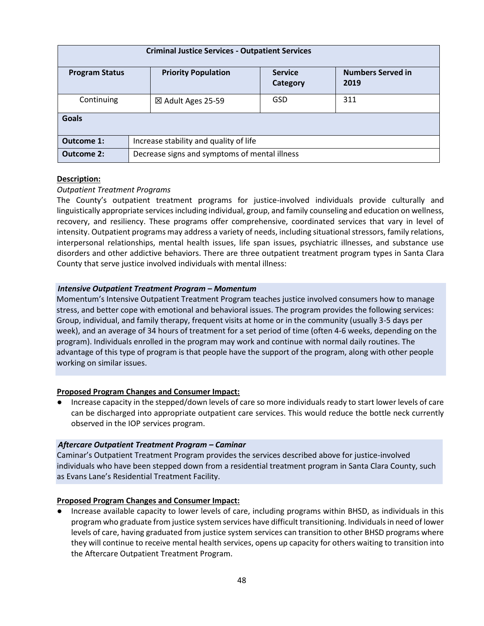| <b>Criminal Justice Services - Outpatient Services</b> |                                               |                            |                                  |  |  |
|--------------------------------------------------------|-----------------------------------------------|----------------------------|----------------------------------|--|--|
| <b>Program Status</b>                                  | <b>Priority Population</b>                    | <b>Service</b><br>Category | <b>Numbers Served in</b><br>2019 |  |  |
| Continuing                                             | ⊠ Adult Ages 25-59                            | GSD                        | 311                              |  |  |
| <b>Goals</b>                                           |                                               |                            |                                  |  |  |
| Outcome 1:                                             | Increase stability and quality of life        |                            |                                  |  |  |
| <b>Outcome 2:</b>                                      | Decrease signs and symptoms of mental illness |                            |                                  |  |  |

#### **Description:**

#### *Outpatient Treatment Programs*

The County's outpatient treatment programs for justice-involved individuals provide culturally and linguistically appropriate services including individual, group, and family counseling and education on wellness, recovery, and resiliency. These programs offer comprehensive, coordinated services that vary in level of intensity. Outpatient programs may address a variety of needs, including situational stressors, family relations, interpersonal relationships, mental health issues, life span issues, psychiatric illnesses, and substance use disorders and other addictive behaviors. There are three outpatient treatment program types in Santa Clara County that serve justice involved individuals with mental illness:

#### *Intensive Outpatient Treatment Program – Momentum*

Momentum's Intensive Outpatient Treatment Program teaches justice involved consumers how to manage stress, and better cope with emotional and behavioral issues. The program provides the following services: Group, individual, and family therapy, frequent visits at home or in the community (usually 3-5 days per week), and an average of 34 hours of treatment for a set period of time (often 4-6 weeks, depending on the program). Individuals enrolled in the program may work and continue with normal daily routines. The advantage of this type of program is that people have the support of the program, along with other people working on similar issues.

#### **Proposed Program Changes and Consumer Impact:**

● Increase capacity in the stepped/down levels of care so more individuals ready to start lower levels of care can be discharged into appropriate outpatient care services. This would reduce the bottle neck currently observed in the IOP services program.

#### *Aftercare Outpatient Treatment Program – Caminar*

Caminar's Outpatient Treatment Program provides the services described above for justice-involved individuals who have been stepped down from a residential treatment program in Santa Clara County, such as Evans Lane's Residential Treatment Facility.

#### **Proposed Program Changes and Consumer Impact:**

Increase available capacity to lower levels of care, including programs within BHSD, as individuals in this program who graduate from justice system services have difficult transitioning. Individuals in need of lower levels of care, having graduated from justice system services can transition to other BHSD programs where they will continue to receive mental health services, opens up capacity for others waiting to transition into the Aftercare Outpatient Treatment Program.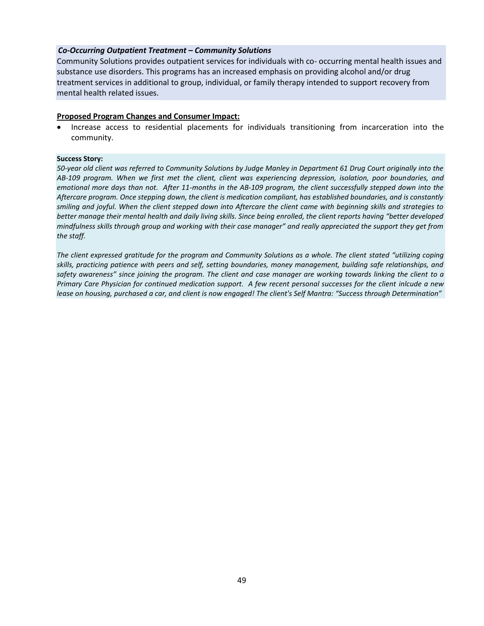#### *Co-Occurring Outpatient Treatment – Community Solutions*

Community Solutions provides outpatient services for individuals with co- occurring mental health issues and substance use disorders. This programs has an increased emphasis on providing alcohol and/or drug treatment services in additional to group, individual, or family therapy intended to support recovery from mental health related issues.

#### **Proposed Program Changes and Consumer Impact:**

• Increase access to residential placements for individuals transitioning from incarceration into the community.

#### **Success Story:**

*50-year old client was referred to Community Solutions by Judge Manley in Department 61 Drug Court originally into the AB-109 program. When we first met the client, client was experiencing depression, isolation, poor boundaries, and emotional more days than not. After 11-months in the AB-109 program, the client successfully stepped down into the Aftercare program. Once stepping down, the client is medication compliant, has established boundaries, and is constantly smiling and joyful. When the client stepped down into Aftercare the client came with beginning skills and strategies to better manage their mental health and daily living skills. Since being enrolled, the client reports having "better developed mindfulness skills through group and working with their case manager" and really appreciated the support they get from the staff.* 

*The client expressed gratitude for the program and Community Solutions as a whole. The client stated "utilizing coping skills, practicing patience with peers and self, setting boundaries, money management, building safe relationships, and safety awareness" since joining the program. The client and case manager are working towards linking the client to a Primary Care Physician for continued medication support. A few recent personal successes for the client inlcude a new lease on housing, purchased a car, and client is now engaged! The client's Self Mantra: "Success through Determination"*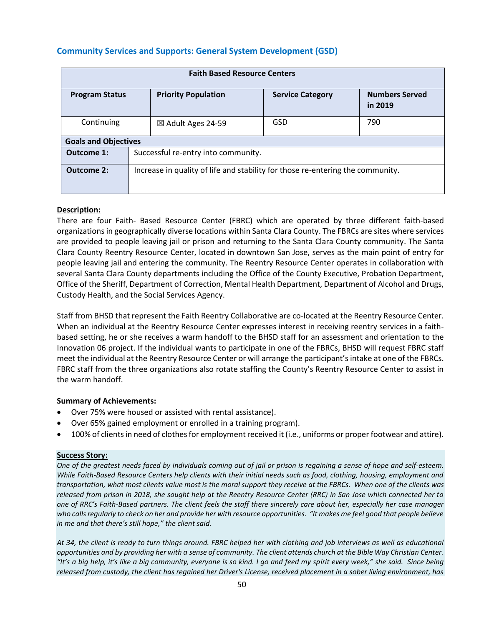## **Community Services and Supports: General System Development (GSD)**

| <b>Faith Based Resource Centers</b> |                                                                                           |     |     |  |  |
|-------------------------------------|-------------------------------------------------------------------------------------------|-----|-----|--|--|
| <b>Program Status</b>               | <b>Priority Population</b><br><b>Numbers Served</b><br><b>Service Category</b><br>in 2019 |     |     |  |  |
| Continuing                          | ⊠ Adult Ages 24-59                                                                        | GSD | 790 |  |  |
| <b>Goals and Objectives</b>         |                                                                                           |     |     |  |  |
| Outcome 1:                          | Successful re-entry into community.                                                       |     |     |  |  |
| Outcome 2:                          | Increase in quality of life and stability for those re-entering the community.            |     |     |  |  |

#### **Description:**

There are four Faith- Based Resource Center (FBRC) which are operated by three different faith-based organizations in geographically diverse locations within Santa Clara County. The FBRCs are sites where services are provided to people leaving jail or prison and returning to the Santa Clara County community. The Santa Clara County Reentry Resource Center, located in downtown San Jose, serves as the main point of entry for people leaving jail and entering the community. The Reentry Resource Center operates in collaboration with several Santa Clara County departments including the Office of the County Executive, Probation Department, Office of the Sheriff, Department of Correction, Mental Health Department, Department of Alcohol and Drugs, Custody Health, and the Social Services Agency.

Staff from BHSD that represent the Faith Reentry Collaborative are co-located at the Reentry Resource Center. When an individual at the Reentry Resource Center expresses interest in receiving reentry services in a faithbased setting, he or she receives a warm handoff to the BHSD staff for an assessment and orientation to the Innovation 06 project. If the individual wants to participate in one of the FBRCs, BHSD will request FBRC staff meet the individual at the Reentry Resource Center or will arrange the participant's intake at one of the FBRCs. FBRC staff from the three organizations also rotate staffing the County's Reentry Resource Center to assist in the warm handoff.

#### **Summary of Achievements:**

- Over 75% were housed or assisted with rental assistance).
- Over 65% gained employment or enrolled in a training program).
- 100% of clients in need of clothes for employment received it (i.e., uniforms or proper footwear and attire).

#### **Success Story:**

*One of the greatest needs faced by individuals coming out of jail or prison is regaining a sense of hope and self-esteem. While Faith-Based Resource Centers help clients with their initial needs such as food, clothing, housing, employment and transportation, what most clients value most is the moral support they receive at the FBRCs. When one of the clients was released from prison in 2018, she sought help at the Reentry Resource Center (RRC) in San Jose which connected her to one of RRC's Faith-Based partners. The client feels the staff there sincerely care about her, especially her case manager who calls regularly to check on her and provide her with resource opportunities. "It makes me feel good that people believe in me and that there's still hope," the client said.* 

*At 34, the client is ready to turn things around. FBRC helped her with clothing and job interviews as well as educational opportunities and by providing her with a sense of community. The client attends church at the Bible Way Christian Center. "It's a big help, it's like a big community, everyone is so kind. I go and feed my spirit every week," she said. Since being released from custody, the client has regained her Driver's License, received placement in a sober living environment, has*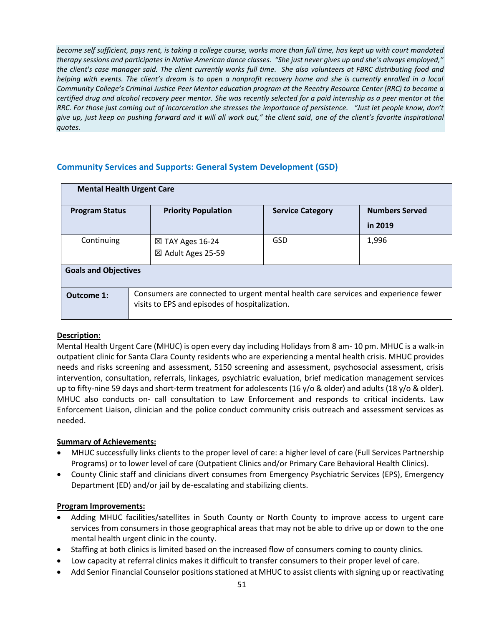*become self sufficient, pays rent, is taking a college course, works more than full time, has kept up with court mandated therapy sessions and participates in Native American dance classes. "She just never gives up and she's always employed," the client's case manager said. The client currently works full time. She also volunteers at FBRC distributing food and helping with events. The client's dream is to open a nonprofit recovery home and she is currently enrolled in a local Community College's Criminal Justice Peer Mentor education program at the Reentry Resource Center (RRC) to become a certified drug and alcohol recovery peer mentor. She was recently selected for a paid internship as a peer mentor at the RRC. For those just coming out of incarceration she stresses the importance of persistence. "Just let people know, don't give up, just keep on pushing forward and it will all work out," the client said, one of the client's favorite inspirational quotes.*

## **Community Services and Supports: General System Development (GSD)**

| <b>Mental Health Urgent Care</b> |                                                                                                                                      |                         |                       |  |  |  |
|----------------------------------|--------------------------------------------------------------------------------------------------------------------------------------|-------------------------|-----------------------|--|--|--|
| <b>Program Status</b>            | <b>Priority Population</b>                                                                                                           | <b>Service Category</b> | <b>Numbers Served</b> |  |  |  |
|                                  |                                                                                                                                      |                         | in 2019               |  |  |  |
| Continuing                       | $\boxtimes$ TAY Ages 16-24<br>⊠ Adult Ages 25-59                                                                                     | GSD                     | 1,996                 |  |  |  |
| <b>Goals and Objectives</b>      |                                                                                                                                      |                         |                       |  |  |  |
| Outcome 1:                       | Consumers are connected to urgent mental health care services and experience fewer<br>visits to EPS and episodes of hospitalization. |                         |                       |  |  |  |

#### **Description:**

Mental Health Urgent Care (MHUC) is open every day including Holidays from 8 am- 10 pm. MHUC is a walk-in outpatient clinic for Santa Clara County residents who are experiencing a mental health crisis. MHUC provides needs and risks screening and assessment, 5150 screening and assessment, psychosocial assessment, crisis intervention, consultation, referrals, linkages, psychiatric evaluation, brief medication management services up to fifty-nine 59 days and short-term treatment for adolescents (16 y/o & older) and adults (18 y/o & older). MHUC also conducts on- call consultation to Law Enforcement and responds to critical incidents. Law Enforcement Liaison, clinician and the police conduct community crisis outreach and assessment services as needed.

#### **Summary of Achievements:**

- MHUC successfully links clients to the proper level of care: a higher level of care (Full Services Partnership Programs) or to lower level of care (Outpatient Clinics and/or Primary Care Behavioral Health Clinics).
- County Clinic staff and clinicians divert consumes from Emergency Psychiatric Services (EPS), Emergency Department (ED) and/or jail by de-escalating and stabilizing clients.

- Adding MHUC facilities/satellites in South County or North County to improve access to urgent care services from consumers in those geographical areas that may not be able to drive up or down to the one mental health urgent clinic in the county.
- Staffing at both clinics is limited based on the increased flow of consumers coming to county clinics.
- Low capacity at referral clinics makes it difficult to transfer consumers to their proper level of care.
- Add Senior Financial Counselor positions stationed at MHUC to assist clients with signing up or reactivating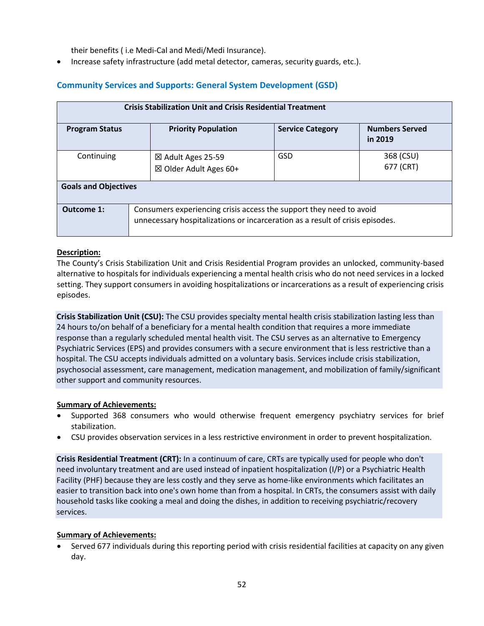their benefits ( i.e Medi-Cal and Medi/Medi Insurance).

• Increase safety infrastructure (add metal detector, cameras, security guards, etc.).

## **Community Services and Supports: General System Development (GSD)**

| <b>Crisis Stabilization Unit and Crisis Residential Treatment</b> |                                                                                                                                                      |                         |                                  |  |  |
|-------------------------------------------------------------------|------------------------------------------------------------------------------------------------------------------------------------------------------|-------------------------|----------------------------------|--|--|
| <b>Program Status</b>                                             | <b>Priority Population</b>                                                                                                                           | <b>Service Category</b> | <b>Numbers Served</b><br>in 2019 |  |  |
| Continuing                                                        | ⊠ Adult Ages 25-59<br>$\boxtimes$ Older Adult Ages 60+                                                                                               | GSD                     | 368 (CSU)<br>677 (CRT)           |  |  |
| <b>Goals and Objectives</b>                                       |                                                                                                                                                      |                         |                                  |  |  |
| Outcome 1:                                                        | Consumers experiencing crisis access the support they need to avoid<br>unnecessary hospitalizations or incarceration as a result of crisis episodes. |                         |                                  |  |  |

#### **Description:**

The County's Crisis Stabilization Unit and Crisis Residential Program provides an unlocked, community-based alternative to hospitals for individuals experiencing a mental health crisis who do not need services in a locked setting. They support consumers in avoiding hospitalizations or incarcerations as a result of experiencing crisis episodes.

**Crisis Stabilization Unit (CSU):** The CSU provides specialty mental health crisis stabilization lasting less than 24 hours to/on behalf of a beneficiary for a mental health condition that requires a more immediate response than a regularly scheduled mental health visit. The CSU serves as an alternative to Emergency Psychiatric Services (EPS) and provides consumers with a secure environment that is less restrictive than a hospital. The CSU accepts individuals admitted on a voluntary basis. Services include crisis stabilization, psychosocial assessment, care management, medication management, and mobilization of family/significant other support and community resources.

#### **Summary of Achievements:**

- Supported 368 consumers who would otherwise frequent emergency psychiatry services for brief stabilization.
- CSU provides observation services in a less restrictive environment in order to prevent hospitalization.

**Crisis Residential Treatment (CRT):** In a continuum of care, CRTs are typically used for people who don't need involuntary treatment and are used instead of inpatient hospitalization (I/P) or a Psychiatric Health Facility (PHF) because they are less costly and they serve as home-like environments which facilitates an easier to transition back into one's own home than from a hospital. In CRTs, the consumers assist with daily household tasks like cooking a meal and doing the dishes, in addition to receiving psychiatric/recovery services.

#### **Summary of Achievements:**

• Served 677 individuals during this reporting period with crisis residential facilities at capacity on any given day.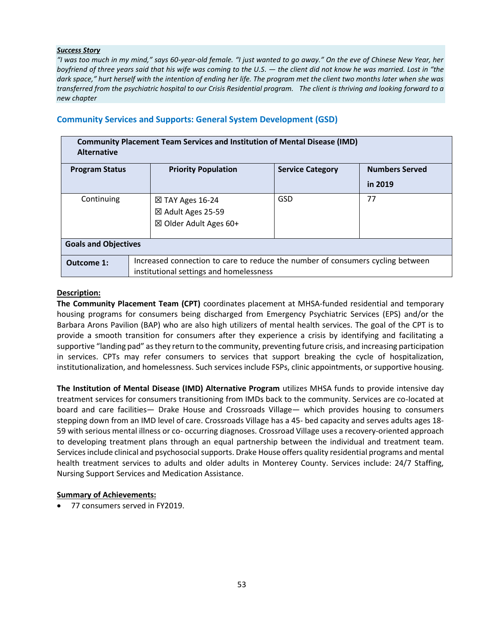#### *Success Story*

*"I was too much in my mind," says 60-year-old female. "I just wanted to go away." On the eve of Chinese New Year, her boyfriend of three years said that his wife was coming to the U.S. — the client did not know he was married. Lost in "the dark space," hurt herself with the intention of ending her life. The program met the client two months later when she was transferred from the psychiatric hospital to our Crisis Residential program. The client is thriving and looking forward to a new chapter*

### **Community Services and Supports: General System Development (GSD)**

| <b>Community Placement Team Services and Institution of Mental Disease (IMD)</b><br><b>Alternative</b>  |                                                                                |     |         |  |  |  |  |
|---------------------------------------------------------------------------------------------------------|--------------------------------------------------------------------------------|-----|---------|--|--|--|--|
| <b>Numbers Served</b><br><b>Service Category</b><br><b>Program Status</b><br><b>Priority Population</b> |                                                                                |     |         |  |  |  |  |
|                                                                                                         |                                                                                |     | in 2019 |  |  |  |  |
| Continuing                                                                                              | $\boxtimes$ TAY Ages 16-24                                                     | GSD | 77      |  |  |  |  |
|                                                                                                         | ⊠ Adult Ages 25-59                                                             |     |         |  |  |  |  |
|                                                                                                         | $\boxtimes$ Older Adult Ages 60+                                               |     |         |  |  |  |  |
|                                                                                                         |                                                                                |     |         |  |  |  |  |
| <b>Goals and Objectives</b>                                                                             |                                                                                |     |         |  |  |  |  |
| Outcome 1:                                                                                              | Increased connection to care to reduce the number of consumers cycling between |     |         |  |  |  |  |
|                                                                                                         | institutional settings and homelessness                                        |     |         |  |  |  |  |

#### **Description:**

**The Community Placement Team (CPT)** coordinates placement at MHSA-funded residential and temporary housing programs for consumers being discharged from Emergency Psychiatric Services (EPS) and/or the Barbara Arons Pavilion (BAP) who are also high utilizers of mental health services. The goal of the CPT is to provide a smooth transition for consumers after they experience a crisis by identifying and facilitating a supportive "landing pad" as they return to the community, preventing future crisis, and increasing participation in services. CPTs may refer consumers to services that support breaking the cycle of hospitalization, institutionalization, and homelessness. Such services include FSPs, clinic appointments, or supportive housing.

**The Institution of Mental Disease (IMD) Alternative Program** utilizes MHSA funds to provide intensive day treatment services for consumers transitioning from IMDs back to the community. Services are co-located at board and care facilities— Drake House and Crossroads Village— which provides housing to consumers stepping down from an IMD level of care. Crossroads Village has a 45- bed capacity and serves adults ages 18- 59 with serious mental illness or co- occurring diagnoses. Crossroad Village uses a recovery-oriented approach to developing treatment plans through an equal partnership between the individual and treatment team. Services include clinical and psychosocial supports. Drake House offers quality residential programs and mental health treatment services to adults and older adults in Monterey County. Services include: 24/7 Staffing, Nursing Support Services and Medication Assistance.

#### **Summary of Achievements:**

• 77 consumers served in FY2019.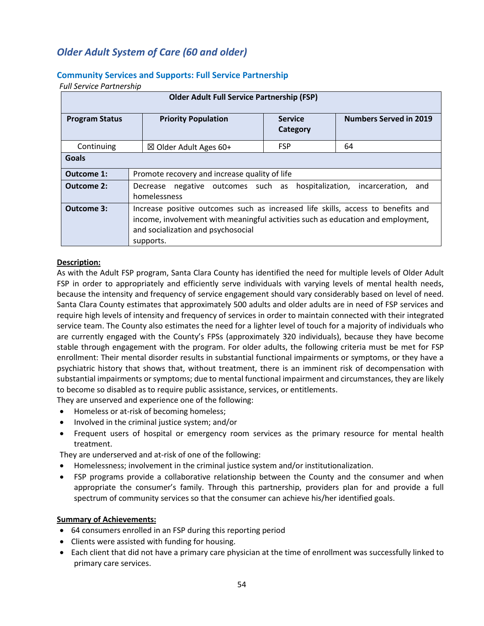## *Older Adult System of Care (60 and older)*

#### **Community Services and Supports: Full Service Partnership**

*Full Service Partnership*

| <b>Older Adult Full Service Partnership (FSP)</b> |                                                                                                                                                                                                                         |                            |                               |  |  |
|---------------------------------------------------|-------------------------------------------------------------------------------------------------------------------------------------------------------------------------------------------------------------------------|----------------------------|-------------------------------|--|--|
| <b>Program Status</b>                             | <b>Priority Population</b>                                                                                                                                                                                              | <b>Service</b><br>Category | <b>Numbers Served in 2019</b> |  |  |
| Continuing                                        | $\boxtimes$ Older Adult Ages 60+                                                                                                                                                                                        | <b>FSP</b>                 | 64                            |  |  |
| Goals                                             |                                                                                                                                                                                                                         |                            |                               |  |  |
| Outcome 1:                                        | Promote recovery and increase quality of life                                                                                                                                                                           |                            |                               |  |  |
| Outcome 2:                                        | Decrease negative outcomes such as hospitalization, incarceration,<br>and<br>homelessness                                                                                                                               |                            |                               |  |  |
| Outcome 3:                                        | Increase positive outcomes such as increased life skills, access to benefits and<br>income, involvement with meaningful activities such as education and employment,<br>and socialization and psychosocial<br>supports. |                            |                               |  |  |

#### **Description:**

As with the Adult FSP program, Santa Clara County has identified the need for multiple levels of Older Adult FSP in order to appropriately and efficiently serve individuals with varying levels of mental health needs, because the intensity and frequency of service engagement should vary considerably based on level of need. Santa Clara County estimates that approximately 500 adults and older adults are in need of FSP services and require high levels of intensity and frequency of services in order to maintain connected with their integrated service team. The County also estimates the need for a lighter level of touch for a majority of individuals who are currently engaged with the County's FPSs (approximately 320 individuals), because they have become stable through engagement with the program. For older adults, the following criteria must be met for FSP enrollment: Their mental disorder results in substantial functional impairments or symptoms, or they have a psychiatric history that shows that, without treatment, there is an imminent risk of decompensation with substantial impairments or symptoms; due to mental functional impairment and circumstances, they are likely to become so disabled as to require public assistance, services, or entitlements.

They are unserved and experience one of the following:

- Homeless or at-risk of becoming homeless;
- Involved in the criminal justice system; and/or
- Frequent users of hospital or emergency room services as the primary resource for mental health treatment.

They are underserved and at-risk of one of the following:

- Homelessness; involvement in the criminal justice system and/or institutionalization.
- FSP programs provide a collaborative relationship between the County and the consumer and when appropriate the consumer's family. Through this partnership, providers plan for and provide a full spectrum of community services so that the consumer can achieve his/her identified goals.

#### **Summary of Achievements:**

- 64 consumers enrolled in an FSP during this reporting period
- Clients were assisted with funding for housing.
- Each client that did not have a primary care physician at the time of enrollment was successfully linked to primary care services.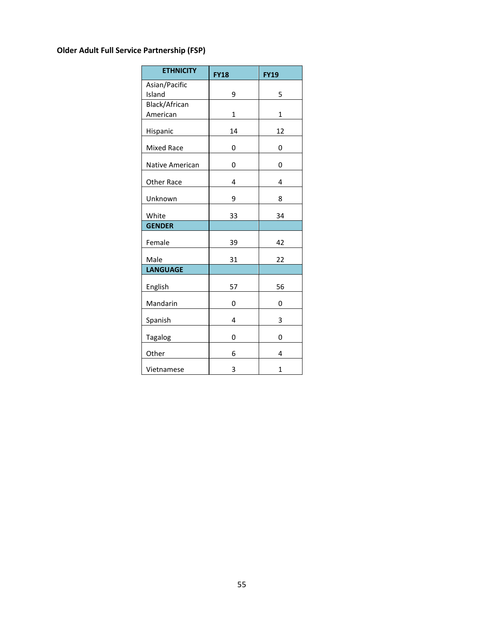## **Older Adult Full Service Partnership (FSP)**

| <b>ETHNICITY</b>  | <b>FY18</b> | <b>FY19</b> |
|-------------------|-------------|-------------|
| Asian/Pacific     |             |             |
| Island            | 9           | 5           |
| Black/African     |             |             |
| American          | 1           | 1           |
| Hispanic          | 14          | 12          |
| <b>Mixed Race</b> | 0           | 0           |
| Native American   | 0           | 0           |
| Other Race        | 4           | 4           |
| Unknown           | 9           | 8           |
| White             | 33          | 34          |
| <b>GENDER</b>     |             |             |
| Female            | 39          | 42          |
| Male              | 31          | 22          |
| <b>LANGUAGE</b>   |             |             |
| English           | 57          | 56          |
| Mandarin          | 0           | 0           |
| Spanish           | 4           | 3           |
| <b>Tagalog</b>    | 0           | 0           |
| Other             | 6           | 4           |
| Vietnamese        | 3           | 1           |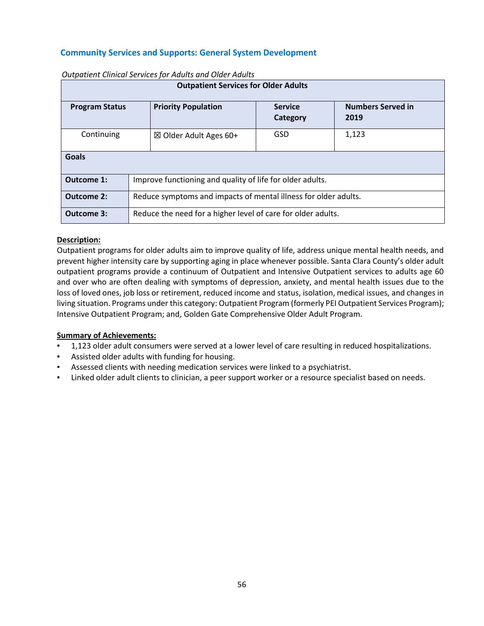## **Community Services and Supports: General System Development**

| <b>Outpatient Services for Older Adults</b> |                                                                 |  |  |  |  |
|---------------------------------------------|-----------------------------------------------------------------|--|--|--|--|
| <b>Program Status</b>                       | <b>Numbers Served in</b><br>2019                                |  |  |  |  |
| Continuing                                  | GSD<br>1,123<br>$\boxtimes$ Older Adult Ages 60+                |  |  |  |  |
| <b>Goals</b>                                |                                                                 |  |  |  |  |
| Outcome 1:                                  | Improve functioning and quality of life for older adults.       |  |  |  |  |
| <b>Outcome 2:</b>                           | Reduce symptoms and impacts of mental illness for older adults. |  |  |  |  |
| <b>Outcome 3:</b>                           | Reduce the need for a higher level of care for older adults.    |  |  |  |  |

#### *Outpatient Clinical Services for Adults and Older Adults*

#### **Description:**

Outpatient programs for older adults aim to improve quality of life, address unique mental health needs, and prevent higher intensity care by supporting aging in place whenever possible. Santa Clara County's older adult outpatient programs provide a continuum of Outpatient and Intensive Outpatient services to adults age 60 and over who are often dealing with symptoms of depression, anxiety, and mental health issues due to the loss of loved ones, job loss or retirement, reduced income and status, isolation, medical issues, and changes in living situation. Programs under this category: Outpatient Program (formerly PEI Outpatient Services Program); Intensive Outpatient Program; and, Golden Gate Comprehensive Older Adult Program.

#### **Summary of Achievements:**

- 1,123 older adult consumers were served at a lower level of care resulting in reduced hospitalizations.
- Assisted older adults with funding for housing.
- Assessed clients with needing medication services were linked to a psychiatrist.
- Linked older adult clients to clinician, a peer support worker or a resource specialist based on needs.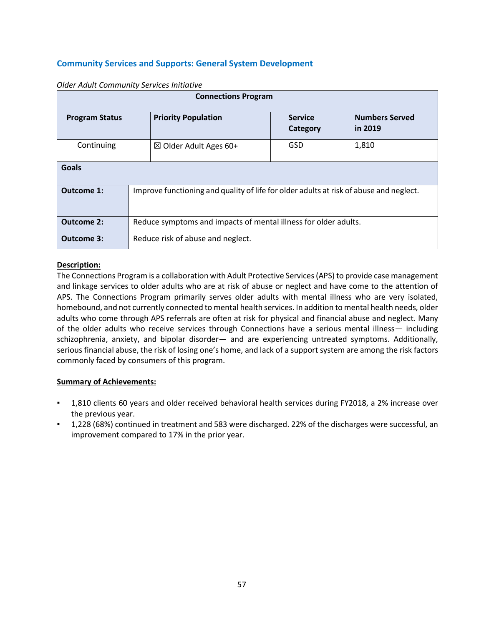## **Community Services and Supports: General System Development**

| <b>Connections Program</b>                                                                                            |                                                                                        |  |  |  |  |
|-----------------------------------------------------------------------------------------------------------------------|----------------------------------------------------------------------------------------|--|--|--|--|
| <b>Priority Population</b><br><b>Numbers Served</b><br><b>Service</b><br><b>Program Status</b><br>in 2019<br>Category |                                                                                        |  |  |  |  |
| Continuing                                                                                                            | GSD<br>1,810<br>$\boxtimes$ Older Adult Ages 60+                                       |  |  |  |  |
| Goals                                                                                                                 |                                                                                        |  |  |  |  |
| Outcome 1:                                                                                                            | Improve functioning and quality of life for older adults at risk of abuse and neglect. |  |  |  |  |
| <b>Outcome 2:</b>                                                                                                     | Reduce symptoms and impacts of mental illness for older adults.                        |  |  |  |  |
| Outcome 3:                                                                                                            | Reduce risk of abuse and neglect.                                                      |  |  |  |  |

*Older Adult Community Services Initiative*

#### **Description:**

The Connections Program is a collaboration with Adult Protective Services (APS) to provide case management and linkage services to older adults who are at risk of abuse or neglect and have come to the attention of APS. The Connections Program primarily serves older adults with mental illness who are very isolated, homebound, and not currently connected to mental health services. In addition to mental health needs, older adults who come through APS referrals are often at risk for physical and financial abuse and neglect. Many of the older adults who receive services through Connections have a serious mental illness— including schizophrenia, anxiety, and bipolar disorder— and are experiencing untreated symptoms. Additionally, serious financial abuse, the risk of losing one's home, and lack of a support system are among the risk factors commonly faced by consumers of this program.

#### **Summary of Achievements:**

- 1,810 clients 60 years and older received behavioral health services during FY2018, a 2% increase over the previous year.
- 1,228 (68%) continued in treatment and 583 were discharged. 22% of the discharges were successful, an improvement compared to 17% in the prior year.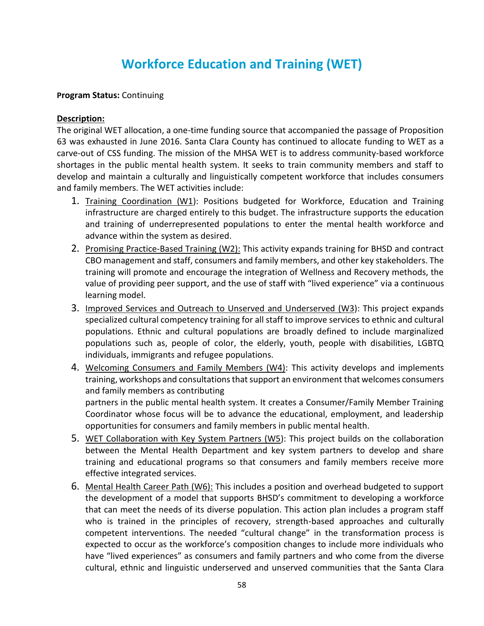## **Workforce Education and Training (WET)**

## **Program Status:** Continuing

## **Description:**

The original WET allocation, a one-time funding source that accompanied the passage of Proposition 63 was exhausted in June 2016. Santa Clara County has continued to allocate funding to WET as a carve-out of CSS funding. The mission of the MHSA WET is to address community-based workforce shortages in the public mental health system. It seeks to train community members and staff to develop and maintain a culturally and linguistically competent workforce that includes consumers and family members. The WET activities include:

- 1. Training Coordination (W1): Positions budgeted for Workforce, Education and Training infrastructure are charged entirely to this budget. The infrastructure supports the education and training of underrepresented populations to enter the mental health workforce and advance within the system as desired.
- 2. Promising Practice-Based Training (W2): This activity expands training for BHSD and contract CBO management and staff, consumers and family members, and other key stakeholders. The training will promote and encourage the integration of Wellness and Recovery methods, the value of providing peer support, and the use of staff with "lived experience" via a continuous learning model.
- 3. Improved Services and Outreach to Unserved and Underserved (W3): This project expands specialized cultural competency training for all staff to improve services to ethnic and cultural populations. Ethnic and cultural populations are broadly defined to include marginalized populations such as, people of color, the elderly, youth, people with disabilities, LGBTQ individuals, immigrants and refugee populations.
- 4. Welcoming Consumers and Family Members (W4): This activity develops and implements training, workshops and consultations that support an environment that welcomes consumers and family members as contributing partners in the public mental health system. It creates a Consumer/Family Member Training Coordinator whose focus will be to advance the educational, employment, and leadership
- opportunities for consumers and family members in public mental health. 5. WET Collaboration with Key System Partners (W5): This project builds on the collaboration between the Mental Health Department and key system partners to develop and share training and educational programs so that consumers and family members receive more effective integrated services.
- 6. Mental Health Career Path (W6): This includes a position and overhead budgeted to support the development of a model that supports BHSD's commitment to developing a workforce that can meet the needs of its diverse population. This action plan includes a program staff who is trained in the principles of recovery, strength-based approaches and culturally competent interventions. The needed "cultural change" in the transformation process is expected to occur as the workforce's composition changes to include more individuals who have "lived experiences" as consumers and family partners and who come from the diverse cultural, ethnic and linguistic underserved and unserved communities that the Santa Clara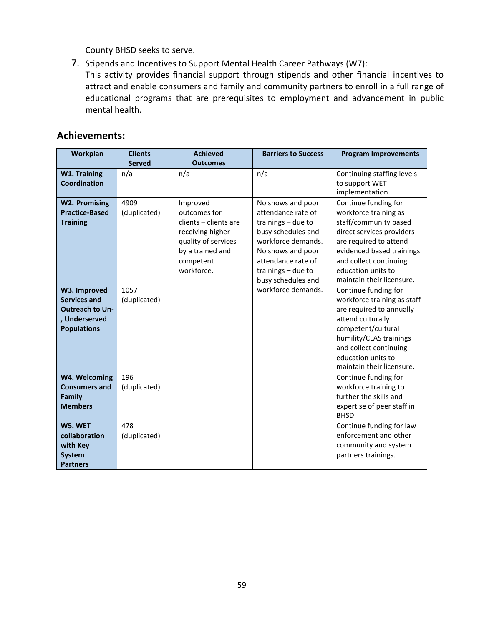County BHSD seeks to serve.

7. Stipends and Incentives to Support Mental Health Career Pathways (W7):

This activity provides financial support through stipends and other financial incentives to attract and enable consumers and family and community partners to enroll in a full range of educational programs that are prerequisites to employment and advancement in public mental health.

## **Achievements:**

| Workplan               | <b>Clients</b> | <b>Achieved</b>       | <b>Barriers to Success</b> | <b>Program Improvements</b> |
|------------------------|----------------|-----------------------|----------------------------|-----------------------------|
|                        | <b>Served</b>  | <b>Outcomes</b>       |                            |                             |
| <b>W1. Training</b>    | n/a            | n/a                   | n/a                        | Continuing staffing levels  |
| <b>Coordination</b>    |                |                       |                            | to support WET              |
|                        |                |                       |                            | implementation              |
| <b>W2. Promising</b>   | 4909           | Improved              | No shows and poor          | Continue funding for        |
| <b>Practice-Based</b>  | (duplicated)   | outcomes for          | attendance rate of         | workforce training as       |
| <b>Training</b>        |                | clients - clients are | trainings - due to         | staff/community based       |
|                        |                | receiving higher      | busy schedules and         | direct services providers   |
|                        |                | quality of services   | workforce demands.         | are required to attend      |
|                        |                | by a trained and      | No shows and poor          | evidenced based trainings   |
|                        |                | competent             | attendance rate of         | and collect continuing      |
|                        |                | workforce.            | trainings $-$ due to       | education units to          |
|                        |                |                       | busy schedules and         | maintain their licensure.   |
| W3. Improved           | 1057           |                       | workforce demands.         | Continue funding for        |
| <b>Services and</b>    | (duplicated)   |                       |                            | workforce training as staff |
| <b>Outreach to Un-</b> |                |                       |                            | are required to annually    |
| , Underserved          |                |                       |                            | attend culturally           |
| <b>Populations</b>     |                |                       |                            | competent/cultural          |
|                        |                |                       |                            | humility/CLAS trainings     |
|                        |                |                       |                            | and collect continuing      |
|                        |                |                       |                            | education units to          |
|                        |                |                       |                            | maintain their licensure.   |
| W4. Welcoming          | 196            |                       |                            | Continue funding for        |
| <b>Consumers and</b>   | (duplicated)   |                       |                            | workforce training to       |
| Family                 |                |                       |                            | further the skills and      |
| <b>Members</b>         |                |                       |                            | expertise of peer staff in  |
|                        |                |                       |                            | <b>BHSD</b>                 |
| W5. WET                | 478            |                       |                            | Continue funding for law    |
| collaboration          | (duplicated)   |                       |                            | enforcement and other       |
| with Key               |                |                       |                            | community and system        |
| <b>System</b>          |                |                       |                            | partners trainings.         |
| <b>Partners</b>        |                |                       |                            |                             |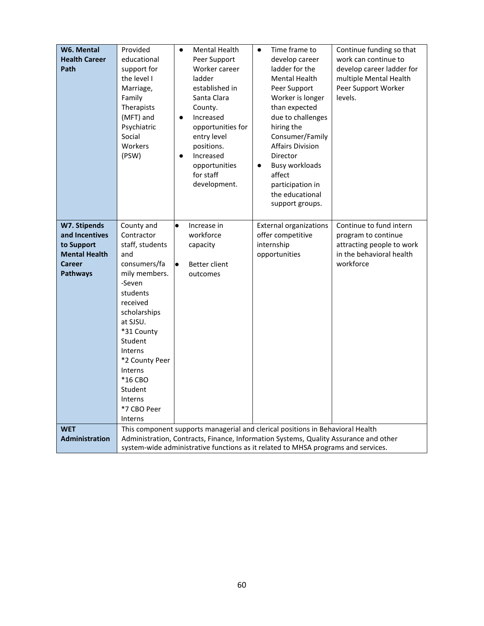| W6. Mental<br><b>Health Career</b><br>Path                                                               | Provided<br>educational<br>support for<br>the level I<br>Marriage,<br>Family<br>Therapists<br>(MFT) and<br>Psychiatric<br>Social<br>Workers<br>(PSW)                                                                                                                          | Mental Health<br>$\bullet$<br>Peer Support<br>Worker career<br>ladder<br>established in<br>Santa Clara<br>County.<br>Increased<br>$\bullet$<br>opportunities for<br>entry level<br>positions.<br>Increased<br>$\bullet$<br>opportunities<br>for staff<br>development. | Time frame to<br>$\bullet$<br>develop career<br>ladder for the<br><b>Mental Health</b><br>Peer Support<br>Worker is longer<br>than expected<br>due to challenges<br>hiring the<br>Consumer/Family<br><b>Affairs Division</b><br>Director<br><b>Busy workloads</b><br>$\bullet$<br>affect<br>participation in<br>the educational<br>support groups. | Continue funding so that<br>work can continue to<br>develop career ladder for<br>multiple Mental Health<br>Peer Support Worker<br>levels. |
|----------------------------------------------------------------------------------------------------------|-------------------------------------------------------------------------------------------------------------------------------------------------------------------------------------------------------------------------------------------------------------------------------|-----------------------------------------------------------------------------------------------------------------------------------------------------------------------------------------------------------------------------------------------------------------------|----------------------------------------------------------------------------------------------------------------------------------------------------------------------------------------------------------------------------------------------------------------------------------------------------------------------------------------------------|-------------------------------------------------------------------------------------------------------------------------------------------|
| W7. Stipends<br>and Incentives<br>to Support<br><b>Mental Health</b><br><b>Career</b><br><b>Pathways</b> | County and<br>Contractor<br>staff, students<br>and<br>consumers/fa<br>mily members.<br>-Seven<br>students<br>received<br>scholarships<br>at SJSU.<br>*31 County<br>Student<br>Interns<br>*2 County Peer<br>Interns<br>*16 CBO<br>Student<br>Interns<br>*7 CBO Peer<br>Interns | Increase in<br>$\bullet$<br>workforce<br>capacity<br>Better client<br>$\bullet$<br>outcomes                                                                                                                                                                           | <b>External organizations</b><br>offer competitive<br>internship<br>opportunities                                                                                                                                                                                                                                                                  | Continue to fund intern<br>program to continue<br>attracting people to work<br>in the behavioral health<br>workforce                      |
| <b>WET</b><br>Administration                                                                             | This component supports managerial and clerical positions in Behavioral Health<br>Administration, Contracts, Finance, Information Systems, Quality Assurance and other<br>system-wide administrative functions as it related to MHSA programs and services.                   |                                                                                                                                                                                                                                                                       |                                                                                                                                                                                                                                                                                                                                                    |                                                                                                                                           |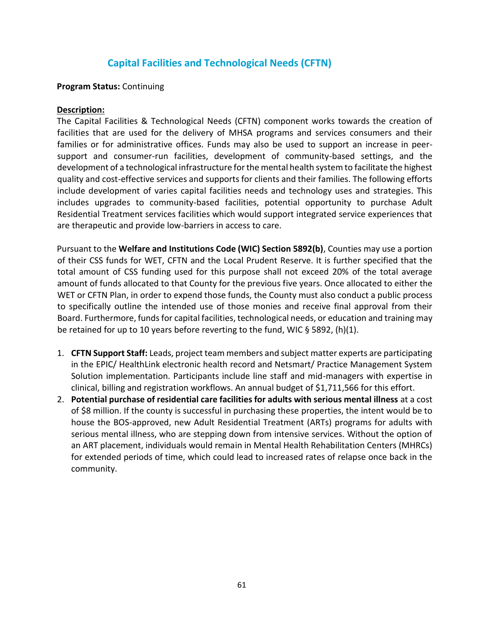## **Capital Facilities and Technological Needs (CFTN)**

### **Program Status:** Continuing

### **Description:**

The Capital Facilities & Technological Needs (CFTN) component works towards the creation of facilities that are used for the delivery of MHSA programs and services consumers and their families or for administrative offices. Funds may also be used to support an increase in peersupport and consumer-run facilities, development of community-based settings, and the development of a technological infrastructure for the mental health system to facilitate the highest quality and cost-effective services and supports for clients and their families. The following efforts include development of varies capital facilities needs and technology uses and strategies. This includes upgrades to community-based facilities, potential opportunity to purchase Adult Residential Treatment services facilities which would support integrated service experiences that are therapeutic and provide low-barriers in access to care.

Pursuant to the **Welfare and Institutions Code (WIC) Section 5892(b)**, Counties may use a portion of their CSS funds for WET, CFTN and the Local Prudent Reserve. It is further specified that the total amount of CSS funding used for this purpose shall not exceed 20% of the total average amount of funds allocated to that County for the previous five years. Once allocated to either the WET or CFTN Plan, in order to expend those funds, the County must also conduct a public process to specifically outline the intended use of those monies and receive final approval from their Board. Furthermore, funds for capital facilities, technological needs, or education and training may be retained for up to 10 years before reverting to the fund, WIC § 5892, (h)(1).

- 1. **CFTN Support Staff:** Leads, project team members and subject matter experts are participating in the EPIC/ HealthLink electronic health record and Netsmart/ Practice Management System Solution implementation. Participants include line staff and mid-managers with expertise in clinical, billing and registration workflows. An annual budget of \$1,711,566 for this effort.
- 2. **Potential purchase of residential care facilities for adults with serious mental illness** at a cost of \$8 million. If the county is successful in purchasing these properties, the intent would be to house the BOS-approved, new Adult Residential Treatment (ARTs) programs for adults with serious mental illness, who are stepping down from intensive services. Without the option of an ART placement, individuals would remain in Mental Health Rehabilitation Centers (MHRCs) for extended periods of time, which could lead to increased rates of relapse once back in the community.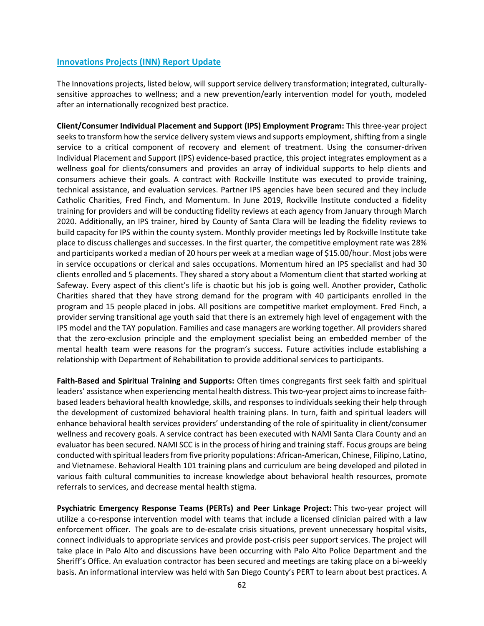#### **Innovations Projects (INN) Report Update**

The Innovations projects, listed below, will support service delivery transformation; integrated, culturallysensitive approaches to wellness; and a new prevention/early intervention model for youth, modeled after an internationally recognized best practice.

**Client/Consumer Individual Placement and Support (IPS) Employment Program:** This three-year project seeks to transform how the service delivery system views and supports employment, shifting from a single service to a critical component of recovery and element of treatment. Using the consumer-driven Individual Placement and Support (IPS) evidence-based practice, this project integrates employment as a wellness goal for clients/consumers and provides an array of individual supports to help clients and consumers achieve their goals. A contract with Rockville Institute was executed to provide training, technical assistance, and evaluation services. Partner IPS agencies have been secured and they include Catholic Charities, Fred Finch, and Momentum. In June 2019, Rockville Institute conducted a fidelity training for providers and will be conducting fidelity reviews at each agency from January through March 2020. Additionally, an IPS trainer, hired by County of Santa Clara will be leading the fidelity reviews to build capacity for IPS within the county system. Monthly provider meetings led by Rockville Institute take place to discuss challenges and successes. In the first quarter, the competitive employment rate was 28% and participants worked a median of 20 hours per week at a median wage of \$15.00/hour. Most jobs were in service occupations or clerical and sales occupations. Momentum hired an IPS specialist and had 30 clients enrolled and 5 placements. They shared a story about a Momentum client that started working at Safeway. Every aspect of this client's life is chaotic but his job is going well. Another provider, Catholic Charities shared that they have strong demand for the program with 40 participants enrolled in the program and 15 people placed in jobs. All positions are competitive market employment. Fred Finch, a provider serving transitional age youth said that there is an extremely high level of engagement with the IPS model and the TAY population. Families and case managers are working together. All providers shared that the zero-exclusion principle and the employment specialist being an embedded member of the mental health team were reasons for the program's success. Future activities include establishing a relationship with Department of Rehabilitation to provide additional services to participants.

**Faith-Based and Spiritual Training and Supports:** Often times congregants first seek faith and spiritual leaders' assistance when experiencing mental health distress. This two-year project aims to increase faithbased leaders behavioral health knowledge, skills, and responses to individuals seeking their help through the development of customized behavioral health training plans. In turn, faith and spiritual leaders will enhance behavioral health services providers' understanding of the role of spirituality in client/consumer wellness and recovery goals. A service contract has been executed with NAMI Santa Clara County and an evaluator has been secured. NAMI SCC is in the process of hiring and training staff. Focus groups are being conducted with spiritual leaders from five priority populations: African-American, Chinese, Filipino, Latino, and Vietnamese. Behavioral Health 101 training plans and curriculum are being developed and piloted in various faith cultural communities to increase knowledge about behavioral health resources, promote referrals to services, and decrease mental health stigma.

**Psychiatric Emergency Response Teams (PERTs) and Peer Linkage Project:** This two-year project will utilize a co-response intervention model with teams that include a licensed clinician paired with a law enforcement officer. The goals are to de-escalate crisis situations, prevent unnecessary hospital visits, connect individuals to appropriate services and provide post-crisis peer support services. The project will take place in Palo Alto and discussions have been occurring with Palo Alto Police Department and the Sheriff's Office. An evaluation contractor has been secured and meetings are taking place on a bi-weekly basis. An informational interview was held with San Diego County's PERT to learn about best practices. A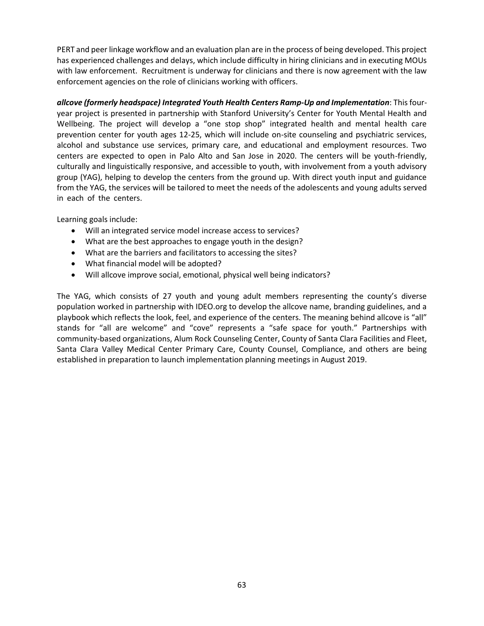PERT and peer linkage workflow and an evaluation plan are in the process of being developed. This project has experienced challenges and delays, which include difficulty in hiring clinicians and in executing MOUs with law enforcement. Recruitment is underway for clinicians and there is now agreement with the law enforcement agencies on the role of clinicians working with officers.

*allcove (formerly headspace) Integrated Youth Health Centers Ramp-Up and Implementation*: This fouryear project is presented in partnership with Stanford University's Center for Youth Mental Health and Wellbeing. The project will develop a "one stop shop" integrated health and mental health care prevention center for youth ages 12-25, which will include on-site counseling and psychiatric services, alcohol and substance use services, primary care, and educational and employment resources. Two centers are expected to open in Palo Alto and San Jose in 2020. The centers will be youth-friendly, culturally and linguistically responsive, and accessible to youth, with involvement from a youth advisory group (YAG), helping to develop the centers from the ground up. With direct youth input and guidance from the YAG, the services will be tailored to meet the needs of the adolescents and young adults served in each of the centers.

Learning goals include:

- Will an integrated service model increase access to services?
- What are the best approaches to engage youth in the design?
- What are the barriers and facilitators to accessing the sites?
- What financial model will be adopted?
- Will allcove improve social, emotional, physical well being indicators?

The YAG, which consists of 27 youth and young adult members representing the county's diverse population worked in partnership with IDEO.org to develop the allcove name, branding guidelines, and a playbook which reflects the look, feel, and experience of the centers. The meaning behind allcove is "all" stands for "all are welcome" and "cove" represents a "safe space for youth." Partnerships with community-based organizations, Alum Rock Counseling Center, County of Santa Clara Facilities and Fleet, Santa Clara Valley Medical Center Primary Care, County Counsel, Compliance, and others are being established in preparation to launch implementation planning meetings in August 2019.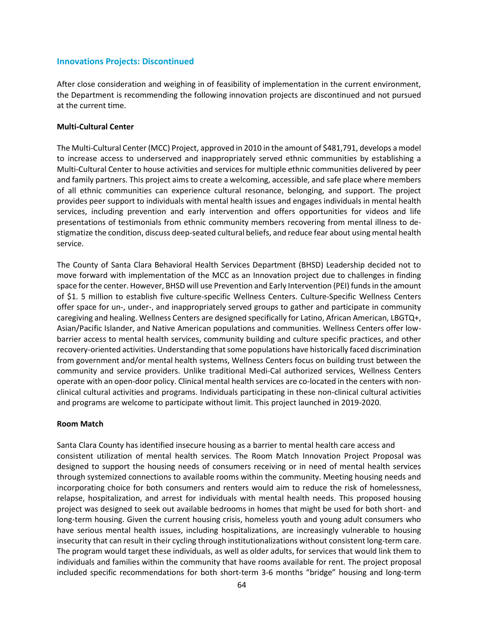#### **Innovations Projects: Discontinued**

After close consideration and weighing in of feasibility of implementation in the current environment, the Department is recommending the following innovation projects are discontinued and not pursued at the current time.

#### **Multi-Cultural Center**

The Multi-Cultural Center (MCC) Project, approved in 2010 in the amount of \$481,791, develops a model to increase access to underserved and inappropriately served ethnic communities by establishing a Multi-Cultural Center to house activities and services for multiple ethnic communities delivered by peer and family partners. This project aims to create a welcoming, accessible, and safe place where members of all ethnic communities can experience cultural resonance, belonging, and support. The project provides peer support to individuals with mental health issues and engages individuals in mental health services, including prevention and early intervention and offers opportunities for videos and life presentations of testimonials from ethnic community members recovering from mental illness to destigmatize the condition, discuss deep-seated cultural beliefs, and reduce fear about using mental health service.

The County of Santa Clara Behavioral Health Services Department (BHSD) Leadership decided not to move forward with implementation of the MCC as an Innovation project due to challenges in finding space for the center. However, BHSD will use Prevention and Early Intervention (PEI) funds in the amount of \$1. 5 million to establish five culture-specific Wellness Centers. Culture-Specific Wellness Centers offer space for un-, under-, and inappropriately served groups to gather and participate in community caregiving and healing. Wellness Centers are designed specifically for Latino, African American, LBGTQ+, Asian/Pacific Islander, and Native American populations and communities. Wellness Centers offer lowbarrier access to mental health services, community building and culture specific practices, and other recovery-oriented activities. Understanding that some populations have historically faced discrimination from government and/or mental health systems, Wellness Centers focus on building trust between the community and service providers. Unlike traditional Medi-Cal authorized services, Wellness Centers operate with an open-door policy. Clinical mental health services are co-located in the centers with nonclinical cultural activities and programs. Individuals participating in these non-clinical cultural activities and programs are welcome to participate without limit. This project launched in 2019-2020.

#### **Room Match**

Santa Clara County has identified insecure housing as a barrier to mental health care access and consistent utilization of mental health services. The Room Match Innovation Project Proposal was designed to support the housing needs of consumers receiving or in need of mental health services through systemized connections to available rooms within the community. Meeting housing needs and incorporating choice for both consumers and renters would aim to reduce the risk of homelessness, relapse, hospitalization, and arrest for individuals with mental health needs. This proposed housing project was designed to seek out available bedrooms in homes that might be used for both short- and long-term housing. Given the current housing crisis, homeless youth and young adult consumers who have serious mental health issues, including hospitalizations, are increasingly vulnerable to housing insecurity that can result in their cycling through institutionalizations without consistent long-term care. The program would target these individuals, as well as older adults, for services that would link them to individuals and families within the community that have rooms available for rent. The project proposal included specific recommendations for both short-term 3-6 months "bridge" housing and long-term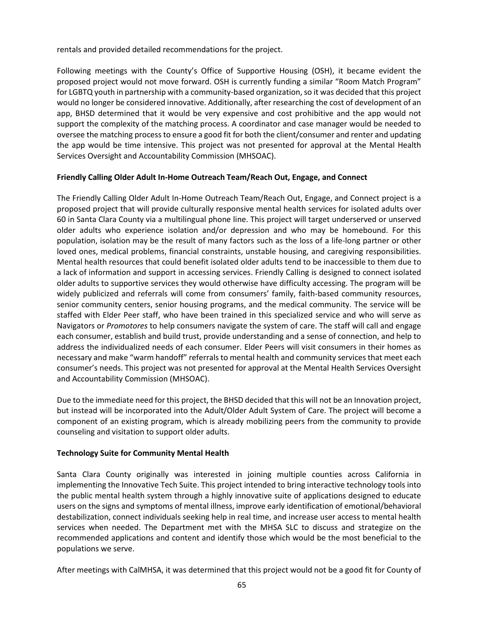rentals and provided detailed recommendations for the project.

Following meetings with the County's Office of Supportive Housing (OSH), it became evident the proposed project would not move forward. OSH is currently funding a similar "Room Match Program" for LGBTQ youth in partnership with a community-based organization, so it was decided that this project would no longer be considered innovative. Additionally, after researching the cost of development of an app, BHSD determined that it would be very expensive and cost prohibitive and the app would not support the complexity of the matching process. A coordinator and case manager would be needed to oversee the matching process to ensure a good fit for both the client/consumer and renter and updating the app would be time intensive. This project was not presented for approval at the Mental Health Services Oversight and Accountability Commission (MHSOAC).

#### **Friendly Calling Older Adult In-Home Outreach Team/Reach Out, Engage, and Connect**

The Friendly Calling Older Adult In-Home Outreach Team/Reach Out, Engage, and Connect project is a proposed project that will provide culturally responsive mental health services for isolated adults over 60 in Santa Clara County via a multilingual phone line. This project will target underserved or unserved older adults who experience isolation and/or depression and who may be homebound. For this population, isolation may be the result of many factors such as the loss of a life-long partner or other loved ones, medical problems, financial constraints, unstable housing, and caregiving responsibilities. Mental health resources that could benefit isolated older adults tend to be inaccessible to them due to a lack of information and support in accessing services. Friendly Calling is designed to connect isolated older adults to supportive services they would otherwise have difficulty accessing. The program will be widely publicized and referrals will come from consumers' family, faith-based community resources, senior community centers, senior housing programs, and the medical community. The service will be staffed with Elder Peer staff, who have been trained in this specialized service and who will serve as Navigators or *Promotores* to help consumers navigate the system of care. The staff will call and engage each consumer, establish and build trust, provide understanding and a sense of connection, and help to address the individualized needs of each consumer. Elder Peers will visit consumers in their homes as necessary and make "warm handoff" referrals to mental health and community services that meet each consumer's needs. This project was not presented for approval at the Mental Health Services Oversight and Accountability Commission (MHSOAC).

Due to the immediate need for this project, the BHSD decided that this will not be an Innovation project, but instead will be incorporated into the Adult/Older Adult System of Care. The project will become a component of an existing program, which is already mobilizing peers from the community to provide counseling and visitation to support older adults.

#### **Technology Suite for Community Mental Health**

Santa Clara County originally was interested in joining multiple counties across California in implementing the Innovative Tech Suite. This project intended to bring interactive technology tools into the public mental health system through a highly innovative suite of applications designed to educate users on the signs and symptoms of mental illness, improve early identification of emotional/behavioral destabilization, connect individuals seeking help in real time, and increase user access to mental health services when needed. The Department met with the MHSA SLC to discuss and strategize on the recommended applications and content and identify those which would be the most beneficial to the populations we serve.

After meetings with CalMHSA, it was determined that this project would not be a good fit for County of